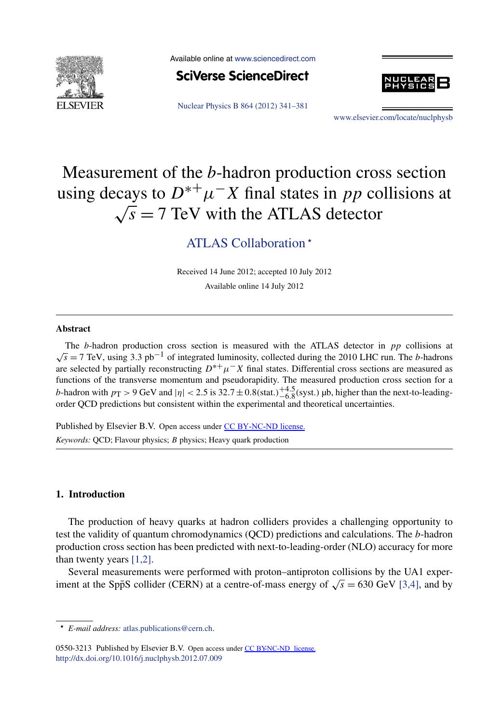

Available online at [www.sciencedirect.com](http://www.sciencedirect.com)



[Nuclear Physics B 864 \(2012\) 341–381](http://dx.doi.org/10.1016/j.nuclphysb.2012.07.009)



[www.elsevier.com/locate/nuclphysb](http://www.elsevier.com/locate/nuclphysb)

# Measurement of the *b*-hadron production cross section using decays to  $D^{*+}\mu$ <sup>-</sup>*X* final states in *pp* collisions at  $\sqrt{s}$  = 7 TeV with the ATLAS detector

# [.ATLAS Collaboration](#page-17-0) *-*

Received 14 June 2012; accepted 10 July 2012

Available online 14 July 2012

#### **Abstract**

The *b*-hadron production cross section is measured with the ATLAS detector in *pp* collisions at <sup>√</sup>*<sup>s</sup>* <sup>=</sup> 7 TeV, using 3*.*3 pb−<sup>1</sup> of integrated luminosity, collected during the 2010 LHC run. The *<sup>b</sup>*-hadrons are selected by partially reconstructing  $D^{*+}\mu^- X$  final states. Differential cross sections are measured as functions of the transverse momentum and pseudorapidity. The measured production cross section for a *b*-hadron with  $p_T > 9$  GeV and  $|\eta| < 2.5$  is  $32.7 \pm 0.8$ (stat.) $^{+4.5}_{-6.8}$ (syst.)  $\mu$ b, higher than the next-to-leadingorder QCD predictions but consistent within the experimental and theoretical uncertainties.

Published by Elsevier B.V. Open access under [CC BY-NC-ND license.](http://creativecommons.org/licenses/by-nc-nd/3.0/)*Keywords:* QCD; Flavour physics; *B* physics; Heavy quark production

# **1. Introduction**

The production of heavy quarks at hadron colliders provides a challenging opportunity to test the validity of quantum chromodynamics (QCD) predictions and calculations. The *b*-hadron production cross section has been predicted with next-to-leading-order (NLO) accuracy for more than twenty years [\[1,2\].](#page-15-0)

Several measurements were performed with proton–antiproton collisions by the UA1 experiment at the SppS collider (CERN) at a centre-of-mass energy of  $\sqrt{s} = 630$  GeV [\[3,4\],](#page-16-0) and by

*<sup>-</sup> E-mail address:* [atlas.publications@cern.ch](mailto:atlas.publications@cern.ch).

<sup>0550-3213</sup> Published by Elsevier B.V. Open access under [CC BY-NC-ND license.](http://creativecommons.org/licenses/by-nc-nd/3.0/) <http://dx.doi.org/10.1016/j.nuclphysb.2012.07.009>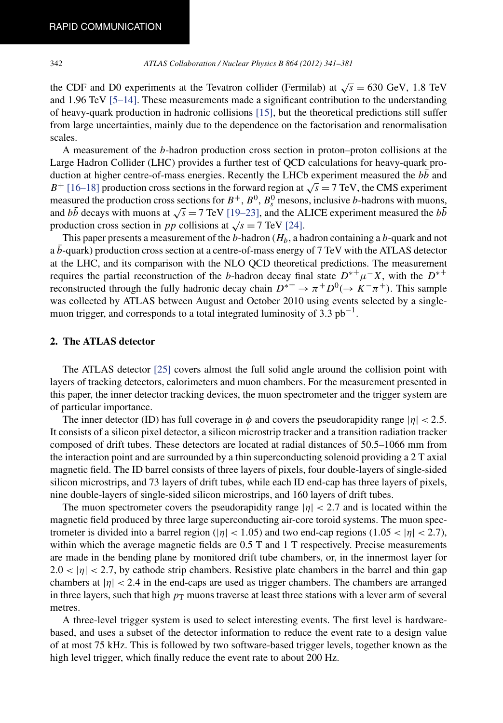the CDF and D0 experiments at the Tevatron collider (Fermilab) at  $\sqrt{s} = 630 \text{ GeV}$ , 1.8 TeV and 1.96 TeV [\[5–14\].](#page-16-0) These measurements made a significant contribution to the understanding of heavy-quark production in hadronic collisions [\[15\],](#page-16-0) but the theoretical predictions still suffer from large uncertainties, mainly due to the dependence on the factorisation and renormalisation scales.

A measurement of the *b*-hadron production cross section in proton–proton collisions at the Large Hadron Collider (LHC) provides a further test of QCD calculations for heavy-quark production at higher centre-of-mass energies. Recently the LHCb experiment measured the  $b\bar{b}$  and  $B^+$  [\[16–18\]](#page-16-0) production cross sections in the forward region at  $\sqrt{s} = 7$  TeV, the CMS experiment measured the production cross sections for  $B^+$ ,  $B^0$ ,  $B_s^0$  mesons, inclusive *b*-hadrons with muons, and  $b\bar{b}$  decays with muons at  $\sqrt{s}$  = 7 TeV [\[19–23\],](#page-16-0) and the ALICE experiment measured the  $b\bar{b}$ production cross section in *pp* collisions at  $\sqrt{s} = 7$  TeV [\[24\].](#page-16-0)

This paper presents a measurement of the *b*-hadron (*Hb*, a hadron containing a *b*-quark and not a *b*-quark) production cross section at a centre-of-mass energy of 7 TeV with the ATLAS detector at the LHC, and its comparison with the NLO QCD theoretical predictions. The measurement requires the partial reconstruction of the *b*-hadron decay final state  $D^{*+} \mu^- X$ , with the  $D^{*+}$ reconstructed through the fully hadronic decay chain  $D^{*+} \to \pi^+ D^0 (\to K^- \pi^+)$ . This sample was collected by ATLAS between August and October 2010 using events selected by a singlemuon trigger, and corresponds to a total integrated luminosity of  $3.3$  pb<sup>-1</sup>.

## **2. The ATLAS detector**

The ATLAS detector [\[25\]](#page-16-0) covers almost the full solid angle around the collision point with layers of tracking detectors, calorimeters and muon chambers. For the measurement presented in this paper, the inner detector tracking devices, the muon spectrometer and the trigger system are of particular importance.

The inner detector (ID) has full coverage in  $\phi$  and covers the pseudorapidity range  $|\eta| < 2.5$ . It consists of a silicon pixel detector, a silicon microstrip tracker and a transition radiation tracker composed of drift tubes. These detectors are located at radial distances of 50.5–1066 mm from the interaction point and are surrounded by a thin superconducting solenoid providing a 2 T axial magnetic field. The ID barrel consists of three layers of pixels, four double-layers of single-sided silicon microstrips, and 73 layers of drift tubes, while each ID end-cap has three layers of pixels, nine double-layers of single-sided silicon microstrips, and 160 layers of drift tubes.

The muon spectrometer covers the pseudorapidity range |*η*| *<* 2*.*7 and is located within the magnetic field produced by three large superconducting air-core toroid systems. The muon spectrometer is divided into a barrel region ( $|\eta| < 1.05$ ) and two end-cap regions (1.05  $< |\eta| < 2.7$ ), within which the average magnetic fields are 0.5 T and 1 T respectively. Precise measurements are made in the bending plane by monitored drift tube chambers, or, in the innermost layer for  $2.0 < |\eta| < 2.7$ , by cathode strip chambers. Resistive plate chambers in the barrel and thin gap chambers at  $|\eta|$  < 2.4 in the end-caps are used as trigger chambers. The chambers are arranged in three layers, such that high  $p<sub>T</sub>$  muons traverse at least three stations with a lever arm of several metres.

A three-level trigger system is used to select interesting events. The first level is hardwarebased, and uses a subset of the detector information to reduce the event rate to a design value of at most 75 kHz. This is followed by two software-based trigger levels, together known as the high level trigger, which finally reduce the event rate to about 200 Hz.

342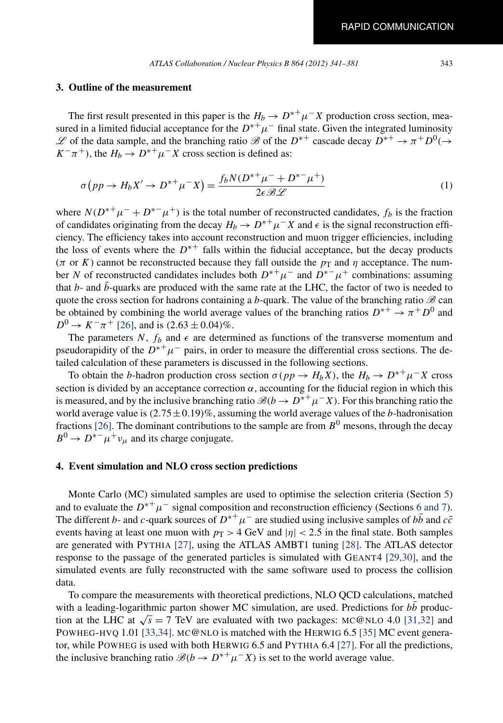# <span id="page-2-0"></span>**3. Outline of the measurement**

The first result presented in this paper is the  $H_b \to D^{*+} \mu^- X$  production cross section, measured in a limited fiducial acceptance for the  $D^{*+}\mu^-$  final state. Given the integrated luminosity  $\mathscr L$  of the data sample, and the branching ratio  $\mathscr B$  of the  $D^{*+}$  cascade decay  $D^{*+} \to \pi^+ D^0(\to \mathscr D)$  $K^-\pi^+$ ), the  $H_b \to D^{*+}\mu^- X$  cross section is defined as:

$$
\sigma\left(pp \to H_b X' \to D^{*+} \mu^- X\right) = \frac{f_b N (D^{*+} \mu^- + D^{*-} \mu^+)}{2 \epsilon \mathcal{B} \mathcal{L}} \tag{1}
$$

where  $N(D^* + \mu^- + D^{*-}\mu^+)$  is the total number of reconstructed candidates,  $f_b$  is the fraction of candidates originating from the decay  $H_b \to D^{*+} \mu^- X$  and  $\epsilon$  is the signal reconstruction efficiency. The efficiency takes into account reconstruction and muon trigger efficiencies, including the loss of events where the  $D^*$ <sup>+</sup> falls within the fiducial acceptance, but the decay products ( $\pi$  or *K*) cannot be reconstructed because they fall outside the  $p_T$  and  $\eta$  acceptance. The number *N* of reconstructed candidates includes both  $D^{*+}\mu^-$  and  $D^{*-}\mu^+$  combinations: assuming that  $b$ - and  $\bar{b}$ -quarks are produced with the same rate at the LHC, the factor of two is needed to quote the cross section for hadrons containing a *b*-quark. The value of the branching ratio  $\mathscr{B}$  can be obtained by combining the world average values of the branching ratios  $D^{*+} \rightarrow \pi^+ D^0$  and  $D^0 \rightarrow K^- \pi^+$  [\[26\],](#page-16-0) and is  $(2.63 \pm 0.04)\%$ .

The parameters *N*,  $f_b$  and  $\epsilon$  are determined as functions of the transverse momentum and pseudorapidity of the  $D^{*+}\mu^-$  pairs, in order to measure the differential cross sections. The detailed calculation of these parameters is discussed in the following sections.

To obtain the *b*-hadron production cross section  $\sigma(pp \to H_bX)$ , the  $H_b \to D^{*+} \mu^- X$  cross section is divided by an acceptance correction  $\alpha$ , accounting for the fiducial region in which this is measured, and by the inclusive branching ratio  $\mathscr{B}(b \to D^{*+}\mu^-X)$ . For this branching ratio the world average value is  $(2.75 \pm 0.19)\%$ , assuming the world average values of the *b*-hadronisation fractions [\[26\].](#page-16-0) The dominant contributions to the sample are from  $B^0$  mesons, through the decay  $B^0 \rightarrow D^{*-} \mu^+ \nu_\mu$  and its charge conjugate.

## **4. Event simulation and NLO cross section predictions**

Monte Carlo (MC) simulated samples are used to optimise the selection criteria (Section [5\)](#page-3-0) and to evaluate the  $D^{*+}\mu^-$  signal composition and reconstruction efficiency (Sections [6 and 7\)](#page-5-0). The different *b*- and *c*-quark sources of  $D^*$ + $\mu^-$  are studied using inclusive samples of  $b\bar{b}$  and  $c\bar{c}$ events having at least one muon with  $p_T > 4$  GeV and  $|\eta| < 2.5$  in the final state. Both samples are generated with PYTHIA [\[27\],](#page-16-0) using the ATLAS AMBT1 tuning [\[28\].](#page-16-0) The ATLAS detector response to the passage of the generated particles is simulated with GEANT4 [\[29,30\],](#page-16-0) and the simulated events are fully reconstructed with the same software used to process the collision data.

To compare the measurements with theoretical predictions, NLO QCD calculations, matched with a leading-logarithmic parton shower MC simulation, are used. Predictions for  $b\bar{b}$  production at the LHC at  $\sqrt{s}$  = 7 TeV are evaluated with two packages: MC@NLO 4.0 [\[31,32\]](#page-16-0) and POWHEG-HVQ 1.01 [\[33,34\].](#page-16-0) MC@NLO is matched with the HERWIG 6.5 [\[35\]](#page-17-0) MC event generator, while POWHEG is used with both HERWIG 6.5 and PYTHIA 6.4 [\[27\].](#page-16-0) For all the predictions, the inclusive branching ratio  $\mathcal{B}(b \to D^{*+}\mu^- X)$  is set to the world average value.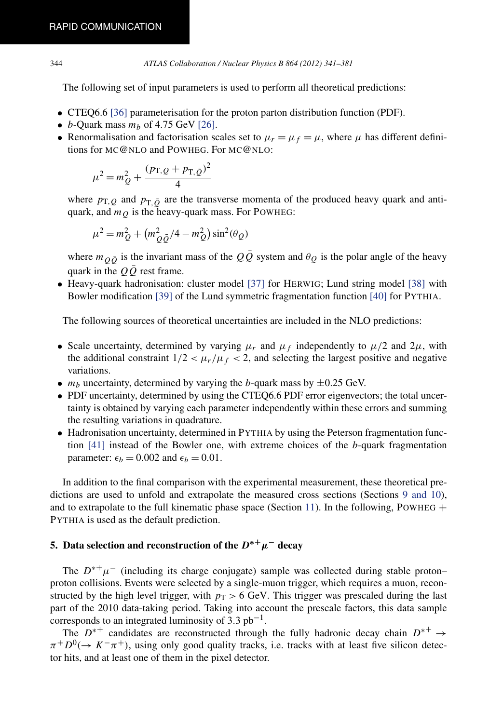<span id="page-3-0"></span>The following set of input parameters is used to perform all theoretical predictions:

- CTEQ6.6 [\[36\]](#page-17-0) parameterisation for the proton parton distribution function (PDF).
- *b*-Quark mass  $m_b$  of 4.75 GeV [\[26\].](#page-16-0)
- Renormalisation and factorisation scales set to  $\mu_r = \mu_f = \mu$ , where  $\mu$  has different definitions for MC@NLO and POWHEG. For MC@NLO:

$$
\mu^2 = m_Q^2 + \frac{(p_{\rm T,Q} + p_{\rm T,\bar{Q}})^2}{4}
$$

where  $p_{T,Q}$  and  $p_{T,\bar{Q}}$  are the transverse momenta of the produced heavy quark and antiquark, and  $m_Q$  is the heavy-quark mass. For POWHEG:

$$
\mu^{2} = m_{Q}^{2} + (m_{Q\bar{Q}}^{2}/4 - m_{Q}^{2})\sin^{2}(\theta_{Q})
$$

where  $m_{Q\bar{Q}}$  is the invariant mass of the  $Q\bar{Q}$  system and  $\theta_{Q}$  is the polar angle of the heavy quark in the  $\overline{O}$  *Q* rest frame.

• Heavy-quark hadronisation: cluster model [\[37\]](#page-17-0) for HERWIG; Lund string model [\[38\]](#page-17-0) with Bowler modification [\[39\]](#page-17-0) of the Lund symmetric fragmentation function [\[40\]](#page-17-0) for PYTHIA.

The following sources of theoretical uncertainties are included in the NLO predictions:

- Scale uncertainty, determined by varying  $\mu_r$  and  $\mu_f$  independently to  $\mu/2$  and  $2\mu$ , with the additional constraint  $1/2 < \mu_r/\mu_f < 2$ , and selecting the largest positive and negative variations.
- $m_b$  uncertainty, determined by varying the *b*-quark mass by  $\pm 0.25$  GeV.
- PDF uncertainty, determined by using the CTEQ6.6 PDF error eigenvectors; the total uncertainty is obtained by varying each parameter independently within these errors and summing the resulting variations in quadrature.
- Hadronisation uncertainty, determined in PYTHIA by using the Peterson fragmentation function [\[41\]](#page-17-0) instead of the Bowler one, with extreme choices of the *b*-quark fragmentation parameter:  $\epsilon_b = 0.002$  and  $\epsilon_b = 0.01$ .

In addition to the final comparison with the experimental measurement, these theoretical predictions are used to unfold and extrapolate the measured cross sections (Sections [9 and 10\)](#page-9-0), and to extrapolate to the full kinematic phase space (Section [11\)](#page-14-0). In the following, POWHEG  $+$ PYTHIA is used as the default prediction.

# **5.** Data selection and reconstruction of the  $D^*$ <sup>+</sup> $\mu$ <sup>-</sup> decay

The  $D^{*+}\mu^-$  (including its charge conjugate) sample was collected during stable proton– proton collisions. Events were selected by a single-muon trigger, which requires a muon, reconstructed by the high level trigger, with  $p_T > 6$  GeV. This trigger was prescaled during the last part of the 2010 data-taking period. Taking into account the prescale factors, this data sample corresponds to an integrated luminosity of 3*.*3 pb−1.

The  $D^{*+}$  candidates are reconstructed through the fully hadronic decay chain  $D^{*+} \rightarrow$  $\pi^+D^0$ ( $\rightarrow$  *K*<sup>−</sup>*π*<sup>+</sup>), using only good quality tracks, i.e. tracks with at least five silicon detector hits, and at least one of them in the pixel detector.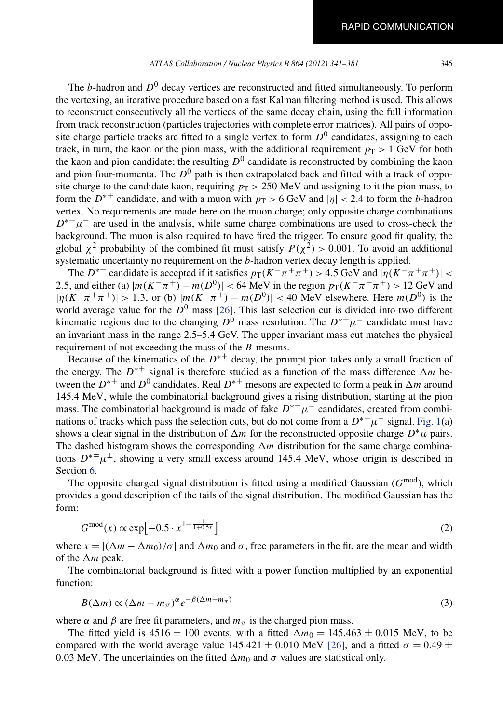The *b*-hadron and  $D^0$  decay vertices are reconstructed and fitted simultaneously. To perform the vertexing, an iterative procedure based on a fast Kalman filtering method is used. This allows to reconstruct consecutively all the vertices of the same decay chain, using the full information from track reconstruction (particles trajectories with complete error matrices). All pairs of opposite charge particle tracks are fitted to a single vertex to form  $D^0$  candidates, assigning to each track, in turn, the kaon or the pion mass, with the additional requirement  $p_T > 1$  GeV for both the kaon and pion candidate; the resulting  $D<sup>0</sup>$  candidate is reconstructed by combining the kaon and pion four-momenta. The  $D^0$  path is then extrapolated back and fitted with a track of opposite charge to the candidate kaon, requiring  $p_T > 250$  MeV and assigning to it the pion mass, to form the  $D^{*+}$  candidate, and with a muon with  $p_T > 6$  GeV and  $|\eta| < 2.4$  to form the *b*-hadron vertex. No requirements are made here on the muon charge; only opposite charge combinations  $D^*$ <sup>+</sup> $\mu^-$  are used in the analysis, while same charge combinations are used to cross-check the background. The muon is also required to have fired the trigger. To ensure good fit quality, the global *χ*<sup>2</sup> probability of the combined fit must satisfy  $P(\chi^2) > 0.001$ . To avoid an additional systematic uncertainty no requirement on the *b*-hadron vertex decay length is applied.

The *D*<sup>∗+</sup> candidate is accepted if it satisfies  $p_T(K^-\pi^+\pi^+) > 4.5$  GeV and  $| \eta(K^-\pi^+\pi^+) |$ 2.5, and either (a)  $|m(K^-\pi^+) - m(D^0)| < 64$  MeV in the region  $p_T(K^-\pi^+\pi^+) > 12$  GeV and  $|\eta(K^-\pi^+\pi^+)| > 1.3$ , or (b)  $|m(K^-\pi^+) - m(D^0)| < 40$  MeV elsewhere. Here  $m(D^0)$  is the world average value for the  $D^0$  mass [\[26\].](#page-16-0) This last selection cut is divided into two different kinematic regions due to the changing  $D^0$  mass resolution. The  $D^{*+}\mu^-$  candidate must have an invariant mass in the range 2.5–5.4 GeV. The upper invariant mass cut matches the physical requirement of not exceeding the mass of the *B*-mesons.

Because of the kinematics of the  $D^{*+}$  decay, the prompt pion takes only a small fraction of the energy. The  $D^{*+}$  signal is therefore studied as a function of the mass difference  $\Delta m$  between the  $D^{*+}$  and  $D^0$  candidates. Real  $D^{*+}$  mesons are expected to form a peak in  $\Delta m$  around 145*.*4 MeV, while the combinatorial background gives a rising distribution, starting at the pion mass. The combinatorial background is made of fake  $D^*$ + $\mu$ <sup>−</sup> candidates, created from combinations of tracks which pass the selection cuts, but do not come from a  $D^{*+}\mu^-$  signal. [Fig. 1\(](#page-5-0)a) shows a clear signal in the distribution of  $\Delta m$  for the reconstructed opposite charge  $D^*\mu$  pairs. The dashed histogram shows the corresponding  $\Delta m$  distribution for the same charge combinations  $D^* \pm \mu \pm$ , showing a very small excess around 145.4 MeV, whose origin is described in Section [6.](#page-5-0)

The opposite charged signal distribution is fitted using a modified Gaussian (*G*mod), which provides a good description of the tails of the signal distribution. The modified Gaussian has the form:

$$
G^{\text{mod}}(x) \propto \exp\left[-0.5 \cdot x^{1 + \frac{1}{1 + 0.5x}}\right]
$$
 (2)

where  $x = |(\Delta m - \Delta m_0)/\sigma|$  and  $\Delta m_0$  and  $\sigma$ , free parameters in the fit, are the mean and width of the  $\Delta m$  peak.

The combinatorial background is fitted with a power function multiplied by an exponential function:

$$
B(\Delta m) \propto (\Delta m - m_{\pi})^{\alpha} e^{-\beta(\Delta m - m_{\pi})}
$$
\n(3)

where  $\alpha$  and  $\beta$  are free fit parameters, and  $m_\pi$  is the charged pion mass.

The fitted yield is  $4516 \pm 100$  events, with a fitted  $\Delta m_0 = 145.463 \pm 0.015$  MeV, to be compared with the world average value  $145.421 \pm 0.010$  MeV [\[26\],](#page-16-0) and a fitted  $\sigma = 0.49 \pm 0.010$ 0.03 MeV. The uncertainties on the fitted  $\Delta m_0$  and  $\sigma$  values are statistical only.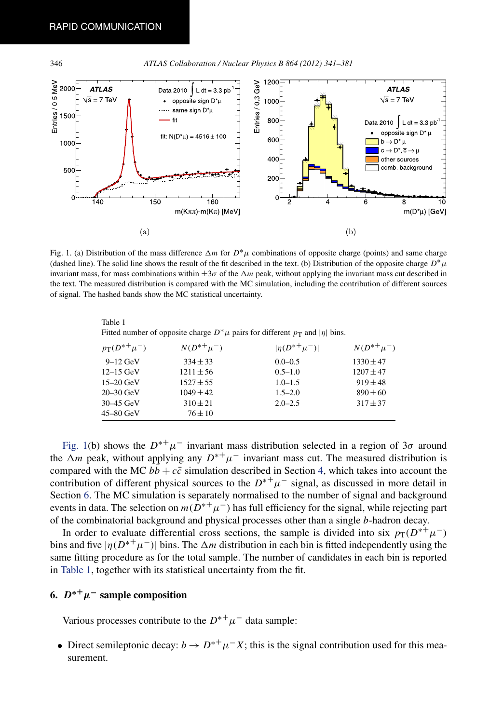*ATLAS Collaboration / Nuclear Physics B 864 (2012) 341–381*

<span id="page-5-0"></span>

Fig. 1. (a) Distribution of the mass difference  $\Delta m$  for  $D^*\mu$  combinations of opposite charge (points) and same charge (dashed line). The solid line shows the result of the fit described in the text. (b) Distribution of the opposite charge  $D^*$ <sup>*µ*</sup> invariant mass, for mass combinations within  $\pm 3\sigma$  of the  $\Delta m$  peak, without applying the invariant mass cut described in the text. The measured distribution is compared with the MC simulation, including the contribution of different sources of signal. The hashed bands show the MC statistical uncertainty.

| танне т                                                                                |                    |                         |                  |  |  |  |
|----------------------------------------------------------------------------------------|--------------------|-------------------------|------------------|--|--|--|
| Fitted number of opposite charge $D^*\mu$ pairs for different $p_T$ and $ \eta $ bins. |                    |                         |                  |  |  |  |
| $p_T(D^{*+}\mu^-)$                                                                     | $N(D^{*+}\mu^{-})$ | $ \eta(D^{*+}\mu^{-}) $ | $N(D^{*+}\mu^-)$ |  |  |  |
| $9-12$ GeV                                                                             | $334 \pm 33$       | $0.0 - 0.5$             | $1330 \pm 47$    |  |  |  |
| $12-15$ GeV                                                                            | $1211 \pm 56$      | $0.5 - 1.0$             | $1207 \pm 47$    |  |  |  |
| $15 - 20 \text{ GeV}$                                                                  | $1527 \pm 55$      | $1.0 - 1.5$             | $919 + 48$       |  |  |  |
| $20 - 30$ GeV                                                                          | $1049 \pm 42$      | $1.5 - 2.0$             | $890 \pm 60$     |  |  |  |
|                                                                                        |                    |                         |                  |  |  |  |

 $30-45 \text{ GeV}$   $310 \pm 21$   $2.0-2.5$   $317 \pm 37$ 

Fig. 1(b) shows the  $D^{*+}\mu^-$  invariant mass distribution selected in a region of 3 $\sigma$  around the  $\Delta m$  peak, without applying any  $D^{*+}\mu^-$  invariant mass cut. The measured distribution is compared with the MC  $b\bar{b} + c\bar{c}$  simulation described in Section [4,](#page-2-0) which takes into account the contribution of different physical sources to the  $D^{*+}\mu^-$  signal, as discussed in more detail in Section 6. The MC simulation is separately normalised to the number of signal and background events in data. The selection on  $m(D^*+\mu^-)$  has full efficiency for the signal, while rejecting part of the combinatorial background and physical processes other than a single *b*-hadron decay.

In order to evaluate differential cross sections, the sample is divided into six  $p_T(D^{*+}\mu^-)$ bins and five  $|\eta(D^* + \mu^{-})|$  bins. The  $\Delta m$  distribution in each bin is fitted independently using the same fitting procedure as for the total sample. The number of candidates in each bin is reported in Table 1, together with its statistical uncertainty from the fit.

# **6.**  $D^{*+}\mu$ <sup>–</sup> **sample composition**

 $T = 1.1 - 1$ 

45–80 GeV  $76 \pm 10$ 

Various processes contribute to the  $D^{*+} \mu^-$  data sample:

• Direct semileptonic decay:  $b \to D^{*+} \mu^- X$ ; this is the signal contribution used for this measurement.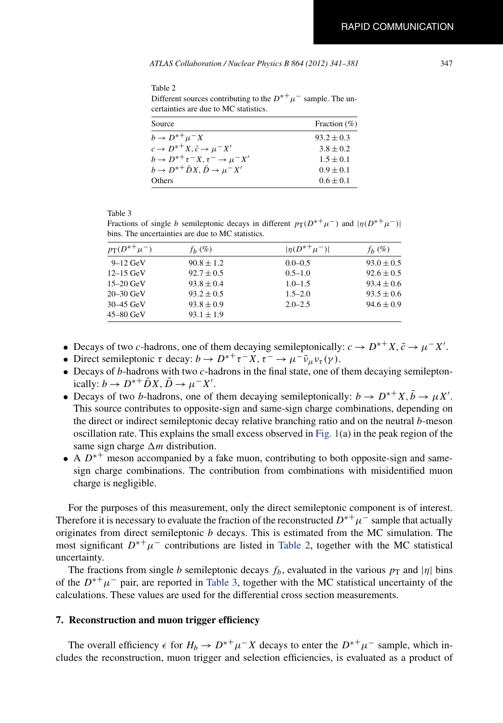347

Table 2 Different sources contributing to the  $D^{*+} \mu^-$  sample. The uncertainties are due to MC statistics.

| Source                                                         | Fraction $(\%)$ |
|----------------------------------------------------------------|-----------------|
| $b \rightarrow D^{*+} \mu^- X$                                 | $93.2 \pm 0.3$  |
| $c \rightarrow D^{*+}X, \bar{c} \rightarrow \mu^-X'$           | $3.8 + 0.2$     |
| $b \rightarrow D^{*+} \tau^- X, \tau^- \rightarrow \mu^- X'$   | $1.5 \pm 0.1$   |
| $b \rightarrow D^{*+} \bar{D} X, \bar{D} \rightarrow \mu^- X'$ | $0.9 \pm 0.1$   |
| Others                                                         | $0.6 \pm 0.1$   |

Table 3

Fractions of single *b* semileptonic decays in different  $p_T(D^{*+}\mu^-)$  and  $|n(D^{*+}\mu^-)|$ bins. The uncertainties are due to MC statistics.

| $p_T(D^{*+}\mu^-)$ | $f_h(\%)$      | $ \eta(D^{*+}\mu^{-}) $ | $f_h$ (%)      |
|--------------------|----------------|-------------------------|----------------|
| $9-12$ GeV         | $90.8 \pm 1.2$ | $0.0 - 0.5$             | $93.0 \pm 0.5$ |
| $12 - 15$ GeV      | $92.7 \pm 0.5$ | $0.5 - 1.0$             | $92.6 \pm 0.5$ |
| $15-20$ GeV        | $93.8 \pm 0.4$ | $1.0 - 1.5$             | $93.4 \pm 0.6$ |
| $20 - 30$ GeV      | $93.2 \pm 0.5$ | $1.5 - 2.0$             | $93.5 \pm 0.6$ |
| $30 - 45$ GeV      | $93.8 \pm 0.9$ | $2.0 - 2.5$             | $94.6 \pm 0.9$ |
| $45 - 80$ GeV      | $93.1 \pm 1.9$ |                         |                |

- Decays of two *c*-hadrons, one of them decaying semileptonically:  $c \rightarrow D^{*+}X$ ,  $\bar{c} \rightarrow \mu^-X'$ .
- Direct semileptonic  $\tau$  decay:  $b \to D^{*+} \tau^- X$ ,  $\tau^- \to \mu^- \bar{\nu}_\mu \nu_\tau(\gamma)$ .
- Decays of *b*-hadrons with two *c*-hadrons in the final state, one of them decaying semileptonically:  $b \to D^{*+}DX$ ,  $D \to \mu^-X'$ .
- Decays of two *b*-hadrons, one of them decaying semileptonically:  $b \rightarrow D^{*+}X$ ,  $b \rightarrow \mu X'$ . This source contributes to opposite-sign and same-sign charge combinations, depending on the direct or indirect semileptonic decay relative branching ratio and on the neutral *b*-meson oscillation rate. This explains the small excess observed in [Fig. 1\(](#page-5-0)a) in the peak region of the same sign charge  $\Delta m$  distribution.
- A  $D^{*+}$  meson accompanied by a fake muon, contributing to both opposite-sign and samesign charge combinations. The contribution from combinations with misidentified muon charge is negligible.

For the purposes of this measurement, only the direct semileptonic component is of interest. Therefore it is necessary to evaluate the fraction of the reconstructed  $D^*$ + $\mu^-$  sample that actually originates from direct semileptonic *b* decays. This is estimated from the MC simulation. The most significant  $D^*$ <sup>+</sup> $\mu^-$  contributions are listed in Table 2, together with the MC statistical uncertainty.

The fractions from single *b* semileptonic decays  $f_b$ , evaluated in the various  $p_T$  and  $|\eta|$  bins of the  $D^{*+}\mu^-$  pair, are reported in Table 3, together with the MC statistical uncertainty of the calculations. These values are used for the differential cross section measurements.

# **7. Reconstruction and muon trigger efficiency**

The overall efficiency  $\epsilon$  for  $H_b \to D^{*+} \mu^- X$  decays to enter the  $D^{*+} \mu^-$  sample, which includes the reconstruction, muon trigger and selection efficiencies, is evaluated as a product of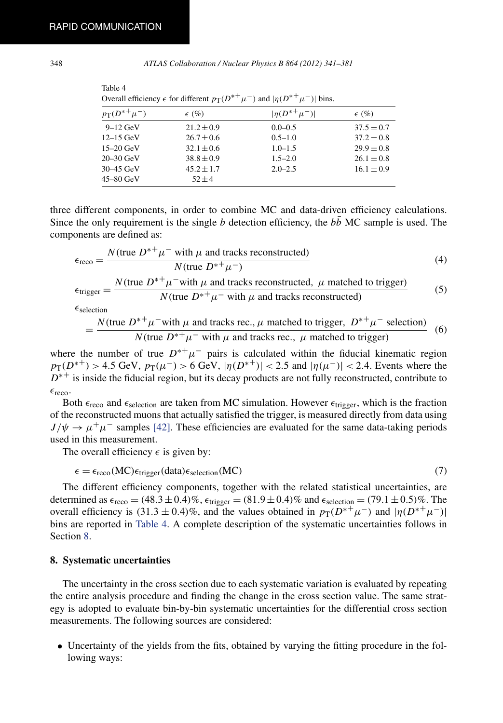*ATLAS Collaboration / Nuclear Physics B 864 (2012) 341–381*

|                    |                | Overall emerging $\epsilon$ for different $p_{\perp}(\nu - \mu)$ and $\eta(\nu - \mu)$ forms. |                |
|--------------------|----------------|-----------------------------------------------------------------------------------------------|----------------|
| $p_T(D^{*+}\mu^-)$ | $\epsilon$ (%) | $ \eta(D^{*+}\mu^{-}) $                                                                       | $\epsilon$ (%) |
| $9-12$ GeV         | $21.2 \pm 0.9$ | $0.0 - 0.5$                                                                                   | $37.5 \pm 0.7$ |
| $12 - 15$ GeV      | $26.7 \pm 0.6$ | $0.5 - 1.0$                                                                                   | $37.2 \pm 0.8$ |
| $15-20$ GeV        | $32.1 \pm 0.6$ | $1.0 - 1.5$                                                                                   | $29.9 \pm 0.8$ |
| $20-30$ GeV        | $38.8 \pm 0.9$ | $1.5 - 2.0$                                                                                   | $26.1 \pm 0.8$ |
| $30-45$ GeV        | $45.2 \pm 1.7$ | $2.0 - 2.5$                                                                                   | $16.1 \pm 0.9$ |
| $45-80$ GeV        | $52 \pm 4$     |                                                                                               |                |

<span id="page-7-0"></span>Table 4  $\frac{1}{2}$  Overall efficiency  $\epsilon$  for different  $p_T(D^*+u^-)$  and  $p(D^*+u^-)$  bins.

three different components, in order to combine MC and data-driven efficiency calculations. Since the only requirement is the single *b* detection efficiency, the  $b\bar{b}$  MC sample is used. The components are defined as:

$$
\epsilon_{\text{reco}} = \frac{N(\text{true } D^{*+} \mu^- \text{ with } \mu \text{ and tracks reconstructed})}{N(\text{true } D^{*+} \mu^-)}
$$
(4)

$$
\epsilon_{\text{trigger}} = \frac{N(\text{true } D^{*+} \mu^- \text{with } \mu \text{ and tracks reconstructed, } \mu \text{ matched to trigger})}{N(\text{true } D^{*+} \mu^- \text{ with } \mu \text{ and tracks reconstructed})}
$$
(5)

 $\epsilon$ selection

$$
= \frac{N(\text{true }D^{*+}\mu^- \text{with } \mu \text{ and tracks rec., } \mu \text{ matched to trigger, } D^{*+}\mu^- \text{ selection})}{N(\text{true }D^{*+}\mu^- \text{ with } \mu \text{ and tracks rec., } \mu \text{ matched to trigger})}
$$
(6)

where the number of true  $D^{*+}\mu^-$  pairs is calculated within the fiducial kinematic region  $p_T(D^{*+}) > 4.5$  GeV,  $p_T(\mu^-) > 6$  GeV,  $|\eta(D^{*+})| < 2.5$  and  $|\eta(\mu^-)| < 2.4$ . Events where the *D*<sup>∗+</sup> is inside the fiducial region, but its decay products are not fully reconstructed, contribute to  $\epsilon_{\text{reco}}$ .

Both  $\epsilon_{\text{reco}}$  and  $\epsilon_{\text{selection}}$  are taken from MC simulation. However  $\epsilon_{\text{trigger}}$ , which is the fraction of the reconstructed muons that actually satisfied the trigger, is measured directly from data using  $J/\psi \to \mu^+\mu^-$  samples [\[42\].](#page-17-0) These efficiencies are evaluated for the same data-taking periods used in this measurement.

The overall efficiency  $\epsilon$  is given by:

$$
\epsilon = \epsilon_{\text{reco}}(\text{MC})\epsilon_{\text{trigger}}(\text{data})\epsilon_{\text{selection}}(\text{MC})\tag{7}
$$

The different efficiency components, together with the related statistical uncertainties, are determined as  $\epsilon_{\text{reco}} = (48.3 \pm 0.4)\%$ ,  $\epsilon_{\text{trigger}} = (81.9 \pm 0.4)\%$  and  $\epsilon_{\text{selection}} = (79.1 \pm 0.5)\%$ . The overall efficiency is  $(31.3 \pm 0.4)\%$ , and the values obtained in  $p_T(D^{*+}\mu^-)$  and  $|{\eta(D^{*+}\mu^-)}|$ bins are reported in Table 4. A complete description of the systematic uncertainties follows in Section 8.

## **8. Systematic uncertainties**

The uncertainty in the cross section due to each systematic variation is evaluated by repeating the entire analysis procedure and finding the change in the cross section value. The same strategy is adopted to evaluate bin-by-bin systematic uncertainties for the differential cross section measurements. The following sources are considered:

• Uncertainty of the yields from the fits, obtained by varying the fitting procedure in the following ways: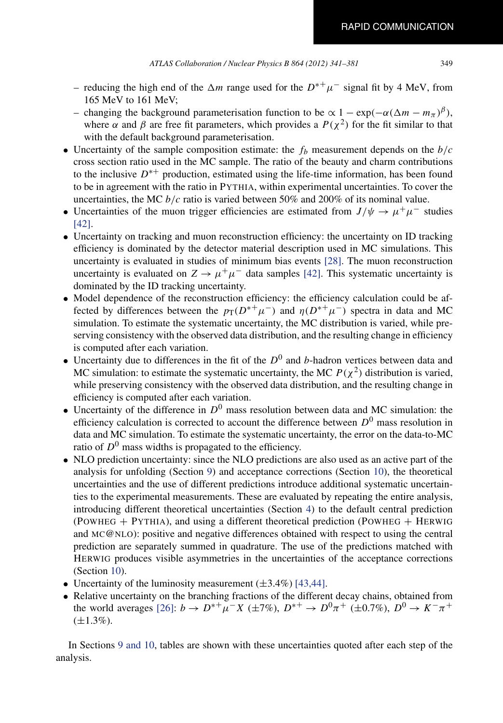- reducing the high end of the  $\Delta m$  range used for the  $D^{*+}\mu^-$  signal fit by 4 MeV, from 165 MeV to 161 MeV;
- changing the background parameterisation function to be  $\alpha$  1 − exp( $-\alpha(\Delta m m_{\pi})^{\beta}$ ), where  $\alpha$  and  $\beta$  are free fit parameters, which provides a  $P(\chi^2)$  for the fit similar to that with the default background parameterisation.
- Uncertainty of the sample composition estimate: the  $f<sub>b</sub>$  measurement depends on the  $b/c$ cross section ratio used in the MC sample. The ratio of the beauty and charm contributions to the inclusive  $D^*$ <sup>+</sup> production, estimated using the life-time information, has been found to be in agreement with the ratio in PYTHIA, within experimental uncertainties. To cover the uncertainties, the MC *b/c* ratio is varied between 50% and 200% of its nominal value.
- Uncertainties of the muon trigger efficiencies are estimated from  $J/\psi \to \mu^+\mu^-$  studies [\[42\].](#page-17-0)
- Uncertainty on tracking and muon reconstruction efficiency: the uncertainty on ID tracking efficiency is dominated by the detector material description used in MC simulations. This uncertainty is evaluated in studies of minimum bias events [\[28\].](#page-16-0) The muon reconstruction uncertainty is evaluated on  $Z \rightarrow \mu^+\mu^-$  data samples [\[42\].](#page-17-0) This systematic uncertainty is dominated by the ID tracking uncertainty.
- Model dependence of the reconstruction efficiency: the efficiency calculation could be affected by differences between the  $p_T(D^*+\mu^-)$  and  $\eta(D^*+\mu^-)$  spectra in data and MC simulation. To estimate the systematic uncertainty, the MC distribution is varied, while preserving consistency with the observed data distribution, and the resulting change in efficiency is computed after each variation.
- Uncertainty due to differences in the fit of the  $D^0$  and *b*-hadron vertices between data and MC simulation: to estimate the systematic uncertainty, the MC  $P(\chi^2)$  distribution is varied, while preserving consistency with the observed data distribution, and the resulting change in efficiency is computed after each variation.
- Uncertainty of the difference in  $D^0$  mass resolution between data and MC simulation: the efficiency calculation is corrected to account the difference between  $D^0$  mass resolution in data and MC simulation. To estimate the systematic uncertainty, the error on the data-to-MC ratio of  $D^0$  mass widths is propagated to the efficiency.
- NLO prediction uncertainty: since the NLO predictions are also used as an active part of the analysis for unfolding (Section [9\)](#page-9-0) and acceptance corrections (Section [10\)](#page-11-0), the theoretical uncertainties and the use of different predictions introduce additional systematic uncertainties to the experimental measurements. These are evaluated by repeating the entire analysis, introducing different theoretical uncertainties (Section [4\)](#page-2-0) to the default central prediction (POWHEG + PYTHIA), and using a different theoretical prediction (POWHEG + HERWIG and MC@NLO): positive and negative differences obtained with respect to using the central prediction are separately summed in quadrature. The use of the predictions matched with HERWIG produces visible asymmetries in the uncertainties of the acceptance corrections (Section [10\)](#page-11-0).
- Uncertainty of the luminosity measurement  $(\pm 3.4\%)$  [\[43,44\].](#page-17-0)
- Relative uncertainty on the branching fractions of the different decay chains, obtained from the world averages [\[26\]:](#page-16-0)  $b \to D^{*+} \mu^- X$  (±7%),  $D^{*+} \to D^0 \pi^+$  (±0.7%),  $D^0 \to K^- \pi^+$  $(\pm 1.3\%)$ .

In Sections [9 and 10,](#page-9-0) tables are shown with these uncertainties quoted after each step of the analysis.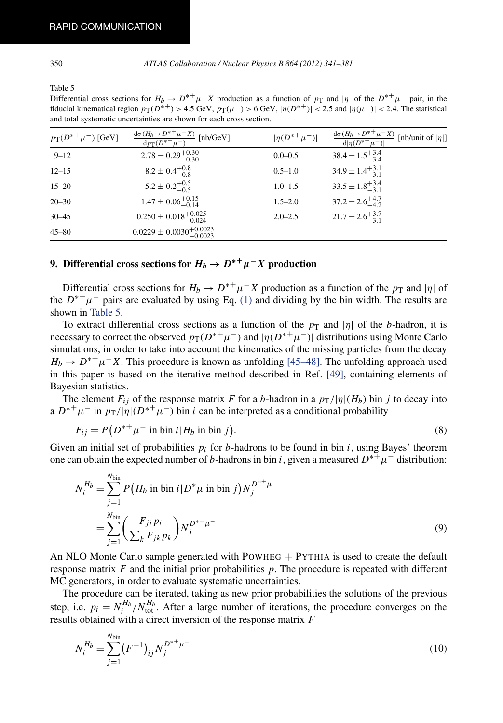<span id="page-9-0"></span>Table 5

Differential cross sections for  $H_b \to D^{*+} \mu^- X$  production as a function of  $p_T$  and  $|\eta|$  of the  $D^{*+} \mu^-$  pair, in the fiducial kinematical region  $p_T(D^*+$  > 4.5 GeV,  $p_T(\mu^-)$  > 6 GeV,  $|\eta(D^{*+})|$  < 2.5 and  $|\eta(\mu^-)|$  < 2.4. The statistical and total systematic uncertainties are shown for each cross section.

| $p_T(D^{*+}\mu^-)$ [GeV] | $\frac{d\sigma(H_b \to D^{*+}\mu^- X)}{dp_T(D^{*+}\mu^-)}$ [nb/GeV] | $ \eta(D^{*+}\mu^{-}) $ | $\frac{d\sigma(H_b \to D^{*+}\mu^- X)}{d \eta(D^{*+}\mu^-) }$ [nb/unit of $ \eta $ ] |
|--------------------------|---------------------------------------------------------------------|-------------------------|--------------------------------------------------------------------------------------|
| $9 - 12$                 | $2.78 \pm 0.29_{-0.30}^{+0.30}$                                     | $0.0 - 0.5$             | $38.4 \pm 1.5^{+3.4}_{-3.4}$                                                         |
| $12 - 15$                | $8.2 \pm 0.4^{+0.8}_{-0.8}$                                         | $0.5 - 1.0$             | $34.9 \pm 1.4^{+3.1}_{-3.1}$                                                         |
| $15 - 20$                | $5.2 \pm 0.2^{+0.5}_{-0.5}$                                         | $1.0 - 1.5$             | $33.5 \pm 1.8^{+3.4}_{-3.1}$                                                         |
| $20 - 30$                | $1.47 \pm 0.06_{-0.14}^{+0.15}$                                     | $1.5 - 2.0$             | $37.2 \pm 2.6^{+4.7}_{-4.2}$                                                         |
| $30 - 45$                | $0.250 \pm 0.018_{-0.024}^{+0.025}$                                 | $2.0 - 2.5$             | $21.7 \pm 2.6^{+3.7}_{-3.1}$                                                         |
| $45 - 80$                | $0.0229 \pm 0.0030_{-0.0023}^{+0.0023}$                             |                         |                                                                                      |

# **9. Differential cross sections for**  $H_b \to D^{*+} \mu^- X$  production

Differential cross sections for  $H_b \to D^{*+} \mu^- X$  production as a function of the  $p_T$  and |*η*| of the  $D^{*+}\mu^-$  pairs are evaluated by using Eq. [\(1\)](#page-2-0) and dividing by the bin width. The results are shown in Table 5.

To extract differential cross sections as a function of the  $p_T$  and  $|\eta|$  of the *b*-hadron, it is necessary to correct the observed  $p_T(D^{*+}\mu^-)$  and  $|\eta(D^{*+}\mu^-)|$  distributions using Monte Carlo simulations, in order to take into account the kinematics of the missing particles from the decay  $H_b \to D^{*+} \mu^- X$ . This procedure is known as unfolding [\[45–48\].](#page-17-0) The unfolding approach used in this paper is based on the iterative method described in Ref. [\[49\],](#page-17-0) containing elements of Bayesian statistics.

The element  $F_{ij}$  of the response matrix *F* for a *b*-hadron in a  $p_T/|\eta| (H_b)$  bin *j* to decay into a  $D^{*+}\mu^-$  in  $p_T/|\eta| (D^{*+}\mu^-)$  bin *i* can be interpreted as a conditional probability

$$
F_{ij} = P(D^{*+}\mu^{-} \text{ in bin } i | H_b \text{ in bin } j). \tag{8}
$$

Given an initial set of probabilities  $p_i$  for *b*-hadrons to be found in bin *i*, using Bayes' theorem one can obtain the expected number of *b*-hadrons in bin *i*, given a measured  $D^{*+}\mu^-$  distribution:

$$
N_i^{H_b} = \sum_{j=1}^{N_{\text{bin}}} P(H_b \text{ in bin } i | D^* \mu \text{ in bin } j) N_j^{D^{*+} \mu^-}
$$
  
= 
$$
\sum_{j=1}^{N_{\text{bin}}} \left( \frac{F_{ji} p_i}{\sum_k F_{jk} p_k} \right) N_j^{D^{*+} \mu^-}
$$
 (9)

An NLO Monte Carlo sample generated with POWHEG + PYTHIA is used to create the default response matrix  $F$  and the initial prior probabilities  $p$ . The procedure is repeated with different MC generators, in order to evaluate systematic uncertainties.

The procedure can be iterated, taking as new prior probabilities the solutions of the previous step, i.e.  $p_i = N_i^{H_b} / N_{\text{tot}}^{H_b}$ . After a large number of iterations, the procedure converges on the results obtained with a direct inversion of the response matrix *F*

$$
N_i^{H_b} = \sum_{j=1}^{N_{\text{bin}}} (F^{-1})_{ij} N_j^{D^{*+}\mu^-}
$$
\n(10)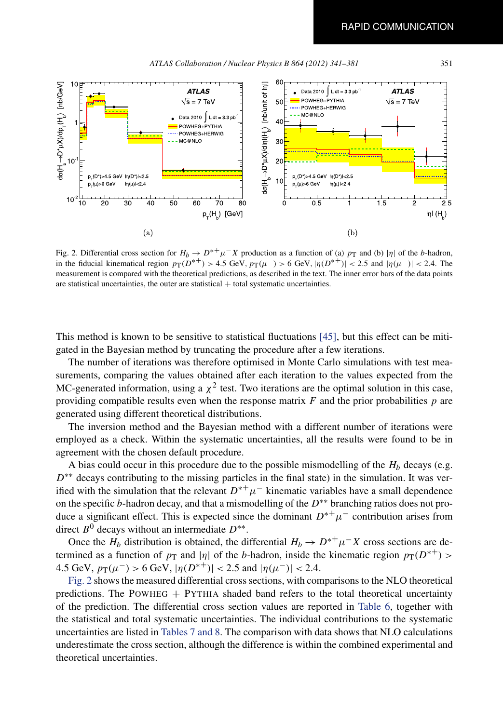<span id="page-10-0"></span>

Fig. 2. Differential cross section for  $H_b \to D^{*+} \mu^- X$  production as a function of (a)  $p_T$  and (b)  $|\eta|$  of the *b*-hadron, in the fiducial kinematical region  $p_T(D^{*+}) > 4.5$  GeV,  $p_T(\mu^{-}) > 6$  GeV,  $|\eta(D^{*+})| < 2.5$  and  $|\eta(\mu^{-})| < 2.4$ . The measurement is compared with the theoretical predictions, as described in the text. The inner error bars of the data points are statistical uncertainties, the outer are statistical  $+$  total systematic uncertainties.

This method is known to be sensitive to statistical fluctuations [\[45\],](#page-17-0) but this effect can be mitigated in the Bayesian method by truncating the procedure after a few iterations.

The number of iterations was therefore optimised in Monte Carlo simulations with test measurements, comparing the values obtained after each iteration to the values expected from the MC-generated information, using a  $\chi^2$  test. Two iterations are the optimal solution in this case, providing compatible results even when the response matrix  $F$  and the prior probabilities  $p$  are generated using different theoretical distributions.

The inversion method and the Bayesian method with a different number of iterations were employed as a check. Within the systematic uncertainties, all the results were found to be in agreement with the chosen default procedure.

A bias could occur in this procedure due to the possible mismodelling of the  $H_b$  decays (e.g.  $D^*$ <sup>∗</sup> decays contributing to the missing particles in the final state) in the simulation. It was verified with the simulation that the relevant  $D^*$ <sup>+</sup> $\mu^-$  kinematic variables have a small dependence on the specific *b*-hadron decay, and that a mismodelling of the *D*∗∗ branching ratios does not produce a significant effect. This is expected since the dominant  $D^*$ <sup>+</sup> $\mu^-$  contribution arises from direct  $B^0$  decays without an intermediate  $D^{**}$ .

Once the  $H_b$  distribution is obtained, the differential  $H_b \to D^{*+} \mu^- X$  cross sections are determined as a function of  $p_T$  and  $|\eta|$  of the *b*-hadron, inside the kinematic region  $p_T(D^{*+})$  > 4.5 GeV,  $p_T(\mu^-) > 6$  GeV,  $|\eta(D^{*+})| < 2.5$  and  $|\eta(\mu^-)| < 2.4$ .

Fig. 2 shows the measured differential cross sections, with comparisons to the NLO theoretical predictions. The POWHEG  $+$  PYTHIA shaded band refers to the total theoretical uncertainty of the prediction. The differential cross section values are reported in [Table 6,](#page-11-0) together with the statistical and total systematic uncertainties. The individual contributions to the systematic uncertainties are listed in [Tables 7 and 8.](#page-12-0) The comparison with data shows that NLO calculations underestimate the cross section, although the difference is within the combined experimental and theoretical uncertainties.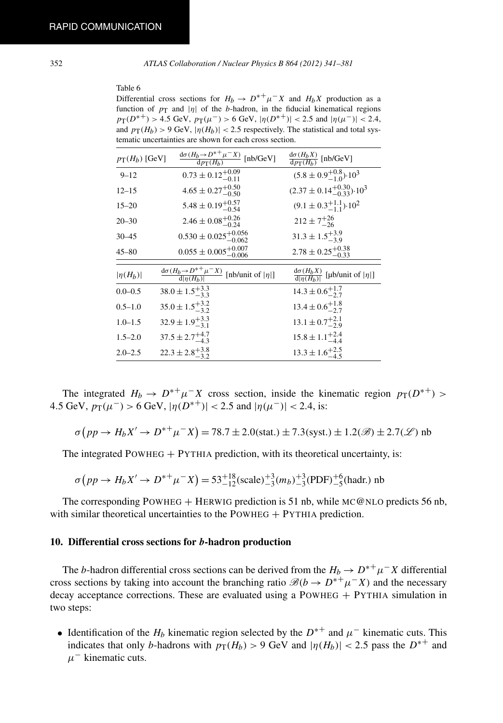<span id="page-11-0"></span>Table 6 Differential cross sections for  $H_b \to D^{*+} \mu^- X$  and  $H_b X$  production as a function of  $p_T$  and  $|\eta|$  of the *b*-hadron, in the fiducial kinematical regions  $p_T(D^{*+}) > 4.5$  GeV,  $p_T(\mu^-) > 6$  GeV,  $|\eta(D^{*+})| < 2.5$  and  $|\eta(\mu^-)| < 2.4$ , and  $p_T(H_b) > 9$  GeV,  $|\eta(H_b)| < 2.5$  respectively. The statistical and total systematic uncertainties are shown for each cross section.

| $p_{\rm T}(H_b)$ [GeV] | $\frac{d\sigma(H_b \to D^{*+}\mu^- X)}{d\rho_T(H_b)}$ [nb/GeV]               | $\frac{d\sigma(H_bX)}{dmT(H_b)}$ [nb/GeV]                  |
|------------------------|------------------------------------------------------------------------------|------------------------------------------------------------|
| $9 - 12$               | $0.73 \pm 0.12^{+0.09}_{-0.11}$                                              | $(5.8 \pm 0.9^{+0.8}_{-1.0}) \cdot 10^3$                   |
| $12 - 15$              | $4.65 \pm 0.27^{+0.50}_{-0.50}$                                              | $(2.37 \pm 0.14^{+0.30}_{-0.33})\cdot 10^3$                |
| $15 - 20$              | $5.48 \pm 0.19_{-0.54}^{+0.57}$                                              | $(9.1 \pm 0.3^{+1.1}_{-1.1}) \cdot 10^{2}$                 |
| 20–30                  | $2.46 \pm 0.08_{-0.24}^{+0.26}$                                              | $212 \pm 7^{+26}_{-26}$                                    |
| 30–45                  | $0.530 \pm 0.025_{-0.062}^{+0.056}$                                          | $31.3 \pm 1.5^{+3.9}_{-3.9}$                               |
| 45–80                  | $0.055 \pm 0.005_{-0.006}^{+0.007}$                                          | $2.78 \pm 0.25_{-0.33}^{+0.38}$                            |
|                        |                                                                              |                                                            |
| $ \eta(H_b) $          | $\frac{d\sigma(H_b \to D^{*+}\mu^- X)}{d \eta(H_b) }$ [nb/unit of $ \eta $ ] | $\frac{d\sigma(H_b X)}{d\ln(H_b)}$ [µb/unit of   $\eta$  ] |
| $0.0 - 0.5$            | $38.0 \pm 1.5^{+3.3}_{-3.3}$                                                 | $14.3 \pm 0.6^{+1.7}_{-2.7}$                               |
| $0.5 - 1.0$            | $35.0 \pm 1.5^{+3.2}_{-3.2}$                                                 | $13.4 \pm 0.6^{+1.8}_{-2.7}$                               |
| $1.0 - 1.5$            | $32.9 \pm 1.9^{+3.3}_{-3.1}$                                                 | $13.1 \pm 0.7^{+2.1}_{-2.9}$                               |
| $1.5 - 2.0$            | $37.5 \pm 2.7^{+4.7}_{-4.3}$                                                 | $15.8 \pm 1.1_{-4.4}^{+2.4}$                               |
| $2.0 - 2.5$            | $22.3 \pm 2.8^{+3.8}_{-3.2}$                                                 | $13.3 \pm 1.6^{+2.5}_{-4.5}$                               |

The integrated  $H_b \to D^{*+} \mu^- X$  cross section, inside the kinematic region  $p_T(D^{*+})$  > 4.5 GeV,  $p_T(\mu^-) > 6$  GeV,  $|\eta(D^{*+})| < 2.5$  and  $|\eta(\mu^-)| < 2.4$ , is:

$$
\sigma(p p \to H_b X' \to D^{*+} \mu^- X) = 78.7 \pm 2.0
$$
(stat.)  $\pm 7.3$ (syst.)  $\pm 1.2$ ( $\mathcal{B}$ )  $\pm 2.7$ ( $\mathcal{L}$ ) nb

The integrated POWHEG  $+$  PYTHIA prediction, with its theoretical uncertainty, is:

$$
\sigma(p p \to H_b X' \to D^{*+} \mu^- X) = 53^{+18}_{-12} \text{(scale)}^{+3}_{-3} \text{(m}_b)^{+3}_{-3} \text{(PDF)}^{+6}_{-5} \text{(hadr.) nb}
$$

The corresponding POWHEG + HERWIG prediction is 51 nb, while MC@NLO predicts 56 nb, with similar theoretical uncertainties to the  $PowerHETHIA$  prediction.

# **10. Differential cross sections for** *b***-hadron production**

The *b*-hadron differential cross sections can be derived from the  $H_b \to D^{*+} \mu^- X$  differential cross sections by taking into account the branching ratio  $\mathcal{B}(b \to D^{*+}\mu^- X)$  and the necessary decay acceptance corrections. These are evaluated using a POWHEG  $+$  PYTHIA simulation in two steps:

• Identification of the  $H_b$  kinematic region selected by the  $D^{*+}$  and  $\mu^-$  kinematic cuts. This indicates that only *b*-hadrons with  $p_T(H_b) > 9$  GeV and  $|\eta(H_b)| < 2.5$  pass the  $D^{*+}$  and *μ*− kinematic cuts.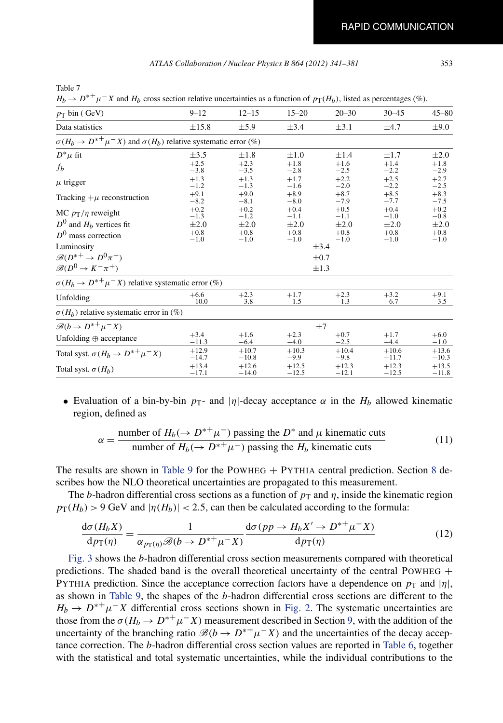353

<span id="page-12-0"></span>Table 7

| $H_b \to D^{*+} \mu^- X$ and $H_b$ cross section relative uncertainties as a function of $p_T(H_b)$ , listed as percentages (%). |  |
|----------------------------------------------------------------------------------------------------------------------------------|--|
|----------------------------------------------------------------------------------------------------------------------------------|--|

| $p_T$ bin (GeV)                                                                  | $9 - 12$           | $12 - 15$          | $15 - 20$          | $20 - 30$          | $30 - 45$          | $45 - 80$          |
|----------------------------------------------------------------------------------|--------------------|--------------------|--------------------|--------------------|--------------------|--------------------|
| Data statistics                                                                  | $\pm 15.8$         | ±5.9               | $\pm 3.4$          | $\pm 3.1$          | $\pm 4.7$          | $\pm$ 9.0          |
| $\sigma(H_h \to D^{*+} \mu^- X)$ and $\sigma(H_h)$ relative systematic error (%) |                    |                    |                    |                    |                    |                    |
| $D^*\mu$ fit                                                                     | $\pm$ 3.5          | $\pm 1.8$          | $\pm 1.0$          | $\pm 1.4$          | $\pm 1.7$          | $\pm 2.0$          |
| $f_b$                                                                            | $+2.5$<br>$-3.8$   | $+2.3$<br>$-3.5$   | $+1.8$<br>$-2.8$   | $+1.6$<br>$-2.5$   | $+1.4$<br>$-2.2$   | $+1.8$<br>$-2.9$   |
| $\mu$ trigger                                                                    | $+1.3$<br>$-1.2$   | $+1.3$<br>$-1.3$   | $+1.7$<br>$-1.6$   | $+2.2$<br>$-2.0$   | $+2.5$<br>$-2.2$   | $+2.7$<br>$-2.5$   |
| Tracking $+\mu$ reconstruction                                                   | $+9.1$<br>$-8.2$   | $+9.0$<br>$-8.1$   | $+8.9$<br>$-8.0$   | $+8.7$<br>$-7.9$   | $+8.5$<br>$-7.7$   | $+8.3$<br>$-7.5$   |
| MC $p_T/\eta$ reweight                                                           | $+0.2$<br>$-1.3$   | $+0.2$<br>$-1.2$   | $+0.4$<br>$-1.1$   | $+0.5$<br>$-1.1$   | $+0.4$<br>$-1.0$   | $+0.2$<br>$-0.8$   |
| $D^0$ and $H_b$ vertices fit                                                     | $\pm 2.0$          | $\pm 2.0$          | $\pm 2.0$          | $\pm 2.0$          | $\pm 2.0$          | $\pm 2.0$          |
| $D^0$ mass correction                                                            | $+0.8$<br>$-1.0$   | $+0.8$<br>$-1.0$   | $+0.8$<br>$-1.0$   | $+0.8$<br>$-1.0$   | $+0.8$<br>$-1.0$   | $+0.8$<br>$-1.0$   |
| Luminosity                                                                       |                    |                    |                    | $\pm$ 3.4          |                    |                    |
| $\mathcal{B}(D^{*+}\to D^0\pi^+)$                                                |                    |                    |                    | $\pm 0.7$          |                    |                    |
| $\mathcal{B}(D^0 \to K^- \pi^+)$                                                 |                    |                    |                    | $\pm 1.3$          |                    |                    |
| $\sigma(H_h \to D^{*+} \mu^- X)$ relative systematic error (%)                   |                    |                    |                    |                    |                    |                    |
| Unfolding                                                                        | $+6.6$<br>$-10.0$  | $+2.3$<br>$-3.8$   | $+1.7$<br>$-1.5$   | $+2.3$<br>$-1.3$   | $+3.2$<br>$-6.7$   | $+9.1$<br>$-3.5$   |
| $\sigma(H_h)$ relative systematic error in $(\%)$                                |                    |                    |                    |                    |                    |                    |
| $\mathcal{B}(b \to D^{*+} \mu^- X)$                                              |                    |                    |                    | $\pm 7$            |                    |                    |
| Unfolding $\oplus$ acceptance                                                    | $+3.4$<br>$-11.3$  | $+1.6$<br>$-6.4$   | $+2.3$<br>$-4.0$   | $+0.7$<br>$-2.5$   | $+1.7$<br>$-4.4$   | $+6.0$<br>$-1.0$   |
| Total syst. $\sigma(H_b \to D^{*+} \mu^- X)$                                     | $+12.9$<br>$-14.7$ | $+10.7$<br>$-10.8$ | $+10.3$<br>$-9.9$  | $+10.4$<br>$-9.8$  | $+10.6$<br>$-11.7$ | $+13.6$<br>$-10.3$ |
| Total syst. $\sigma(H_h)$                                                        | $+13.4$<br>$-17.1$ | $+12.6$<br>$-14.0$ | $+12.5$<br>$-12.5$ | $+12.3$<br>$-12.1$ | $+12.3$<br>$-12.5$ | $+13.5$<br>$-11.8$ |
|                                                                                  |                    |                    |                    |                    |                    |                    |

• Evaluation of a bin-by-bin  $p_T$ - and  $|\eta|$ -decay acceptance  $\alpha$  in the  $H_b$  allowed kinematic region, defined as

$$
\alpha = \frac{\text{number of } H_b(\rightarrow D^{*+}\mu^-) \text{ passing the } D^* \text{ and } \mu \text{ kinematic cuts}}{\text{number of } H_b(\rightarrow D^{*+}\mu^-) \text{ passing the } H_b \text{ kinematic cuts}} \tag{11}
$$

The results are shown in [Table 9](#page-13-0) for the POWHEG  $+$  PYTHIA central prediction. Section [8](#page-7-0) describes how the NLO theoretical uncertainties are propagated to this measurement.

The *b*-hadron differential cross sections as a function of  $p<sub>T</sub>$  and  $\eta$ , inside the kinematic region  $p_T(H_b)$  > 9 GeV and  $|\eta(H_b)|$  < 2.5, can then be calculated according to the formula:

$$
\frac{d\sigma(H_bX)}{dp_T(\eta)} = \frac{1}{\alpha_{p_T(\eta)}\mathcal{B}(b \to D^{*+}\mu^-X)} \frac{d\sigma(pp \to H_bX' \to D^{*+}\mu^-X)}{dp_T(\eta)}\tag{12}
$$

[Fig. 3](#page-14-0) shows the *b*-hadron differential cross section measurements compared with theoretical predictions. The shaded band is the overall theoretical uncertainty of the central POWHEG + PYTHIA prediction. Since the acceptance correction factors have a dependence on  $p<sub>T</sub>$  and  $|\eta|$ , as shown in [Table 9,](#page-13-0) the shapes of the *b*-hadron differential cross sections are different to the  $H_b \to D^{*+} \mu^- X$  differential cross sections shown in [Fig. 2.](#page-10-0) The systematic uncertainties are those from the  $\sigma(H_b \to D^{*+}\mu^- X)$  measurement described in Section [9,](#page-9-0) with the addition of the uncertainty of the branching ratio  $\mathcal{B}(b \to D^{*+}\mu^- X)$  and the uncertainties of the decay acceptance correction. The *b*-hadron differential cross section values are reported in [Table 6,](#page-11-0) together with the statistical and total systematic uncertainties, while the individual contributions to the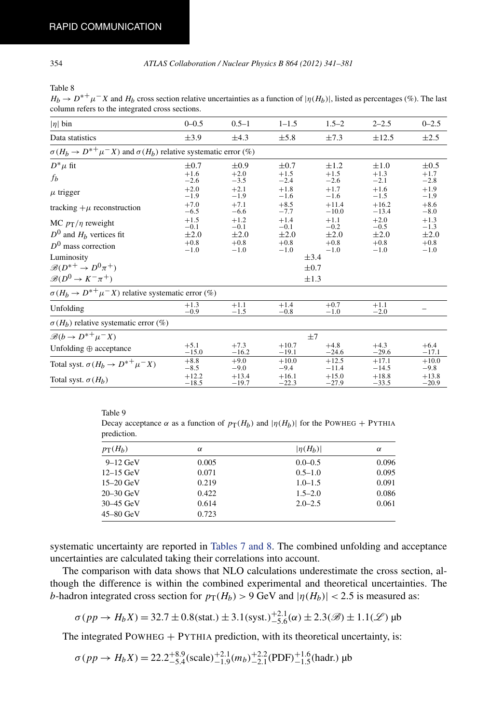#### *ATLAS Collaboration / Nuclear Physics B 864 (2012) 341–381*

<span id="page-13-0"></span>Table 8

 $H_b \rightarrow D^{*+} \mu^- X$  and  $H_b$  cross section relative uncertainties as a function of  $|\eta(H_b)|$ , listed as percentages (%). The last column refers to the integrated cross sections.

| $ \eta $ bin                                                                     | $0 - 0.5$                     | $0.5 - 1$                     | $1 - 1.5$                     | $1.5 - 2$                     | $2 - 2.5$                     | $0 - 2.5$                     |
|----------------------------------------------------------------------------------|-------------------------------|-------------------------------|-------------------------------|-------------------------------|-------------------------------|-------------------------------|
| Data statistics                                                                  | $\pm$ 3.9                     | $\pm 4.3$                     | $\pm$ 5.8                     | $\pm 7.3$                     | $\pm 12.5$                    | $\pm 2.5$                     |
| $\sigma(H_b \to D^{*+} \mu^- X)$ and $\sigma(H_b)$ relative systematic error (%) |                               |                               |                               |                               |                               |                               |
| $D^*\mu$ fit<br>$f_b$                                                            | $\pm 0.7$<br>$+1.6$<br>$-2.6$ | $\pm 0.9$<br>$+2.0$<br>$-3.5$ | $\pm 0.7$<br>$+1.5$<br>$-2.4$ | $\pm 1.2$<br>$+1.5$<br>$-2.6$ | $\pm 1.0$<br>$+1.3$<br>$-2.1$ | $\pm 0.5$<br>$+1.7$<br>$-2.8$ |
| $\mu$ trigger                                                                    | $+2.0$<br>$-1.9$              | $+2.1$<br>$-1.9$              | $+1.8$<br>$-1.6$              | $+1.7$<br>$-1.6$              | $+1.6$<br>$-1.5$              | $+1.9$<br>$-1.9$              |
| tracking $+\mu$ reconstruction                                                   | $+7.0$<br>$-6.5$              | $+7.1$<br>$-6.6$              | $+8.5$<br>$-7.7$              | $+11.4$<br>$-10.0$            | $+16.2$<br>$-13.4$            | $+8.6$<br>$-8.0$              |
| MC $p_T/\eta$ reweight<br>$D^0$ and $H_b$ vertices fit                           | $+1.5$<br>$-0.1$<br>$\pm 2.0$ | $+1.2$<br>$-0.1$<br>$\pm 2.0$ | $+1.4$<br>$-0.1$<br>$\pm 2.0$ | $+1.1$<br>$-0.2$<br>$\pm 2.0$ | $+2.0$<br>$-0.5$<br>$\pm 2.0$ | $+1.3$<br>$-1.3$<br>$\pm 2.0$ |
| $D^0$ mass correction                                                            | $+0.8$<br>$-1.0$              | $+0.8$<br>$-1.0$              | $+0.8$<br>$-1.0$              | $+0.8$<br>$-1.0$              | $+0.8$<br>$-1.0$              | $+0.8$<br>$-1.0$              |
| Luminosity<br>$\mathcal{B}(D^{*+}\to D^0\pi^+)$                                  |                               |                               |                               | $\pm$ 3.4<br>$\pm 0.7$        |                               |                               |
| $\mathcal{B}(D^0 \to K^- \pi^+)$                                                 |                               |                               |                               | $\pm 1.3$                     |                               |                               |
| $\sigma(H_b \to D^{*+} \mu^- X)$ relative systematic error (%)                   |                               |                               |                               |                               |                               |                               |
| Unfolding                                                                        | $+1.3$<br>$-0.9$              | $+1.1$<br>$-1.5$              | $+1.4$<br>$-0.8$              | $+0.7$<br>$-1.0$              | $+1.1$<br>$-2.0$              |                               |
| $\sigma(H_h)$ relative systematic error $(\%)$                                   |                               |                               |                               |                               |                               |                               |
| $\mathcal{B}(b \to D^{*+} \mu^{-} X)$                                            |                               |                               |                               | $+7$                          |                               |                               |
| Unfolding $\oplus$ acceptance                                                    | $+5.1$<br>$-15.0$             | $+7.3$<br>$-16.2$             | $+10.7$<br>$-19.1$            | $+4.8$<br>$-24.6$             | $+4.3$<br>$-29.6$             | $+6.4$<br>$-17.1$             |
| Total syst. $\sigma(H_b \to D^{*+} \mu^- X)$                                     | $+8.8$<br>$-8.5$              | $+9.0$<br>$-9.0$              | $+10.0$<br>$-9.4$             | $+12.5$<br>$-11.4$            | $+17.1$<br>$-14.5$            | $+10.0$<br>$-9.8$             |
| Total syst. $\sigma(H_h)$                                                        | $+12.2$<br>$-18.5$            | $+13.4$<br>$-19.7$            | $+16.1$<br>$-22.3$            | $+15.0$<br>$-27.9$            | $+18.8$<br>$-33.5$            | $+13.8$<br>$-20.9$            |

Table 9 Decay acceptance  $\alpha$  as a function of  $p_T(H_b)$  and  $|\eta(H_b)|$  for the POWHEG + PYTHIA prediction.

| $p_T(H_b)$            | $\alpha$ | $ \eta(H_h) $ | $\alpha$ |
|-----------------------|----------|---------------|----------|
| $9-12$ GeV            | 0.005    | $0.0 - 0.5$   | 0.096    |
| $12 - 15$ GeV         | 0.071    | $0.5 - 1.0$   | 0.095    |
| $15-20$ GeV           | 0.219    | $1.0 - 1.5$   | 0.091    |
| $20 - 30 \text{ GeV}$ | 0.422    | $1.5 - 2.0$   | 0.086    |
| $30-45$ GeV           | 0.614    | $2.0 - 2.5$   | 0.061    |
| $45-80$ GeV           | 0.723    |               |          |

systematic uncertainty are reported in [Tables 7 and 8.](#page-12-0) The combined unfolding and acceptance uncertainties are calculated taking their correlations into account.

The comparison with data shows that NLO calculations underestimate the cross section, although the difference is within the combined experimental and theoretical uncertainties. The *b*-hadron integrated cross section for  $p_T(H_b) > 9$  GeV and  $|\eta(H_b)| < 2.5$  is measured as:

$$
\sigma(pp \to H_b X) = 32.7 \pm 0.8 \text{(stat.)} \pm 3.1 \text{(syst.)}^{+2.1}_{-5.6}(\alpha) \pm 2.3(\mathscr{B}) \pm 1.1(\mathscr{L}) \text{ }\mu\text{b}
$$

The integrated POWHEG  $+$  PYTHIA prediction, with its theoretical uncertainty, is:

$$
\sigma(pp \to H_b X) = 22.2^{+8.9}_{-5.4} \text{(scale)}^{+2.1}_{-1.9} \text{(m}_b)^{+2.2}_{-2.1} \text{(PDF)}^{+1.6}_{-1.5} \text{(hadr.)} \text{ }\mu\text{b}
$$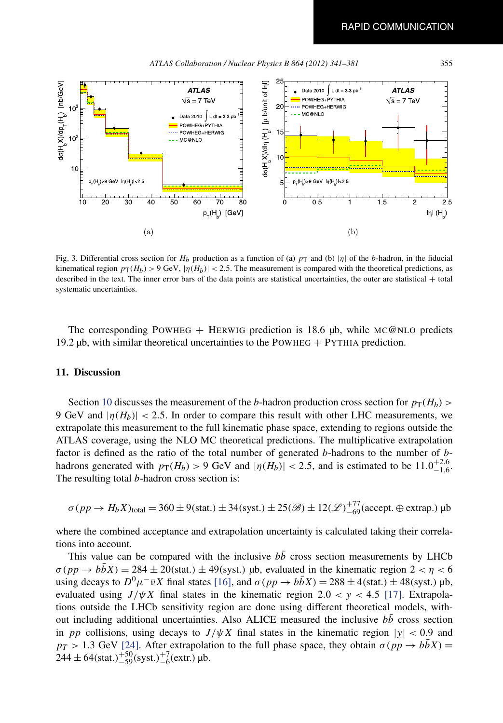

<span id="page-14-0"></span>

Fig. 3. Differential cross section for  $H_b$  production as a function of (a)  $p<sub>T</sub>$  and (b)  $|\eta|$  of the *b*-hadron, in the fiducial kinematical region  $p_T(H_b) > 9$  GeV,  $|\eta(H_b)| < 2.5$ . The measurement is compared with the theoretical predictions, as described in the text. The inner error bars of the data points are statistical uncertainties, the outer are statistical  $+$  total systematic uncertainties.

The corresponding POWHEG  $+$  HERWIG prediction is 18.6  $\mu$ b, while MC@NLO predicts 19.2  $\mu$ b, with similar theoretical uncertainties to the POWHEG + PYTHIA prediction.

### **11. Discussion**

Section [10](#page-11-0) discusses the measurement of the *b*-hadron production cross section for  $p_T(H_b)$  > 9 GeV and  $|\eta(H_h)| < 2.5$ . In order to compare this result with other LHC measurements, we extrapolate this measurement to the full kinematic phase space, extending to regions outside the ATLAS coverage, using the NLO MC theoretical predictions. The multiplicative extrapolation factor is defined as the ratio of the total number of generated *b*-hadrons to the number of *b*hadrons generated with  $p_T(H_b) > 9$  GeV and  $|\eta(H_b)| < 2.5$ , and is estimated to be  $11.0^{+2.6}_{-1.6}$ . The resulting total *b*-hadron cross section is:

$$
\sigma(pp \to H_b X)_{\text{total}} = 360 \pm 9(\text{stat.}) \pm 34(\text{syst.}) \pm 25(\mathcal{B}) \pm 12(\mathcal{L})_{-69}^{+77}(\text{accept.} \oplus \text{extrap.}) \text{ pb}
$$

where the combined acceptance and extrapolation uncertainty is calculated taking their correlations into account.

This value can be compared with the inclusive  $b\bar{b}$  cross section measurements by LHCb  $\sigma(pp \to b\bar{b}X) = 284 \pm 20$ (stat.)  $\pm 49$ (syst.) µb, evaluated in the kinematic region  $2 < \eta < 6$ using decays to  $D^0\mu^-\bar{\nu}X$  final states [\[16\],](#page-16-0) and  $\sigma(pp \to b\bar{b}X) = 288 \pm 4$ (stat.)  $\pm 48$ (syst.)  $\mu b$ , evaluated using  $J/\psi X$  final states in the kinematic region 2.0  $\lt y \lt 4.5$  [\[17\].](#page-16-0) Extrapolations outside the LHCb sensitivity region are done using different theoretical models, without including additional uncertainties. Also ALICE measured the inclusive  $b\bar{b}$  cross section in *pp* collisions, using decays to  $J/\psi X$  final states in the kinematic region  $|\gamma| < 0.9$  and  $p_T > 1.3$  GeV [\[24\].](#page-16-0) After extrapolation to the full phase space, they obtain  $\sigma(pp \to b\bar{b}X) =$  $244 \pm 64$ (stat.)<sup>+50</sup><sub>-59</sub>(syst.)<sup>+7</sup><sub>-6</sub>(extr.) µb.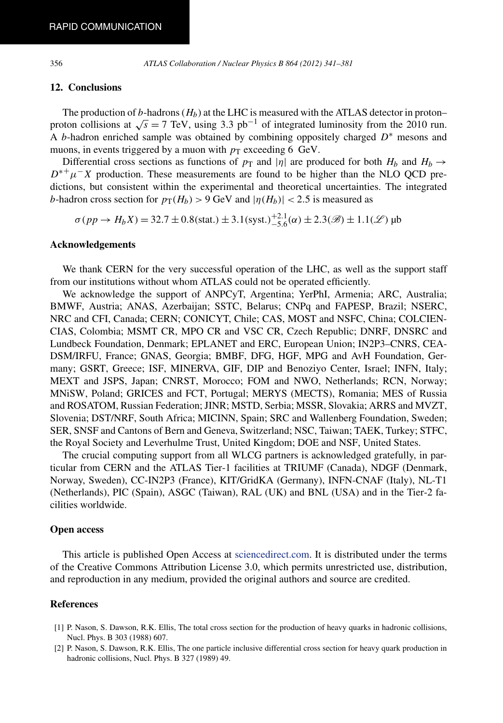# <span id="page-15-0"></span>**12. Conclusions**

The production of *b*-hadrons  $(H_b)$  at the LHC is measured with the ATLAS detector in proton– proton collisions at  $\sqrt{s} = 7$  TeV, using 3.3 pb<sup>-1</sup> of integrated luminosity from the 2010 run. A *b*-hadron enriched sample was obtained by combining oppositely charged *D*∗ mesons and muons, in events triggered by a muon with  $p_T$  exceeding 6 GeV.

Differential cross sections as functions of  $p_T$  and  $|\eta|$  are produced for both  $H_b$  and  $H_b \rightarrow$  $D^*$ <sup>+</sup> $\mu$ <sup>−</sup>*X* production. These measurements are found to be higher than the NLO QCD predictions, but consistent within the experimental and theoretical uncertainties. The integrated *b*-hadron cross section for  $p_T(H_b) > 9$  GeV and  $| \eta(H_b) | < 2.5$  is measured as

$$
\sigma(pp \to H_b X) = 32.7 \pm 0.8 \text{(stat.)} \pm 3.1 \text{(syst.)} ^{+2.1}_{-5.6}(\alpha) \pm 2.3 (\mathscr{B}) \pm 1.1 (\mathscr{L}) \text{ }\mu\text{b}
$$

## **Acknowledgements**

We thank CERN for the very successful operation of the LHC, as well as the support staff from our institutions without whom ATLAS could not be operated efficiently.

We acknowledge the support of ANPCyT, Argentina; YerPhI, Armenia; ARC, Australia; BMWF, Austria; ANAS, Azerbaijan; SSTC, Belarus; CNPq and FAPESP, Brazil; NSERC, NRC and CFI, Canada; CERN; CONICYT, Chile; CAS, MOST and NSFC, China; COLCIEN-CIAS, Colombia; MSMT CR, MPO CR and VSC CR, Czech Republic; DNRF, DNSRC and Lundbeck Foundation, Denmark; EPLANET and ERC, European Union; IN2P3–CNRS, CEA-DSM/IRFU, France; GNAS, Georgia; BMBF, DFG, HGF, MPG and AvH Foundation, Germany; GSRT, Greece; ISF, MINERVA, GIF, DIP and Benoziyo Center, Israel; INFN, Italy; MEXT and JSPS, Japan; CNRST, Morocco; FOM and NWO, Netherlands; RCN, Norway; MNiSW, Poland; GRICES and FCT, Portugal; MERYS (MECTS), Romania; MES of Russia and ROSATOM, Russian Federation; JINR; MSTD, Serbia; MSSR, Slovakia; ARRS and MVZT, Slovenia; DST/NRF, South Africa; MICINN, Spain; SRC and Wallenberg Foundation, Sweden; SER, SNSF and Cantons of Bern and Geneva, Switzerland; NSC, Taiwan; TAEK, Turkey; STFC, the Royal Society and Leverhulme Trust, United Kingdom; DOE and NSF, United States.

The crucial computing support from all WLCG partners is acknowledged gratefully, in particular from CERN and the ATLAS Tier-1 facilities at TRIUMF (Canada), NDGF (Denmark, Norway, Sweden), CC-IN2P3 (France), KIT/GridKA (Germany), INFN-CNAF (Italy), NL-T1 (Netherlands), PIC (Spain), ASGC (Taiwan), RAL (UK) and BNL (USA) and in the Tier-2 facilities worldwide.

#### **Open access**

This article is published Open Access at [sciencedirect.com.](http://www.sciencedirect.com) It is distributed under the terms of the Creative Commons Attribution License 3.0, which permits unrestricted use, distribution, and reproduction in any medium, provided the original authors and source are credited.

### **References**

- [1] P. Nason, S. Dawson, R.K. Ellis, The total cross section for the production of heavy quarks in hadronic collisions, Nucl. Phys. B 303 (1988) 607.
- [2] P. Nason, S. Dawson, R.K. Ellis, The one particle inclusive differential cross section for heavy quark production in hadronic collisions, Nucl. Phys. B 327 (1989) 49.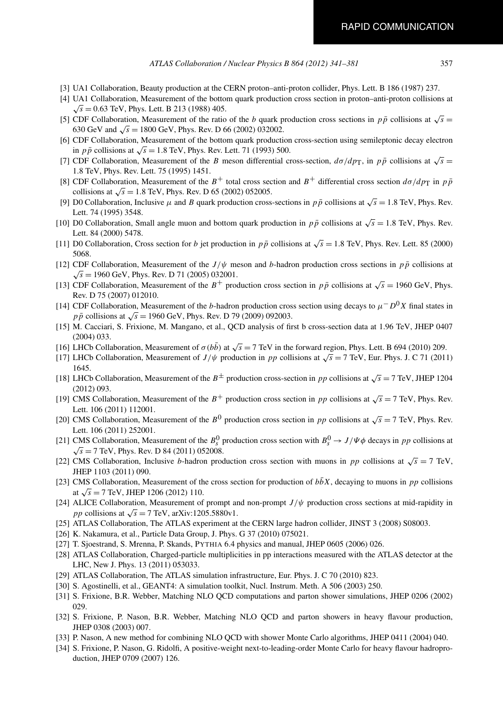- <span id="page-16-0"></span>[3] UA1 Collaboration, Beauty production at the CERN proton–anti-proton collider, Phys. Lett. B 186 (1987) 237.
- [4] UA1 Collaboration, Measurement of the bottom quark production cross section in proton–anti-proton collisions at  $\sqrt{s}$  = 0.63 TeV, Phys. Lett. B 213 (1988) 405.
- [5] CDF Collaboration, Measurement of the ratio of the *b* quark production cross sections in *pp* collisions at  $\sqrt{s}$  = 630 GeV and  $\sqrt{s}$  = 1800 GeV, Phys. Rev. D 66 (2002) 032002.
- [6] CDF Collaboration, Measurement of the bottom quark production cross-section using semileptonic decay electron in *p* $\bar{p}$  collisions at  $\sqrt{s}$  = 1.8 TeV, Phys. Rev. Lett. 71 (1993) 500.
- [7] CDF Collaboration, Measurement of the *B* meson differential cross-section,  $d\sigma/dp$ <sub>T</sub>, in  $p\bar{p}$  collisions at  $\sqrt{s}$  = 1*.*8 TeV, Phys. Rev. Lett. 75 (1995) 1451.
- [8] CDF Collaboration, Measurement of the  $B^+$  total cross section and  $B^+$  differential cross section  $d\sigma/dp_T$  in  $p\bar{p}$ collisions at  $\sqrt{s} = 1.8$  TeV, Phys. Rev. D 65 (2002) 052005.
- [9] D0 Collaboration, Inclusive *μ* and *B* quark production cross-sections in  $p\bar{p}$  collisions at  $\sqrt{s} = 1.8$  TeV, Phys. Rev. Lett. 74 (1995) 3548.
- [10] D0 Collaboration, Small angle muon and bottom quark production in  $p\bar{p}$  collisions at √*s* = 1.8 TeV, Phys. Rev. Lett. 84 (2000) 5478.
- [11] D0 Collaboration, Cross section for *b* jet production in  $p\bar{p}$  collisions at  $\sqrt{s} = 1.8$  TeV, Phys. Rev. Lett. 85 (2000) 5068.
- [12] CDF Collaboration, Measurement of the  $J/\psi$  meson and *b*-hadron production cross sections in  $p\bar{p}$  collisions at  $\sqrt{s}$  = 1960 GeV, Phys. Rev. D 71 (2005) 032001.
- [13] CDF Collaboration, Measurement of the  $B^+$  production cross section in *pp* collisions at √*s* = 1960 GeV, Phys. Rev. D 75 (2007) 012010.
- [14] CDF Collaboration, Measurement of the *b*-hadron production cross section using decays to  $\mu D^0 X$  final states in *pp* collisions at  $\sqrt{s}$  = 1960 GeV, Phys. Rev. D 79 (2009) 092003.
- [15] M. Cacciari, S. Frixione, M. Mangano, et al., QCD analysis of first b cross-section data at 1.96 TeV, JHEP 0407 (2004) 033.
- [16] LHCb Collaboration, Measurement of  $\sigma(b\bar{b})$  at  $\sqrt{s} = 7$  TeV in the forward region, Phys. Lett. B 694 (2010) 209.
- [17] LHCb Collaboration, Measurement of *J/* $\psi$  production in *pp* collisions at  $\sqrt{s} = 7$  TeV, Eur. Phys. J. C 71 (2011) 1645.
- [18] LHCb Collaboration, Measurement of the  $B^{\pm}$  production cross-section in *pp* collisions at  $\sqrt{s} = 7$  TeV, JHEP 1204 (2012) 093.
- [19] CMS Collaboration, Measurement of the  $B^+$  production cross section in *pp* collisions at  $\sqrt{s} = 7$  TeV, Phys. Rev. Lett. 106 (2011) 112001.
- [20] CMS Collaboration, Measurement of the  $B^0$  production cross section in *pp* collisions at  $\sqrt{s} = 7$  TeV, Phys. Rev. Lett. 106 (2011) 252001.
- [21] CMS Collaboration, Measurement of the  $B_s^0$  production cross section with  $B_s^0 \to J/\Psi \phi$  decays in *pp* collisions at  $\sqrt{s}$  = 7 TeV, Phys. Rev. D 84 (2011) 052008.
- [22] CMS Collaboration, Inclusive *b*-hadron production cross section with muons in *pp* collisions at  $\sqrt{s} = 7$  TeV, JHEP 1103 (2011) 090.
- [23] CMS Collaboration, Measurement of the cross section for production of  $b\bar{b}X$ , decaying to muons in *pp* collisions at  $\sqrt{s}$  = 7 TeV, JHEP 1206 (2012) 110.
- [24] ALICE Collaboration, Measurement of prompt and non-prompt *J/ψ* production cross sections at mid-rapidity in *pp* collisions at  $\sqrt{s} = 7$  TeV, arXiv:1205.5880v1.
- [25] ATLAS Collaboration, The ATLAS experiment at the CERN large hadron collider, JINST 3 (2008) S08003.
- [26] K. Nakamura, et al., Particle Data Group, J. Phys. G 37 (2010) 075021.
- [27] T. Sjoestrand, S. Mrenna, P. Skands, PYTHIA 6.4 physics and manual, JHEP 0605 (2006) 026.
- [28] ATLAS Collaboration, Charged-particle multiplicities in pp interactions measured with the ATLAS detector at the LHC, New J. Phys. 13 (2011) 053033.
- [29] ATLAS Collaboration, The ATLAS simulation infrastructure, Eur. Phys. J. C 70 (2010) 823.
- [30] S. Agostinelli, et al., GEANT4: A simulation toolkit, Nucl. Instrum. Meth. A 506 (2003) 250.
- [31] S. Frixione, B.R. Webber, Matching NLO QCD computations and parton shower simulations, JHEP 0206 (2002) 029.
- [32] S. Frixione, P. Nason, B.R. Webber, Matching NLO QCD and parton showers in heavy flavour production, JHEP 0308 (2003) 007.
- [33] P. Nason, A new method for combining NLO QCD with shower Monte Carlo algorithms, JHEP 0411 (2004) 040.
- [34] S. Frixione, P. Nason, G. Ridolfi, A positive-weight next-to-leading-order Monte Carlo for heavy flavour hadroproduction, JHEP 0709 (2007) 126.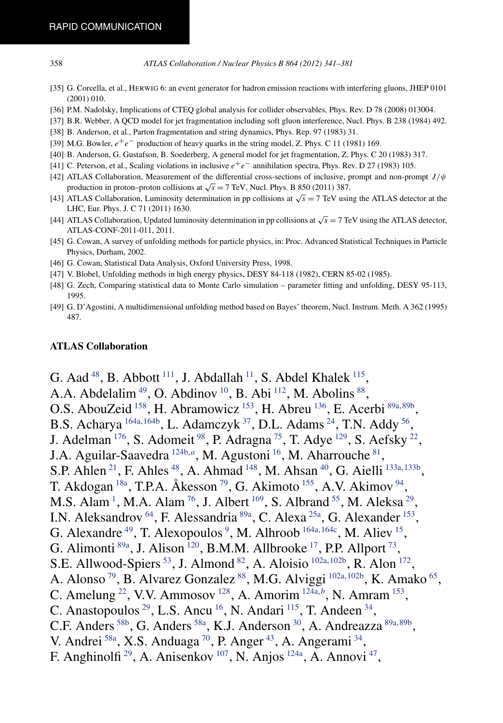*ATLAS Collaboration / Nuclear Physics B 864 (2012) 341–381*

- <span id="page-17-0"></span>[35] G. Corcella, et al., HERWIG 6: an event generator for hadron emission reactions with interfering gluons, JHEP 0101 (2001) 010.
- [36] P.M. Nadolsky, Implications of CTEQ global analysis for collider observables, Phys. Rev. D 78 (2008) 013004.
- [37] B.R. Webber, A QCD model for jet fragmentation including soft gluon interference, Nucl. Phys. B 238 (1984) 492.
- [38] B. Anderson, et al., Parton fragmentation and string dynamics, Phys. Rep. 97 (1983) 31.
- [39] M.G. Bowler,  $e^+e^-$  production of heavy quarks in the string model, Z. Phys. C 11 (1981) 169.
- [40] B. Anderson, G. Gustafson, B. Soederberg, A general model for jet fragmentation, Z. Phys. C 20 (1983) 317.
- [41] C. Peterson, et al., Scaling violations in inclusive *e*+*e*− annihilation spectra, Phys. Rev. D 27 (1983) 105.
- [42] ATLAS Collaboration, Measurement of the differential cross-sections of inclusive, prompt and non-prompt *J/ψ* production in proton–proton collisions at  $\sqrt{s} = 7$  TeV, Nucl. Phys. B 850 (2011) 387.
- [43] ATLAS Collaboration, Luminosity determination in pp collisions at <sup>√</sup>*<sup>s</sup>* <sup>=</sup> 7 TeV using the ATLAS detector at the LHC, Eur. Phys. J. C 71 (2011) 1630.
- [44] ATLAS Collaboration, Updated luminosity determination in pp collisions at  $\sqrt{s} = 7$  TeV using the ATLAS detector, ATLAS-CONF-2011-011, 2011.
- [45] G. Cowan, A survey of unfolding methods for particle physics, in: Proc. Advanced Statistical Techniques in Particle Physics, Durham, 2002.
- [46] G. Cowan, Statistical Data Analysis, Oxford University Press, 1998.
- [47] V. Blobel, Unfolding methods in high energy physics, DESY 84-118 (1982), CERN 85-02 (1985).
- [48] G. Zech, Comparing statistical data to Monte Carlo simulation parameter fitting and unfolding, DESY 95-113, 1995.
- [49] G. D'Agostini, A multidimensional unfolding method based on Bayes' theorem, Nucl. Instrum. Meth. A 362 (1995) 487.

#### **ATLAS Collaboration**

G. Aad<sup>[48](#page-36-0)</sup>, B. Abbott<sup>111</sup>, J. Abdallah<sup>11</sup>, S. Abdel Khalek<sup>115</sup>, A.A. Abdelalim  $^{49}$ , O. Abdinov  $^{10}$  $^{10}$  $^{10}$ , B. Abi  $^{112}$ , M. Abolins  $^{88}$ O.S. AbouZeid [158,](#page-38-0) H. Abramowicz [153](#page-38-0), H. Abreu [136,](#page-38-0) E. Acerbi [89a](#page-37-0)*,*[89b,](#page-37-0) B.S. Acharya <sup>[164a](#page-39-0), 164b</sup>, L. Adamczyk<sup>37</sup>, D.L. Adams<sup>24</sup>, T.N. Addy<sup>[56](#page-36-0)</sup>, J. Adelman [176,](#page-39-0) S. Adomeit [98,](#page-37-0) P. Adragna [75](#page-37-0), T. Adye [129,](#page-38-0) S. Aefsky [22](#page-36-0), J.A. Aguilar-Saavedra [124b](#page-38-0)*,[a](#page-38-0)* , M. Agustoni [16,](#page-35-0) M. Aharrouche [81,](#page-37-0) S.P. Ahlen [21,](#page-36-0) F. Ahles [48,](#page-36-0) A. Ahmad [148,](#page-38-0) M. Ahsan [40,](#page-36-0) G. Aielli [133a](#page-38-0)*,*[133b,](#page-38-0) T. Akdogan <sup>[18a](#page-36-0)</sup>, T.P.A. Åkesson<sup>79</sup>, G. Akimoto <sup>[155](#page-38-0)</sup>, A.V. Akimov <sup>94</sup>, M.S. Alam<sup>[1](#page-35-0)</sup>, M.A. Alam<sup>76</sup>, J. Albert <sup>169</sup>, S. Albrand <sup>55</sup>, M. Aleksa <sup>[29](#page-36-0)</sup>, I.N. Aleksandrov<sup>[64](#page-37-0)</sup>, F. Alessandria<sup>89a</sup>, C. Alexa<sup>25a</sup>, G. Alexander<sup>153</sup>, G. Alexandre <sup>4[9](#page-35-0)</sup>, T. Alexopoulos <sup>9</sup>, M. Alhroob <sup>[164a](#page-39-0), [164c](#page-39-0)</sup>, M. Aliev <sup>15</sup>, G. Alimonti  $89a$ , J. Alison <sup>120</sup>, B.M.M. Allbrooke <sup>17</sup>, P.P. Allport <sup>73</sup>, S.E. Allwood-Spiers [53,](#page-36-0) J. Almond [82,](#page-37-0) A. Aloisio [102a](#page-37-0)*,*[102b,](#page-37-0) R. Alon [172,](#page-39-0) A. Alonso [79,](#page-37-0) B. Alvarez Gonzalez [88,](#page-37-0) M.G. Alviggi [102a](#page-37-0)*,*[102b,](#page-37-0) K. Amako [65,](#page-37-0) C. Amelung [22,](#page-36-0) V.V. Ammosov [128](#page-38-0), A. Amorim [124a](#page-38-0)*,[b](#page-38-0)* , N. Amram [153,](#page-38-0) C. Anastopoulos<sup>[29](#page-36-0)</sup>, L.S. Ancu<sup>16</sup>, N. Andari<sup>115</sup>, T. Andeen<sup>34</sup>, C.F. Anders [58b,](#page-36-0) G. Anders [58a,](#page-36-0) K.J. Anderson [30,](#page-36-0) A. Andreazza [89a](#page-37-0)*,*[89b](#page-37-0), V. Andrei <sup>58a</sup>, X.S. Anduaga<sup>70</sup>, P. Anger<sup>43</sup>, A. Angerami<sup>34</sup>, F. Anghinolfi [29,](#page-36-0) A. Anisenkov [107,](#page-37-0) N. Anjos [124a,](#page-38-0) A. Annovi [47,](#page-36-0)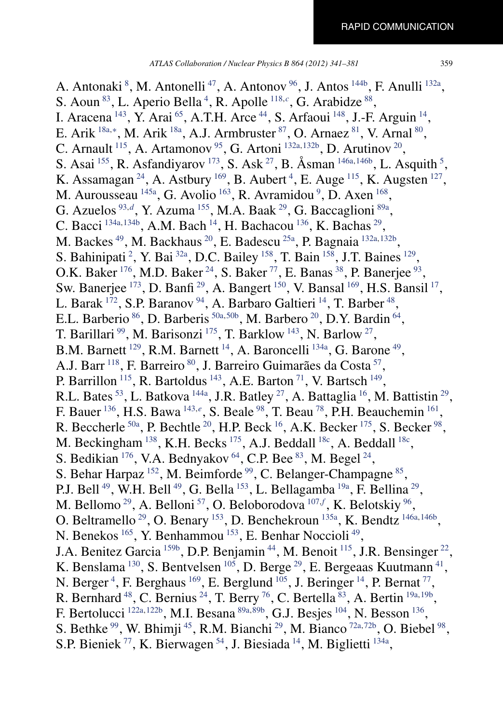A. Antonaki  $\mathbf{8}$  $\mathbf{8}$  $\mathbf{8}$ , M. Antonelli  $\mathbf{4}^7$ , A. Antonov  $\mathbf{9}^6$ , J. Antos  $\mathbf{1}^{\mathbf{44b}}$ , F. Anulli  $\mathbf{1}^{\mathbf{32a}}$ , S. Aoun<sup>83</sup>, L. Aperio Bella<sup>[4](#page-35-0)</sup>, R. Apolle<sup>[118](#page-38-0),*[c](#page-38-0)*</sup>, G. Arabidze<sup>88</sup>, I. Aracena <sup>143</sup>, Y. Arai <sup>65</sup>, A.T.H. Arce <sup>44</sup>, S. Arfaoui <sup>148</sup>, J.-F. Arguin <sup>14</sup>, E. Arik [18a](#page-36-0)*,*[∗](#page-36-0), M. Arik [18a,](#page-36-0) A.J. Armbruster [87,](#page-37-0) O. Arnaez [81,](#page-37-0) V. Arnal [80,](#page-37-0) C. Arnault<sup>115</sup>, A. Artamonov<sup>95</sup>, G. Artoni<sup>[132a](#page-38-0),132b</sup>, D. Arutinov<sup>20</sup>, S. Asai <sup>155</sup>, R. Asfandiyarov <sup>173</sup>, S. Ask <sup>[27](#page-36-0)</sup>, B. Åsman <sup>[146a](#page-38-0), 146b</sup>, L. Asquith <sup>[5](#page-35-0)</sup>, K. Assamagan  $^{24}$  $^{24}$  $^{24}$ , A. Astbury  $^{169}$ , B. Aubert  $^4$ , E. Auge  $^{115}$ , K. Augsten  $^{127}$ , M. Aurousseau  $^{145a}$ , G. Avolio  $^{163}$ , R. Avramidou  $^9$  $^9$ , D. Axen  $^{168}$ , G. Azuelos [93](#page-37-0)*,[d](#page-37-0)*, Y. Azuma [155,](#page-38-0) M.A. Baak [29,](#page-36-0) G. Baccaglioni [89a,](#page-37-0) C. Bacci [134a](#page-38-0)*,*[134b,](#page-38-0) A.M. Bach [14,](#page-35-0) H. Bachacou [136,](#page-38-0) K. Bachas [29,](#page-36-0) M. Backes [49,](#page-36-0) M. Backhaus [20,](#page-36-0) E. Badescu [25a,](#page-36-0) P. Bagnaia [132a](#page-38-0)*,*[132b,](#page-38-0) S. Bahinipati<sup>[2](#page-35-0)</sup>, Y. Bai <sup>32a</sup>, D.C. Bailey <sup>158</sup>, T. Bain <sup>158</sup>, J.T. Baines <sup>129</sup>, O.K. Baker <sup>176</sup>, M.D. Baker <sup>[24](#page-36-0)</sup>, S. Baker <sup>77</sup>, E. Banas <sup>38</sup>, P. Banerjee <sup>93</sup>, Sw. Banerjee  $^{173}$  $^{173}$  $^{173}$ , D. Banfi <sup>29</sup>, A. Bangert <sup>150</sup>, V. Bansal <sup>169</sup>, H.S. Bansil <sup>17</sup>, L. Barak <sup>172</sup>, S.P. Baranov<sup>94</sup>, A. Barbaro Galtieri<sup>14</sup>, T. Barber<sup>48</sup>, E.L. Barberio [86](#page-37-0), D. Barberis [50a](#page-36-0)*,*[50b,](#page-36-0) M. Barbero [20,](#page-36-0) D.Y. Bardin [64,](#page-37-0) T. Barillari<sup>99</sup>, M. Barisonzi<sup>175</sup>, T. Barklow<sup>143</sup>, N. Barlow<sup>27</sup>, B.M. Barnett<sup>129</sup>, R.M. Barnett<sup>14</sup>, A. Baroncelli<sup>[134a](#page-38-0)</sup>, G. Barone<sup>49</sup>, A.J. Barr [118,](#page-38-0) F. Barreiro [80,](#page-37-0) J. Barreiro Guimarães da Costa [57,](#page-36-0) P. Barrillon<sup>115</sup>, R. Bartoldus<sup>143</sup>, A.E. Barton<sup>71</sup>, V. Bartsch<sup>149</sup>, R.L. Bates  $^{53}$  $^{53}$  $^{53}$ , L. Batkova  $^{144a}$ , J.R. Batley  $^{27}$ , A. Battaglia  $^{16}$ , M. Battistin  $^{29}$ , F. Bauer <sup>136</sup>, H.S. Bawa <sup>[143](#page-38-0),[e](#page-38-0)</sup>, S. Beale <sup>98</sup>, T. Beau <sup>78</sup>, P.H. Beauchemin <sup>161</sup>, R. Beccherle  $50a$ , P. Bechtle  $20$ , H.P. Beck  $16$ , A.K. Becker  $175$ , S. Becker  $98$ , M. Beckingham  $^{138}$ , K.H. Becks  $^{175}$  $^{175}$  $^{175}$ , A.J. Beddall  $^{18c}$ , A. Beddall  $^{18c}$ , S. Bedikian  $^{176}$ , V.A. Bednyakov  $^{64}$ , C.P. Bee  $^{83}$ , M. Begel  $^{24}$  $^{24}$  $^{24}$ , S. Behar Harpaz <sup>152</sup>, M. Beimforde <sup>[99](#page-37-0)</sup>, C. Belanger-Champagne <sup>85</sup>, P.J. Bell<sup>49</sup>, W.H. Bell<sup>49</sup>, G. Bella<sup>153</sup>, L. Bellagamba<sup>19a</sup>, F. Bellina<sup>29</sup>, M. Bellomo <sup>29</sup>, A. Belloni <sup>[57](#page-36-0)</sup>, O. Beloborodova  $^{107,f}$  $^{107,f}$  $^{107,f}$  $^{107,f}$  $^{107,f}$ , K. Belotskiy <sup>96</sup>, O. Beltramello [29,](#page-36-0) O. Benary [153,](#page-38-0) D. Benchekroun [135a,](#page-38-0) K. Bendtz [146a](#page-38-0)*,*[146b,](#page-38-0) N. Benekos <sup>165</sup>, Y. Benhammou <sup>153</sup>, E. Benhar Noccioli<sup>[49](#page-36-0)</sup>, J.A. Benitez Garcia <sup>159b</sup>, D.P. Benjamin<sup>44</sup>, M. Benoit <sup>115</sup>, J.R. Bensinger <sup>22</sup>, K. Benslama<sup>[130](#page-38-0)</sup>, S. Bentvelsen<sup>105</sup>, D. Berge<sup>29</sup>, E. Bergeaas Kuutmann<sup>41</sup>, N. Berger<sup>[4](#page-35-0)</sup>, F. Berghaus<sup>169</sup>, E. Berglund<sup>105</sup>, J. Beringer<sup>14</sup>, P. Bernat<sup>77</sup>, R. Bernhard <sup>48</sup>, C. Bernius <sup>24</sup>, T. Berry <sup>76</sup>, C. Bertella <sup>83</sup>, A. Bertin <sup>[19a](#page-36-0), 19b</sup>, F. Bertolucci [122a](#page-38-0)*,*[122b,](#page-38-0) M.I. Besana [89a](#page-37-0)*,*[89b,](#page-37-0) G.J. Besjes [104,](#page-37-0) N. Besson [136](#page-38-0), S. Bethke [99,](#page-37-0) W. Bhimji [45,](#page-36-0) R.M. Bianchi [29,](#page-36-0) M. Bianco [72a](#page-37-0)*,*[72b,](#page-37-0) O. Biebel [98,](#page-37-0) S.P. Bieniek [77,](#page-37-0) K. Bierwagen [54,](#page-36-0) J. Biesiada [14,](#page-35-0) M. Biglietti [134a,](#page-38-0)

359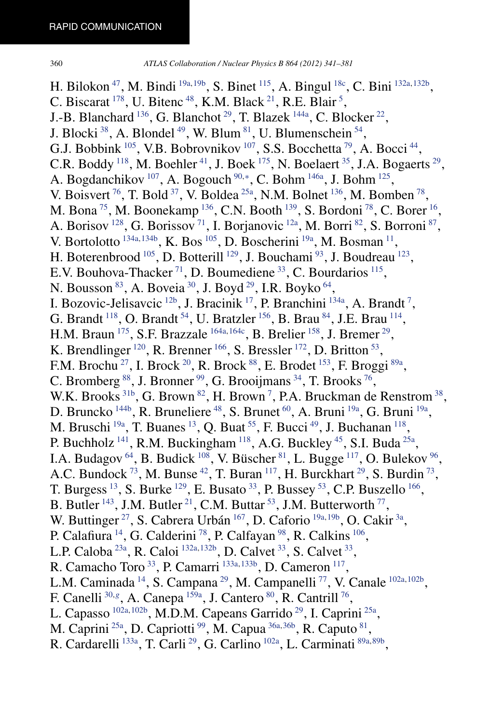H. Bilokon [47](#page-36-0), M. Bindi [19a](#page-36-0)*,*[19b,](#page-36-0) S. Binet [115,](#page-38-0) A. Bingul [18c,](#page-36-0) C. Bini [132a](#page-38-0)*,*[132b](#page-38-0), C. Biscarat  $^{178}$ , U. Bitenc  $^{48}$ , K.M. Black  $^{21}$ , R.E. Blair<sup>[5](#page-35-0)</sup>, J.-B. Blanchard  $^{136}$ , G. Blanchot  $^{29}$ , T. Blazek  $^{144a}$ , C. Blocker  $^{22}$ , J. Blocki<sup>38</sup>, A. Blondel<sup>49</sup>, W. Blum<sup>81</sup>, U. Blumenschein<sup>54</sup>, G.J. Bobbink  $^{105}$ , V.B. Bobrovnikov  $^{107}$ , S.S. Bocchetta  $^{79}$ , A. Bocci<sup>[44](#page-36-0)</sup>, C.R. Boddy <sup>118</sup>, M. Boehler<sup>41</sup>, J. Boek <sup>175</sup>, N. Boelaert <sup>35</sup>, J.A. Bogaerts <sup>29</sup>, A. Bogdanchikov [107,](#page-37-0) A. Bogouch [90](#page-37-0)*,*[∗](#page-37-0), C. Bohm [146a,](#page-38-0) J. Bohm [125,](#page-38-0) V. Boisvert <sup>76</sup>, T. Bold <sup>37</sup>, V. Boldea <sup>25a</sup>, N.M. Bolnet <sup>136</sup>, M. Bomben <sup>78</sup>, M. Bona<sup>75</sup>, M. Boonekamp<sup>136</sup>, C.N. Booth<sup>139</sup>, S. Bordoni<sup>78</sup>, C. Borer<sup>16</sup>, A. Borisov<sup>128</sup>, G. Borissov<sup>71</sup>, I. Borjanovic<sup>12a</sup>, M. Borri <sup>82</sup>, S. Borroni <sup>87</sup>, V. Bortolotto [134a](#page-38-0)*,*[134b,](#page-38-0) K. Bos [105,](#page-37-0) D. Boscherini [19a,](#page-36-0) M. Bosman [11,](#page-35-0) H. Boterenbrood  $^{105}$ , D. Botterill  $^{129}$ , J. Bouchami<sup>[93](#page-37-0)</sup>, J. Boudreau  $^{123}$ , E.V. Bouhova-Thacker<sup>71</sup>, D. Boumediene<sup>33</sup>, C. Bourdarios<sup>115</sup>, N. Bousson  $83$ , A. Boveia  $30$ , J. Boyd  $29$ , I.R. Boyko  $64$ , I. Bozovic-Jelisavcic  $12b$ , J. Bracinik  $17$  $17$ , P. Branchini  $134a$ , A. Brandt<sup>7</sup>, G. Brandt <sup>118</sup>, O. Brandt <sup>[54](#page-36-0)</sup>, U. Bratzler <sup>156</sup>, B. Brau <sup>84</sup>, J.E. Brau <sup>114</sup>, H.M. Braun [175,](#page-39-0) S.F. Brazzale [164a](#page-39-0)*,*[164c,](#page-39-0) B. Brelier [158,](#page-38-0) J. Bremer [29,](#page-36-0) K. Brendlinger<sup>120</sup>, R. Brenner<sup>166</sup>, S. Bressler<sup>172</sup>, D. Britton<sup>53</sup>, F.M. Brochu<sup>27</sup>, I. Brock<sup>20</sup>, R. Brock<sup>88</sup>, E. Brodet<sup>153</sup>, F. Broggi<sup>89a</sup>, C. Bromberg  $88$ , J. Bronner  $99$ , G. Brooijmans  $34$ , T. Brooks  $76$ , W.K. Brooks  ${}^{31b}$ , G. Brown  ${}^{82}$ , H. Brown  ${}^{7}$  ${}^{7}$  ${}^{7}$ , P.A. Bruckman de Renstrom  ${}^{38}$ , D. Bruncko  $^{144b}$ , R. Bruneliere  $^{48}$  $^{48}$  $^{48}$ , S. Brunet  $^{60}$ , A. Bruni  $^{19a}$ , G. Bruni  $^{19a}$ , M. Bruschi <sup>19a</sup>, T. Buanes <sup>13</sup>, Q. Buat <sup>55</sup>, F. Bucci <sup>[49](#page-36-0)</sup>, J. Buchanan <sup>118</sup>, P. Buchholz <sup>141</sup>, R.M. Buckingham <sup>118</sup>, A.G. Buckley <sup>45</sup>, S.I. Buda <sup>25a</sup>, I.A. Budagov  $^{64}$ , B. Budick  $^{108}$ , V. Büscher  $^{81}$ , L. Bugge  $^{117}$ , O. Bulekov  $^{96}$ , A.C. Bundock<sup>73</sup>, M. Bunse<sup>42</sup>, T. Buran<sup>117</sup>, H. Burckhart<sup>[29](#page-36-0)</sup>, S. Burdin<sup>[73](#page-37-0)</sup>, T. Burgess <sup>13</sup>, S. Burke <sup>[129](#page-38-0)</sup>, E. Busato <sup>33</sup>, P. Bussey <sup>53</sup>, C.P. Buszello <sup>166</sup>, B. Butler <sup>143</sup>, J.M. Butler <sup>[21](#page-36-0)</sup>, C.M. Buttar <sup>53</sup>, J.M. Butterworth <sup>77</sup>, W. Buttinger<sup>[27](#page-36-0)</sup>, S. Cabrera Urbán<sup>167</sup>, D. Caforio<sup>[19a](#page-36-0), 19b</sup>, O. Cakir<sup>3a</sup>, P. Calafiura [14,](#page-35-0) G. Calderini [78,](#page-37-0) P. Calfayan [98,](#page-37-0) R. Calkins [106,](#page-37-0) L.P. Caloba [23a,](#page-36-0) R. Caloi [132a](#page-38-0)*,*[132b,](#page-38-0) D. Calvet [33,](#page-36-0) S. Calvet [33,](#page-36-0) R. Camacho Toro [33](#page-36-0), P. Camarri [133a](#page-38-0)*,*[133b,](#page-38-0) D. Cameron [117,](#page-38-0) L.M. Caminada [14,](#page-35-0) S. Campana [29,](#page-36-0) M. Campanelli [77,](#page-37-0) V. Canale [102a](#page-37-0)*,*[102b,](#page-37-0) F. Canelli <sup>[30](#page-36-0),[g](#page-36-0)</sup>, A. Canepa <sup>159a</sup>, J. Cantero <sup>80</sup>, R. Cantrill <sup>76</sup>, L. Capasso [102a](#page-37-0)*,*[102b,](#page-37-0) M.D.M. Capeans Garrido [29,](#page-36-0) I. Caprini [25a,](#page-36-0) M. Caprini [25a](#page-36-0), D. Capriotti [99,](#page-37-0) M. Capua [36a](#page-36-0)*,*[36b,](#page-36-0) R. Caputo [81,](#page-37-0) R. Cardarelli [133a](#page-38-0), T. Carli [29,](#page-36-0) G. Carlino [102a,](#page-37-0) L. Carminati [89a](#page-37-0)*,*[89b,](#page-37-0)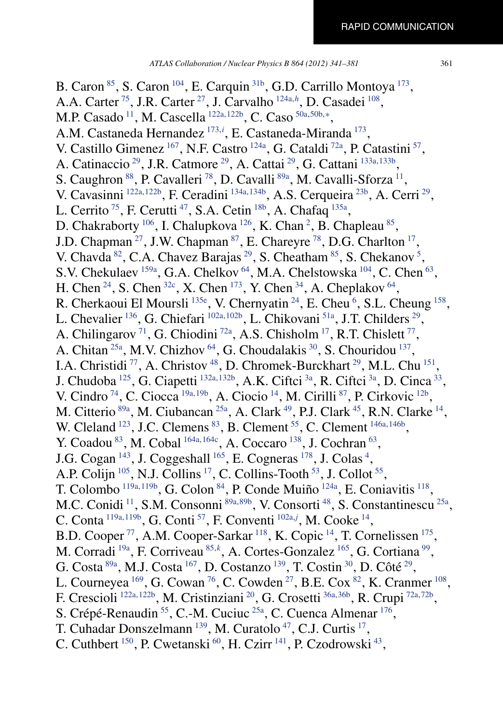B. Caron <sup>85</sup>, S. Caron <sup>104</sup>, E. Carquin <sup>31b</sup>, G.D. Carrillo Montoya <sup>173</sup>, A.A. Carter [75,](#page-37-0) J.R. Carter [27](#page-36-0), J. Carvalho [124a](#page-38-0)*,[h](#page-38-0)* , D. Casadei [108,](#page-37-0) M.P. Casado [11,](#page-35-0) M. Cascella [122a](#page-38-0)*,*[122b,](#page-38-0) C. Caso [50a](#page-36-0)*,*[50b](#page-36-0)*,*[∗](#page-36-0), A.M. Castaneda Hernandez [173](#page-39-0)*,[i](#page-39-0)* , E. Castaneda-Miranda [173,](#page-39-0) V. Castillo Gimenez [167,](#page-39-0) N.F. Castro [124a,](#page-38-0) G. Cataldi [72a,](#page-37-0) P. Catastini [57,](#page-36-0) A. Catinaccio [29,](#page-36-0) J.R. Catmore [29,](#page-36-0) A. Cattai [29,](#page-36-0) G. Cattani [133a](#page-38-0)*,*[133b,](#page-38-0) S. Caughron <sup>88</sup>, P. Cavalleri<sup>78</sup>, D. Cavalli <sup>89a</sup>, M. Cavalli-Sforza<sup>11</sup>, V. Cavasinni [122a](#page-38-0)*,*[122b,](#page-38-0) F. Ceradini [134a](#page-38-0)*,*[134b,](#page-38-0) A.S. Cerqueira [23b,](#page-36-0) A. Cerri [29,](#page-36-0) L. Cerrito<sup>75</sup>, F. Cerutti<sup>47</sup>, S.A. Cetin<sup>18b</sup>, A. Chafaq<sup>135a</sup>, D. Chakraborty  $^{106}$ , I. Chalupkova  $^{126}$  $^{126}$  $^{126}$ , K. Chan  $^2$ , B. Chapleau  $^{85}$ , J.D. Chapman<sup>27</sup>, J.W. Chapman<sup>87</sup>, E. Chareyre<sup>78</sup>, D.G. Charlton<sup>17</sup>, V. Chavda  $82$ , C.A. Chavez Barajas  $29$ , S. Cheatham  $85$  $85$ , S. Chekanov  $5$ , S.V. Chekulaev <sup>159a</sup>, G.A. Chelkov<sup>64</sup>, M.A. Chelstowska<sup>104</sup>, C. Chen <sup>63</sup>, H. Chen <sup>24</sup>, S. Chen <sup>32c</sup>, X. Chen <sup>173</sup>, Y. Chen <sup>34</sup>, A. Cheplakov <sup>64</sup>, R. Cherkaoui El Moursli<sup>135e</sup>, V. Chernyatin<sup>24</sup>, E. Cheu<sup>[6](#page-35-0)</sup>, S.L. Cheung<sup>[158](#page-38-0)</sup>, L. Chevalier [136,](#page-38-0) G. Chiefari [102a](#page-37-0)*,*[102b,](#page-37-0) L. Chikovani [51a,](#page-36-0) J.T. Childers [29,](#page-36-0) A. Chilingarov<sup>71</sup>, G. Chiodini<sup>72a</sup>, A.S. Chisholm<sup>17</sup>, R.T. Chislett<sup>77</sup>, A. Chitan  $^{25a}$ , M.V. Chizhov  $^{64}$  $^{64}$  $^{64}$ , G. Choudalakis  $^{30}$ , S. Chouridou  $^{137}$ , I.A. Christidi  $^{77}$ , A. Christov  $^{48}$ , D. Chromek-Burckhart  $^{29}$ , M.L. Chu  $^{151}$ , J. Chudoba [125,](#page-38-0) G. Ciapetti [132a](#page-38-0)*,*[132b,](#page-38-0) A.K. Ciftci [3a,](#page-35-0) R. Ciftci [3a,](#page-35-0) D. Cinca [33,](#page-36-0) V. Cindro [74,](#page-37-0) C. Ciocca [19a](#page-36-0)*,*[19b,](#page-36-0) A. Ciocio [14,](#page-35-0) M. Cirilli [87,](#page-37-0) P. Cirkovic [12b,](#page-35-0) M. Citterio <sup>89a</sup>, M. Ciubancan<sup>25a</sup>, A. Clark<sup>49</sup>, P.J. Clark<sup>[45](#page-36-0)</sup>, R.N. Clarke<sup>14</sup>, W. Cleland <sup>123</sup>, J.C. Clemens <sup>[83](#page-37-0)</sup>, B. Clement <sup>55</sup>, C. Clement <sup>[146a](#page-38-0), 146b</sup>, Y. Coadou [83,](#page-37-0) M. Cobal [164a](#page-39-0)*,*[164c,](#page-39-0) A. Coccaro [138,](#page-38-0) J. Cochran [63,](#page-37-0) J.G. Cogan  $^{143}$  $^{143}$  $^{143}$ , J. Coggeshall  $^{165}$ , E. Cogneras  $^{178}$ , J. Colas  $^4$  $^4$ , A.P. Colijn<sup>105</sup>, N.J. Collins <sup>17</sup>, C. Collins-Tooth<sup>53</sup>, J. Collot<sup>55</sup>, T. Colombo <sup>[119a](#page-38-0), 119b</sup>, G. Colon <sup>84</sup>, P. Conde Muiño <sup>124a</sup>, E. Coniavitis <sup>[118](#page-38-0)</sup>, M.C. Conidi [11,](#page-35-0) S.M. Consonni [89a](#page-37-0)*,*[89b,](#page-37-0) V. Consorti [48,](#page-36-0) S. Constantinescu [25a,](#page-36-0) C. Conta [119a](#page-38-0)*,*[119b,](#page-38-0) G. Conti [57,](#page-36-0) F. Conventi [102a](#page-37-0)*,[j](#page-37-0)* , M. Cooke [14,](#page-35-0) B.D. Cooper<sup>[77](#page-37-0)</sup>, A.M. Cooper-Sarkar<sup>118</sup>, K. Copic<sup>14</sup>, T. Cornelissen<sup>175</sup>, M. Corradi <sup>19a</sup>, F. Corriveau <sup>[85](#page-37-0),[k](#page-37-0)</sup>, A. Cortes-Gonzalez <sup>165</sup>, G. Cortiana <sup>99</sup>, G. Costa [89a](#page-37-0), M.J. Costa [167,](#page-39-0) D. Costanzo [139,](#page-38-0) T. Costin [30](#page-36-0), D. Côté [29,](#page-36-0) L. Courneyea  $^{169}$ , G. Cowan <sup>76</sup>, C. Cowden <sup>27</sup>, B.E. Cox <sup>82</sup>, K. Cranmer  $^{108}$ , F. Crescioli [122a](#page-38-0)*,*[122b,](#page-38-0) M. Cristinziani [20,](#page-36-0) G. Crosetti [36a](#page-36-0)*,*[36b,](#page-36-0) R. Crupi [72a](#page-37-0)*,*[72b,](#page-37-0) S. Crépé-Renaudin [55,](#page-36-0) C.-M. Cuciuc [25a,](#page-36-0) C. Cuenca Almenar [176,](#page-39-0) T. Cuhadar Donszelmann [139,](#page-38-0) M. Curatolo [47,](#page-36-0) C.J. Curtis [17,](#page-35-0) C. Cuthbert <sup>150</sup>, P. Cwetanski<sup>60</sup>, H. Czirr<sup>141</sup>, P. Czodrowski<sup>43</sup>,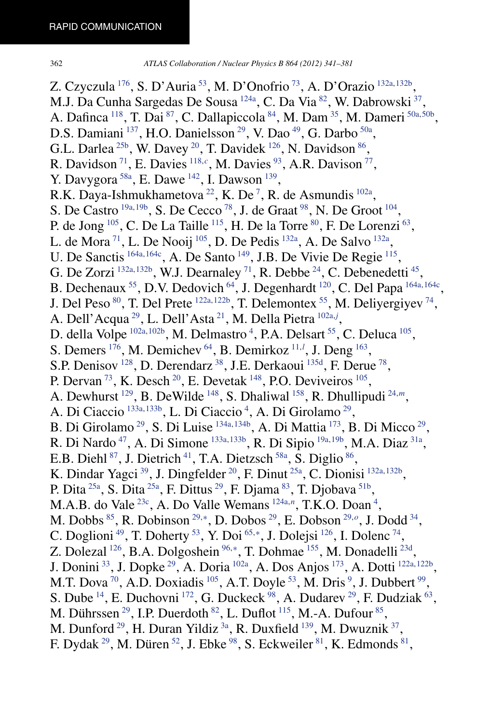Z. Czyczula [176,](#page-39-0) S. D'Auria [53,](#page-36-0) M. D'Onofrio [73,](#page-37-0) A. D'Orazio [132a](#page-38-0)*,*[132b,](#page-38-0) M.J. Da Cunha Sargedas De Sousa  $^{124a}$ , C. Da Via  $^{82}$ , W. Dabrowski  $^{37}$ , A. Dafinca [118,](#page-38-0) T. Dai [87,](#page-37-0) C. Dallapiccola [84](#page-37-0), M. Dam [35,](#page-36-0) M. Dameri [50a](#page-36-0)*,*[50b,](#page-36-0) D.S. Damiani <sup>137</sup>, H.O. Danielsson<sup>29</sup>, V. Dao <sup>49</sup>, G. Darbo <sup>50a</sup>, G.L. Darlea  $^{25b}$ , W. Davey  $^{20}$  $^{20}$  $^{20}$ , T. Davidek  $^{126}$ , N. Davidson  $^{86}$ , R. Davidson<sup>71</sup>, E. Davies<sup>[118](#page-38-0),*[c](#page-38-0)*</sup>, M. Davies<sup>93</sup>, A.R. Davison<sup>77</sup>, Y. Davygora<sup>58a</sup>, E. Dawe<sup>142</sup>, I. Dawson<sup>139</sup>, R.K. Daya-Ishmukhametova<sup>22</sup>, K. De<sup>[7](#page-35-0)</sup>, R. de Asmundis<sup>102a</sup>, S. De Castro [19a](#page-36-0)*,*[19b,](#page-36-0) S. De Cecco [78,](#page-37-0) J. de Graat [98,](#page-37-0) N. De Groot [104](#page-37-0), P. de Jong <sup>105</sup>, C. De La Taille <sup>115</sup>, H. De la Torre <sup>80</sup>, F. De Lorenzi <sup>63</sup>, L. de Mora<sup>71</sup>, L. De Nooij<sup>[105](#page-37-0)</sup>, D. De Pedis<sup>132a</sup>, A. De Salvo<sup>132a</sup>, U. De Sanctis <sup>[164a](#page-39-0), 164c</sup>, A. De Santo <sup>149</sup>, J.B. De Vivie De Regie <sup>115</sup>, G. De Zorzi <sup>[132a](#page-38-0), 132b</sup>, W.J. Dearnaley <sup>[71](#page-37-0)</sup>, R. Debbe <sup>24</sup>, C. Debenedetti <sup>45</sup>, B. Dechenaux [55](#page-36-0), D.V. Dedovich [64,](#page-37-0) J. Degenhardt [120,](#page-38-0) C. Del Papa [164a](#page-39-0)*,*[164c,](#page-39-0) J. Del Peso [80,](#page-37-0) T. Del Prete [122a](#page-38-0)*,*[122b,](#page-38-0) T. Delemontex [55,](#page-36-0) M. Deliyergiyev [74,](#page-37-0) A. Dell'Acqua [29,](#page-36-0) L. Dell'Asta [21,](#page-36-0) M. Della Pietra [102a](#page-37-0)*,[j](#page-37-0)* , D. della Volpe <sup>[102a](#page-37-0), 102b</sup>, M. Delmastro <sup>[4](#page-35-0)</sup>, P.A. Delsart <sup>55</sup>, C. Deluca <sup>105</sup>, S. Demers <sup>176</sup>, M. Demichev<sup>64</sup>, B. Demirkoz <sup>[11](#page-35-0),*[l](#page-35-0)*</sup>, J. Deng <sup>163</sup>, S.P. Denisov<sup>128</sup>, D. Derendarz<sup>38</sup>, J.E. Derkaoui<sup>135d</sup>, F. Derue<sup>[78](#page-37-0)</sup>, P. Dervan<sup>73</sup>, K. Desch<sup>20</sup>, E. Devetak <sup>148</sup>, P.O. Deviveiros <sup>105</sup>, A. Dewhurst [129,](#page-38-0) B. DeWilde [148,](#page-38-0) S. Dhaliwal [158,](#page-38-0) R. Dhullipudi [24](#page-36-0)*,[m](#page-36-0)*, A. Di Ciaccio <sup>[133a](#page-38-0), 133b</sup>, L. Di Ciaccio<sup>[4](#page-35-0)</sup>, A. Di Girolamo<sup>29</sup>, B. Di Girolamo [29,](#page-36-0) S. Di Luise [134a](#page-38-0)*,*[134b,](#page-38-0) A. Di Mattia [173,](#page-39-0) B. Di Micco [29,](#page-36-0) R. Di Nardo [47,](#page-36-0) A. Di Simone [133a](#page-38-0)*,*[133b,](#page-38-0) R. Di Sipio [19a](#page-36-0)*,*[19b,](#page-36-0) M.A. Diaz [31a,](#page-36-0) E.B. Diehl [87,](#page-37-0) J. Dietrich [41,](#page-36-0) T.A. Dietzsch [58a,](#page-36-0) S. Diglio [86,](#page-37-0) K. Dindar Yagci [39,](#page-36-0) J. Dingfelder [20,](#page-36-0) F. Dinut [25a,](#page-36-0) C. Dionisi [132a](#page-38-0)*,*[132b,](#page-38-0) P. Dita <sup>25a</sup>, S. Dita <sup>25a</sup>, F. Dittus <sup>29</sup>, F. Djama <sup>83</sup>, T. Djobava <sup>51b</sup>, M.A.B. do Vale<sup>23c</sup>, A. Do Valle Wemans<sup>[124a](#page-38-0),*[n](#page-38-0)*</sup>, T.K.O. Doan<sup>[4](#page-35-0)</sup>, M. Dobbs [85,](#page-37-0) R. Dobinson [29](#page-36-0)*,*[∗](#page-36-0), D. Dobos [29,](#page-36-0) E. Dobson [29](#page-36-0)*,[o](#page-36-0)* , J. Dodd [34,](#page-36-0) C. Doglioni [49,](#page-36-0) T. Doherty [53,](#page-36-0) Y. Doi [65](#page-37-0)*,*[∗](#page-37-0), J. Dolejsi [126,](#page-38-0) I. Dolenc [74,](#page-37-0) Z. Dolezal [126,](#page-38-0) B.A. Dolgoshein [96](#page-37-0)*,*[∗](#page-37-0), T. Dohmae [155,](#page-38-0) M. Donadelli [23d,](#page-36-0) J. Donini [33,](#page-36-0) J. Dopke [29,](#page-36-0) A. Doria [102a,](#page-37-0) A. Dos Anjos [173,](#page-39-0) A. Dotti [122a](#page-38-0)*,*[122b,](#page-38-0) M.T. Dova  $^{70}$ , A.D. Doxiadis  $^{105}$ , A.T. Doyle  $^{53}$ , M. Dris  $^{9}$  $^{9}$  $^{9}$ , J. Dubbert  $^{99}$ , S. Dube  $^{14}$ , E. Duchovni  $^{172}$ , G. Duckeck  $^{98}$ , A. Dudarev  $^{29}$ , F. Dudziak  $^{63}$ , M. Dührssen<sup>29</sup>, I.P. Duerdoth  $^{82}$ , L. Duflot  $^{115}$ , M.-A. Dufour  $^{85}$ , M. Dunford<sup>29</sup>, H. Duran Yildiz<sup>3a</sup>, R. Duxfield<sup>139</sup>, M. Dwuznik<sup>37</sup>, F. Dydak<sup>29</sup>, M. Düren <sup>52</sup>, J. Ebke <sup>98</sup>, S. Eckweiler <sup>81</sup>, K. Edmonds <sup>81</sup>,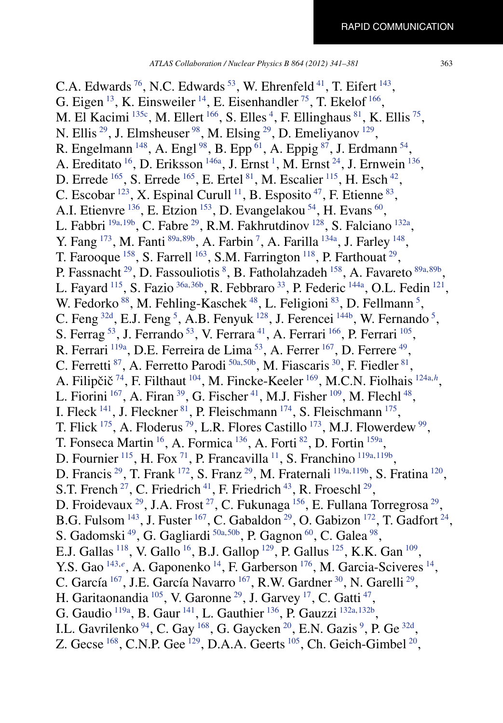C.A. Edwards  $^{76}$  $^{76}$  $^{76}$ , N.C. Edwards  $^{53}$ , W. Ehrenfeld  $^{41}$ , T. Eifert  $^{143}$ , G. Eigen  $^{13}$ , K. Einsweiler  $^{14}$ , E. Eisenhandler  $^{75}$  $^{75}$  $^{75}$ , T. Ekelof  $^{166}$ , M. El Kacimi  $^{135c}$ , M. Ellert  $^{166}$ , S. Elles <sup>[4](#page-35-0)</sup>, F. Ellinghaus  $^{81}$ , K. Ellis  $^{75}$ , N. Ellis <sup>29</sup>, J. Elmsheuser <sup>[98](#page-37-0)</sup>, M. Elsing <sup>29</sup>, D. Emeliyanov <sup>129</sup>, R. Engelmann  $^{148}$ , A. Engl  $^{98}$ , B. Epp  $^{61}$ , A. Eppig  $^{87}$ , J. Erdmann  $^{54}$ , A. Ereditato  $^{16}$  $^{16}$  $^{16}$ , D. Eriksson  $^{146a}$ , J. Ernst  $^1$ , M. Ernst  $^{24}$ , J. Ernwein  $^{136}$ , D. Errede <sup>[165](#page-39-0)</sup>, S. Errede <sup>165</sup>, E. Ertel <sup>81</sup>, M. Escalier <sup>115</sup>, H. Esch <sup>42</sup>, C. Escobar  $^{123}$  $^{123}$  $^{123}$ , X. Espinal Curull  $^{11}$ , B. Esposito  $^{47}$ , F. Etienne  $^{83}$ , A.I. Etienvre <sup>136</sup>, E. Etzion <sup>153</sup>, D. Evangelakou <sup>54</sup>, H. Evans <sup>60</sup>, L. Fabbri <sup>[19a](#page-36-0), 19b</sup>, C. Fabre <sup>[29](#page-36-0)</sup>, R.M. Fakhrutdinov <sup>128</sup>, S. Falciano <sup>132a</sup>, Y. Fang <sup>[173](#page-39-0)</sup>, M. Fanti <sup>[89a](#page-37-0), 89b</sup>, A. Farbin<sup>[7](#page-35-0)</sup>, A. Farilla <sup>134a</sup>, J. Farley <sup>148</sup>, T. Farooque <sup>158</sup>, S. Farrell <sup>163</sup>, S.M. Farrington <sup>118</sup>, P. Farthouat <sup>29</sup>, P. Fassnacht<sup>29</sup>, D. Fassouliotis<sup>[8](#page-35-0)</sup>, B. Fatholahzadeh<sup>158</sup>, A. Favareto<sup>[89a](#page-37-0),89b</sup>, L. Fayard [115,](#page-38-0) S. Fazio [36a](#page-36-0)*,*[36b](#page-36-0), R. Febbraro [33,](#page-36-0) P. Federic [144a](#page-38-0), O.L. Fedin [121,](#page-38-0) W. Fedorko  $^{88}$ , M. Fehling-Kaschek  $^{48}$ , L. Feligioni  $^{83}$ , D. Fellmann  $^5$  $^5$ , C. Feng  $^{32d}$ , E.J. Feng  $^5$  $^5$ , A.B. Fenyuk  $^{128}$ , J. Ferencei  $^{144b}$  $^{144b}$  $^{144b}$ , W. Fernando  $^5$ , S. Ferrag  $^{53}$ , J. Ferrando  $^{53}$ , V. Ferrara  $^{41}$ , A. Ferrari  $^{166}$ , P. Ferrari  $^{105}$ , R. Ferrari  $^{119a}$  $^{119a}$  $^{119a}$ , D.E. Ferreira de Lima  $^{53}$ , A. Ferrer  $^{167}$ , D. Ferrere  $^{49}$ , C. Ferretti [87,](#page-37-0) A. Ferretto Parodi [50a](#page-36-0)*,*[50b,](#page-36-0) M. Fiascaris [30,](#page-36-0) F. Fiedler [81,](#page-37-0) A. Filipčič<sup>74</sup>, F. Filthaut <sup>104</sup>, M. Fincke-Keeler <sup>169</sup>, M.C.N. Fiolhais <sup>[124a](#page-38-0),*[h](#page-38-0)*</sup>, L. Fiorini  $^{167}$ , A. Firan  $^{39}$ , G. Fischer  $^{41}$ , M.J. Fisher  $^{109}$ , M. Flechl  $^{48}$ , I. Fleck  $^{141}$ , J. Fleckner  $^{81}$ , P. Fleischmann  $^{174}$ , S. Fleischmann  $^{175}$ , T. Flick  $^{175}$ , A. Floderus  $^{79}$ , L.R. Flores Castillo  $^{173}$ , M.J. Flowerdew  $^{99}$ , T. Fonseca Martin [16,](#page-35-0) A. Formica [136,](#page-38-0) A. Forti [82,](#page-37-0) D. Fortin [159a,](#page-38-0) D. Fournier [115,](#page-38-0) H. Fox [71,](#page-37-0) P. Francavilla [11](#page-35-0), S. Franchino [119a](#page-38-0)*,*[119b,](#page-38-0) D. Francis [29,](#page-36-0) T. Frank [172](#page-39-0), S. Franz [29,](#page-36-0) M. Fraternali [119a](#page-38-0)*,*[119b,](#page-38-0) S. Fratina [120,](#page-38-0) S.T. French <sup>[27](#page-36-0)</sup>, C. Friedrich <sup>41</sup>, F. Friedrich <sup>43</sup>, R. Froeschl <sup>29</sup>, D. Froidevaux<sup>29</sup>, J.A. Frost<sup>27</sup>, C. Fukunaga<sup>156</sup>, E. Fullana Torregrosa<sup>29</sup>, B.G. Fulsom  $^{143}$ , J. Fuster  $^{167}$ , C. Gabaldon  $^{29}$ , O. Gabizon  $^{172}$ , T. Gadfort  $^{24}$ , S. Gadomski<sup>49</sup>, G. Gagliardi <sup>[50a](#page-36-0), 50b</sup>, P. Gagnon <sup>60</sup>, C. Galea <sup>98</sup>, E.J. Gallas <sup>118</sup>, V. Gallo<sup>16</sup>, B.J. Gallop<sup>[129](#page-38-0)</sup>, P. Gallus <sup>125</sup>, K.K. Gan<sup>109</sup>, Y.S. Gao<sup>[143](#page-38-0),*[e](#page-38-0)*</sup>, A. Gaponenko<sup>14</sup>, F. Garberson<sup>176</sup>, M. Garcia-Sciveres<sup>14</sup>, C. García <sup>167</sup>, J.E. García Navarro <sup>167</sup>, R.W. Gardner <sup>30</sup>, N. Garelli <sup>29</sup>, H. Garitaonandia  $^{105}$ , V. Garonne  $^{29}$ , J. Garvey  $^{17}$ , C. Gatti  $^{47}$ , G. Gaudio [119a,](#page-38-0) B. Gaur [141,](#page-38-0) L. Gauthier [136,](#page-38-0) P. Gauzzi [132a](#page-38-0)*,*[132b,](#page-38-0) I.L. Gavrilenko  $^{94}$  $^{94}$  $^{94}$ , C. Gay  $^{168}$  $^{168}$  $^{168}$ , G. Gaycken  $^{20}$  $^{20}$  $^{20}$ , E.N. Gazis  $^9$  $^9$ , P. Ge  $^{32d}$ , Z. Gecse <sup>168</sup>, C.N.P. Gee <sup>[129](#page-38-0)</sup>, D.A.A. Geerts <sup>105</sup>, Ch. Geich-Gimbel <sup>20</sup>,

363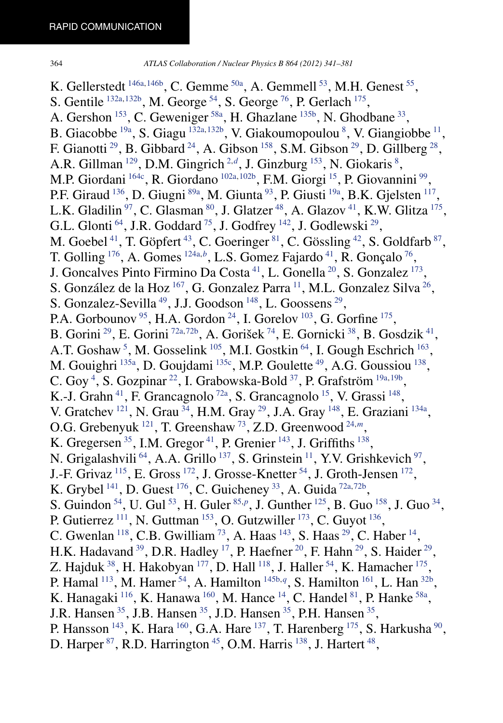K. Gellerstedt <sup>[146a](#page-38-0), 146b</sup>, C. Gemme <sup>50a</sup>, A. Gemmell <sup>53</sup>, M.H. Genest <sup>55</sup>, S. Gentile [132a](#page-38-0)*,*[132b,](#page-38-0) M. George [54,](#page-36-0) S. George [76,](#page-37-0) P. Gerlach [175](#page-39-0), A. Gershon <sup>153</sup>, C. Geweniger <sup>58a</sup>, H. Ghazlane <sup>135b</sup>, N. Ghodbane <sup>33</sup>, B. Giacobbe <sup>19a</sup>, S. Giagu <sup>[132a](#page-38-0), 132b</sup>, V. Giakoumopoulou <sup>[8](#page-35-0)</sup>, V. Giangiobbe <sup>11</sup>, F. Gianotti<sup>29</sup>, B. Gibbard<sup>24</sup>, A. Gibson<sup>158</sup>, S.M. Gibson<sup>29</sup>, D. Gillberg<sup>28</sup>, A.R. Gillman <sup>1[2](#page-35-0)9</sup>, D.M. Gingrich <sup>2,[d](#page-35-0)</sup>, J. Ginzburg <sup>153</sup>, N. Giokaris <sup>[8](#page-35-0)</sup>, M.P. Giordani [164c,](#page-39-0) R. Giordano [102a](#page-37-0)*,*[102b,](#page-37-0) F.M. Giorgi [15,](#page-35-0) P. Giovannini [99,](#page-37-0) P.F. Giraud <sup>136</sup>, D. Giugni <sup>89a</sup>, M. Giunta <sup>93</sup>, P. Giusti <sup>19a</sup>, B.K. Gjelsten <sup>117</sup>, L.K. Gladilin<sup>[97](#page-37-0)</sup>, C. Glasman<sup>80</sup>, J. Glatzer<sup>48</sup>, A. Glazov<sup>41</sup>, K.W. Glitza<sup>175</sup>, G.L. Glonti [64,](#page-37-0) J.R. Goddard [75,](#page-37-0) J. Godfrey [142,](#page-38-0) J. Godlewski [29](#page-36-0), M. Goebel  $^{41}$  $^{41}$  $^{41}$ , T. Göpfert  $^{43}$  $^{43}$  $^{43}$ , C. Goeringer  $^{81}$ , C. Gössling  $^{42}$ , S. Goldfarb  $^{87}$  $^{87}$  $^{87}$ , T. Golling [176,](#page-39-0) A. Gomes [124a](#page-38-0)*,[b](#page-38-0)* , L.S. Gomez Fajardo [41,](#page-36-0) R. Gonçalo [76](#page-37-0), J. Goncalves Pinto Firmino Da Costa<sup>41</sup>, L. Gonella<sup>20</sup>, S. Gonzalez<sup>173</sup>, S. González de la Hoz [167](#page-39-0), G. Gonzalez Parra [11,](#page-35-0) M.L. Gonzalez Silva [26,](#page-36-0) S. Gonzalez-Sevilla [49,](#page-36-0) J.J. Goodson [148](#page-38-0), L. Goossens [29,](#page-36-0) P.A. Gorbounov<sup>95</sup>, H.A. Gordon<sup>24</sup>, I. Gorelov<sup>103</sup>, G. Gorfine<sup>175</sup>, B. Gorini <sup>29</sup>, E. Gorini <sup>[72a](#page-37-0), 72b</sup>, A. Gorišek <sup>74</sup>, E. Gornicki <sup>[38](#page-36-0)</sup>, B. Gosdzik <sup>41</sup>, A.T. Goshaw  $^5$  $^5$ , M. Gosselink  $^{105}$  $^{105}$  $^{105}$ , M.I. Gostkin  $^{64}$ , I. Gough Eschrich  $^{163}$ , M. Gouighri  $^{135a}$ , D. Goujdami  $^{135c}$ , M.P. Goulette  $^{49}$ , A.G. Goussiou  $^{138}$ , C. Goy<sup>[4](#page-35-0)</sup>, S. Gozpinar<sup>22</sup>, I. Grabowska-Bold<sup>37</sup>, P. Grafström<sup>[19a](#page-36-0),19b</sup>, K.-J. Grahn<sup>41</sup>, F. Grancagnolo<sup>72a</sup>, S. Grancagnolo<sup>15</sup>, V. Grassi<sup>148</sup>, V. Gratchev  $^{121}$ , N. Grau  $^{34}$ , H.M. Gray  $^{29}$ , J.A. Gray  $^{148}$  $^{148}$  $^{148}$ , E. Graziani  $^{134a}$ , O.G. Grebenyuk [121,](#page-38-0) T. Greenshaw [73,](#page-37-0) Z.D. Greenwood [24](#page-36-0)*,[m](#page-36-0)*, K. Gregersen<sup>35</sup>, I.M. Gregor<sup>41</sup>, P. Grenier<sup>143</sup>, J. Griffiths<sup>138</sup>, N. Grigalashvili<sup>[64](#page-37-0)</sup>, A.A. Grillo<sup>137</sup>, S. Grinstein<sup>11</sup>, Y.V. Grishkevich<sup>[97](#page-37-0)</sup>, J.-F. Grivaz<sup>115</sup>, E. Gross<sup>172</sup>, J. Grosse-Knetter <sup>54</sup>, J. Groth-Jensen<sup>172</sup>, K. Grybel [141,](#page-38-0) D. Guest [176,](#page-39-0) C. Guicheney [33](#page-36-0), A. Guida [72a](#page-37-0)*,*[72b,](#page-37-0) S. Guindon <sup>54</sup>, U. Gul <sup>53</sup>, H. Guler <sup>[85](#page-37-0), *[p](#page-37-0)*</sup>, J. Gunther <sup>125</sup>, B. Guo <sup>158</sup>, J. Guo <sup>34</sup>, P. Gutierrez  $^{111}$ , N. Guttman  $^{153}$ , O. Gutzwiller  $^{173}$ , C. Guyot  $^{136}$ , C. Gwenlan <sup>118</sup>, C.B. Gwilliam <sup>73</sup>, A. Haas <sup>143</sup>, S. Haas <sup>29</sup>, C. Haber <sup>14</sup>, H.K. Hadavand <sup>39</sup>, D.R. Hadley <sup>17</sup>, P. Haefner <sup>20</sup>, F. Hahn <sup>29</sup>, S. Haider <sup>29</sup>, Z. Hajduk <sup>38</sup>, H. Hakobyan<sup>177</sup>, D. Hall<sup>118</sup>, J. Haller <sup>54</sup>, K. Hamacher<sup>175</sup>, P. Hamal <sup>113</sup>, M. Hamer <sup>54</sup>, A. Hamilton <sup>[145b](#page-38-0), *[q](#page-38-0)*</sup>, S. Hamilton <sup>161</sup>, L. Han <sup>32b</sup>, K. Hanagaki  $^{116}$  $^{116}$  $^{116}$ , K. Hanawa  $^{160}$ , M. Hance  $^{14}$ , C. Handel  $^{81}$ , P. Hanke  $^{58a}$ , J.R. Hansen<sup>35</sup>, J.B. Hansen<sup>35</sup>, J.D. Hansen<sup>35</sup>, P.H. Hansen<sup>35</sup>, P. Hansson<sup>143</sup>, K. Hara <sup>160</sup>, G.A. Hare <sup>137</sup>, T. Harenberg <sup>175</sup>, S. Harkusha<sup>90</sup>, D. Harper <sup>87</sup>, R.D. Harrington <sup>45</sup>, O.M. Harris <sup>138</sup>, J. Hartert <sup>48</sup>,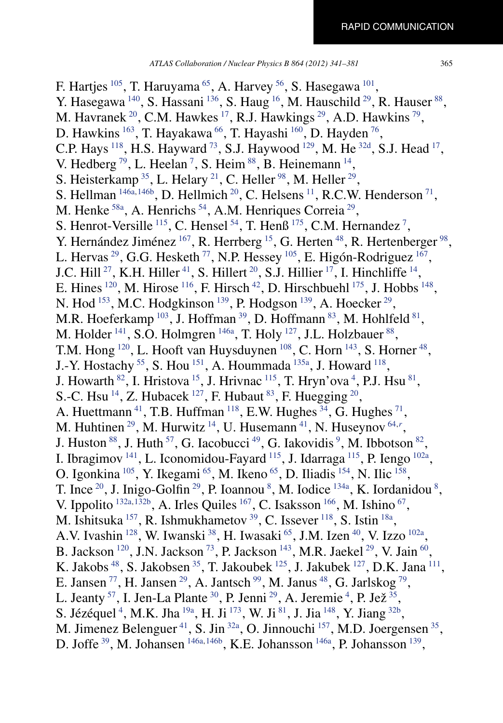F. Hartjes  $^{105}$ , T. Haruyama  $^{65}$ , A. Harvey  $^{56}$ , S. Hasegawa  $^{101}$ , Y. Hasegawa  $^{140}$ , S. Hassani  $^{136}$ , S. Haug  $^{16}$ , M. Hauschild  $^{29}$ , R. Hauser  $^{88}$ , M. Havranek  $^{20}$ , C.M. Hawkes  $^{17}$ , R.J. Hawkings  $^{29}$ , A.D. Hawkins  $^{79}$ , D. Hawkins  $^{163}$ , T. Hayakawa  $^{66}$ , T. Hayashi  $^{160}$  $^{160}$  $^{160}$ , D. Hayden  $^{76}$ , C.P. Hays  $^{118}$ , H.S. Hayward  $^{73}$ , S.J. Haywood  $^{129}$ , M. He  $^{32d}$ , S.J. Head  $^{17}$ , V. Hedberg  $^{79}$  $^{79}$  $^{79}$ , L. Heelan  $^7$ , S. Heim  $^{88}$ , B. Heinemann  $^{14}$ , S. Heisterkamp<sup>[35](#page-36-0)</sup>, L. Helary<sup>[21](#page-36-0)</sup>, C. Heller<sup>98</sup>, M. Heller<sup>29</sup>, S. Hellman <sup>[146a](#page-38-0), 146b</sup>, D. Hellmich<sup>20</sup>, C. Helsens <sup>11</sup>, R.C.W. Henderson <sup>[71](#page-37-0)</sup>, M. Henke <sup>58a</sup>, A. Henrichs <sup>54</sup>, A.M. Henriques Correia <sup>29</sup>, S. Henrot-Versille  $^{115}$ , C. Hensel  $^{54}$  $^{54}$  $^{54}$ , T. Hen $^{115}$ , C.M. Hernandez<sup>[7](#page-35-0)</sup>, Y. Hernández Jiménez <sup>167</sup>, R. Herrberg <sup>[15](#page-35-0)</sup>, G. Herten <sup>48</sup>, R. Hertenberger <sup>98</sup>, L. Hervas<sup>29</sup>, G.G. Hesketh<sup>77</sup>, N.P. Hessey<sup>105</sup>, E. Higón-Rodriguez<sup>167</sup>, J.C. Hill <sup>27</sup>, K.H. Hiller<sup>41</sup>, S. Hillert<sup>20</sup>, S.J. Hillier<sup>17</sup>, I. Hinchliffe <sup>14</sup>, E. Hines <sup>120</sup>, M. Hirose <sup>116</sup>, F. Hirsch <sup>[42](#page-36-0)</sup>, D. Hirschbuehl <sup>175</sup>, J. Hobbs <sup>148</sup>, N. Hod <sup>153</sup>, M.C. Hodgkinson<sup>[139](#page-38-0)</sup>, P. Hodgson<sup>139</sup>, A. Hoecker<sup>29</sup>, M.R. Hoeferkamp<sup>103</sup>, J. Hoffman<sup>[39](#page-36-0)</sup>, D. Hoffmann<sup>[83](#page-37-0)</sup>, M. Hohlfeld <sup>81</sup>, M. Holder <sup>141</sup>, S.O. Holmgren <sup>146a</sup>, T. Holy <sup>127</sup>, J.L. Holzbauer <sup>88</sup>, T.M. Hong <sup>120</sup>, L. Hooft van Huysduynen<sup> 108</sup>, C. Horn <sup>143</sup>, S. Horner <sup>[48](#page-36-0)</sup>, J.-Y. Hostachy [55,](#page-36-0) S. Hou [151](#page-38-0), A. Hoummada [135a,](#page-38-0) J. Howard [118,](#page-38-0) J. Howarth  $^{82}$ , I. Hristova  $^{15}$ , J. Hrivnac  $^{115}$ , T. Hryn'ova  $^{4}$  $^{4}$  $^{4}$ , P.J. Hsu  $^{81}$ , S.-C. Hsu <sup>14</sup>, Z. Hubacek <sup>127</sup>, F. Hubaut <sup>83</sup>, F. Huegging <sup>20</sup>, A. Huettmann<sup>41</sup>, T.B. Huffman<sup>118</sup>, E.W. Hughes  $34$ , G. Hughes  $71$ , M. Huhtinen <sup>29</sup>, M. Hurwitz <sup>14</sup>, U. Husemann <sup>41</sup>, N. Huseynov <sup>[64](#page-37-0),*[r](#page-37-0)*</sup>, J. Huston  $^{88}$ , J. Huth  $^{57}$ , G. Iacobucci  $^{49}$  $^{49}$  $^{49}$ , G. Iakovidis  $^9$  $^9$ , M. Ibbotson  $^{82}$ , I. Ibragimov  $^{141}$ , L. Iconomidou-Fayard  $^{115}$  $^{115}$  $^{115}$ , J. Idarraga  $^{115}$ , P. Iengo  $^{102a}$ , O. Igonkina <sup>[105](#page-37-0)</sup>, Y. Ikegami <sup>65</sup>, M. Ikeno <sup>65</sup>, D. Iliadis <sup>154</sup>, N. Ilic <sup>[158](#page-38-0)</sup>, T. Ince  $^{20}$ , J. Inigo-Golfin  $^{29}$ , P. Ioannou  $^8$  $^8$ , M. Iodice  $^{134a}$ , K. Iordanidou  $^8$ , V. Ippolito <sup>[132a](#page-38-0), 132b</sup>, A. Irles Quiles <sup>167</sup>, C. Isaksson <sup>166</sup>, M. Ishino <sup>67</sup>, M. Ishitsuka  $^{157}$ , R. Ishmukhametov  $^{39}$ , C. Issever  $^{118}$ , S. Istin  $^{18a}$ , A.V. Ivashin <sup>128</sup>, W. Iwanski <sup>38</sup>, H. Iwasaki <sup>65</sup>, J.M. Izen <sup>40</sup>, V. Izzo <sup>102a</sup>, B. Jackson <sup>120</sup>, J.N. Jackson <sup>73</sup>, P. Jackson <sup>143</sup>, M.R. Jaekel <sup>29</sup>, V. Jain <sup>60</sup>, K. Jakobs <sup>48</sup>, S. Jakobsen <sup>35</sup>, T. Jakoubek <sup>125</sup>, J. Jakubek <sup>127</sup>, D.K. Jana <sup>111</sup>, E. Jansen  $^{77}$ , H. Jansen  $^{29}$ , A. Jantsch  $^{99}$  $^{99}$  $^{99}$ , M. Janus  $^{48}$  $^{48}$  $^{48}$ , G. Jarlskog  $^{79}$ , L. Jeanty  $^{57}$ , I. Jen-La Plante  $^{30}$ , P. Jenni  $^{29}$ , A. Jeremie  $^4$  $^4$ , P. Jež  $^{35}$  $^{35}$  $^{35}$ , S. Jézéquel<sup>[4](#page-35-0)</sup>, M.K. Jha <sup>19a</sup>, H. Ji <sup>173</sup>, W. Ji <sup>81</sup>, J. Jia <sup>148</sup>, Y. Jiang <sup>32b</sup>, M. Jimenez Belenguer<sup>[41](#page-36-0)</sup>, S. Jin<sup>32a</sup>, O. Jinnouchi <sup>157</sup>, M.D. Joergensen<sup>35</sup>, D. Joffe [39,](#page-36-0) M. Johansen [146a](#page-38-0)*,*[146b,](#page-38-0) K.E. Johansson [146a,](#page-38-0) P. Johansson [139,](#page-38-0)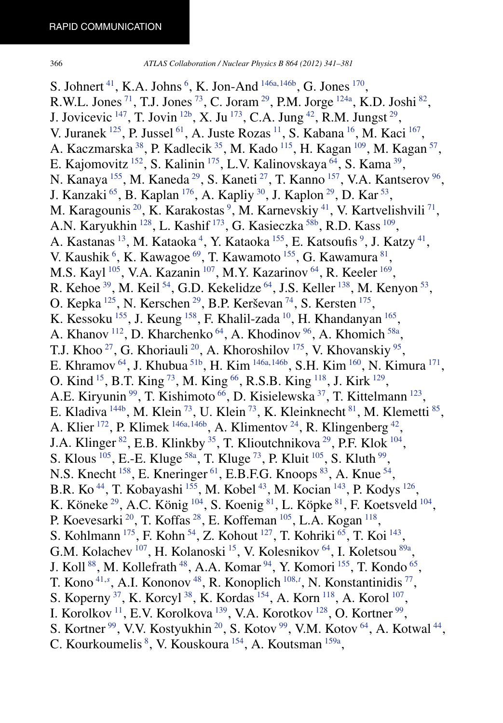S. Johnert<sup>41</sup>, K.A. Johns<sup>[6](#page-35-0)</sup>, K. Jon-And<sup>[146a](#page-38-0), 146b</sup>, G. Jones<sup>170</sup>, R.W.L. Jones  $^{71}$ , T.J. Jones  $^{73}$ , C. Joram  $^{29}$ , P.M. Jorge  $^{124a}$ , K.D. Joshi  $^{82}$ , J. Jovicevic  $^{147}$ , T. Jovin  $^{12b}$ , X. Ju  $^{173}$ , C.A. Jung  $^{42}$ , R.M. Jungst  $^{29}$ , V. Juranek <sup>[125](#page-38-0)</sup>, P. Jussel <sup>61</sup>, A. Juste Rozas <sup>11</sup>, S. Kabana <sup>[16](#page-35-0)</sup>, M. Kaci <sup>167</sup>, A. Kaczmarska <sup>38</sup>, P. Kadlecik <sup>35</sup>, M. Kado <sup>[115](#page-38-0)</sup>, H. Kagan <sup>109</sup>, M. Kagan <sup>57</sup>, E. Kajomovitz <sup>152</sup>, S. Kalinin <sup>175</sup>, L.V. Kalinovskaya <sup>64</sup>, S. Kama <sup>39</sup>, N. Kanaya  $^{155}$  $^{155}$  $^{155}$ , M. Kaneda  $^{29}$ , S. Kaneti  $^{27}$ , T. Kanno  $^{157}$ , V.A. Kantserov  $^{96}$ , J. Kanzaki  $^{65}$ , B. Kaplan  $^{176}$ , A. Kapliy  $^{30}$ , J. Kaplon  $^{29}$ , D. Kar  $^{53}$ , M. Karagounis  $^{20}$ , K. Karakostas  $^9$  $^9$ , M. Karnevskiy  $^{41}$ , V. Kartvelishvili  $^{71}$  $^{71}$  $^{71}$ , A.N. Karyukhin [128,](#page-38-0) L. Kashif [173,](#page-39-0) G. Kasieczka [58b,](#page-36-0) R.D. Kass [109,](#page-37-0) A. Kastanas  $^{13}$ , M. Kataoka  $^4$  $^4$ , Y. Kataoka  $^{155}$ , E. Katsoufis  $^9$  $^9$ , J. Katzy  $^{41}$ , V. Kaushik  $^6$  $^6$ , K. Kawagoe  $^{69}$ , T. Kawamoto  $^{155}$ , G. Kawamura  $^{81}$ , M.S. Kayl<sup>105</sup>, V.A. Kazanin<sup>107</sup>, M.Y. Kazarinov<sup>64</sup>, R. Keeler<sup>169</sup>, R. Kehoe  $39$ , M. Keil  $54$ , G.D. Kekelidze  $64$ , J.S. Keller  $138$ , M. Kenyon  $53$ , O. Kepka [125,](#page-38-0) N. Kerschen [29,](#page-36-0) B.P. Kerševan [74](#page-37-0), S. Kersten [175,](#page-39-0) K. Kessoku <sup>155</sup>, J. Keung <sup>158</sup>, F. Khalil-zada <sup>[10](#page-35-0)</sup>, H. Khandanyan <sup>165</sup>, A. Khanov <sup>112</sup>, D. Kharchenko <sup>64</sup>, A. Khodinov <sup>96</sup>, A. Khomich <sup>58a</sup>, T.J. Khoo  $^{27}$ , G. Khoriauli  $^{20}$ , A. Khoroshilov  $^{175}$ , V. Khovanskiy  $^{95}$ , E. Khramov [64,](#page-37-0) J. Khubua [51b,](#page-36-0) H. Kim [146a](#page-38-0)*,*[146b,](#page-38-0) S.H. Kim [160,](#page-38-0) N. Kimura [171,](#page-39-0) O. Kind <sup>15</sup>, B.T. King <sup>73</sup>, M. King <sup>[66](#page-37-0)</sup>, R.S.B. King <sup>118</sup>, J. Kirk <sup>129</sup>, A.E. Kiryunin<sup>99</sup>, T. Kishimoto<sup>66</sup>, D. Kisielewska<sup>37</sup>, T. Kittelmann<sup>123</sup>, E. Kladiva <sup>144b</sup>, M. Klein<sup>73</sup>, U. Klein<sup>73</sup>, K. Kleinknecht<sup>81</sup>, M. Klemetti<sup>85</sup>, A. Klier <sup>[172](#page-39-0)</sup>, P. Klimek <sup>[146a](#page-38-0), 146b</sup>, A. Klimentov <sup>24</sup>, R. Klingenberg <sup>42</sup>, J.A. Klinger<sup>82</sup>, E.B. Klinkby<sup>35</sup>, T. Klioutchnikova<sup>[29](#page-36-0)</sup>, P.F. Klok<sup>104</sup>, S. Klous <sup>105</sup>, E.-E. Kluge <sup>58a</sup>, T. Kluge <sup>73</sup>, P. Kluit <sup>105</sup>, S. Kluth <sup>99</sup>, N.S. Knecht <sup>158</sup>, E. Kneringer <sup>61</sup>, E.B.F.G. Knoops <sup>83</sup>, A. Knue <sup>54</sup>, B.R. Ko<sup>[44](#page-36-0)</sup>, T. Kobayashi <sup>155</sup>, M. Kobel<sup>43</sup>, M. Kocian <sup>143</sup>, P. Kodys <sup>126</sup>, K. Köneke <sup>29</sup>, A.C. König <sup>104</sup>, S. Koenig <sup>81</sup>, L. Köpke <sup>81</sup>, F. Koetsveld <sup>104</sup>, P. Koevesarki <sup>20</sup>, T. Koffas <sup>28</sup>, E. Koffeman <sup>105</sup>, L.A. Kogan <sup>118</sup>, S. Kohlmann [175,](#page-39-0) F. Kohn [54,](#page-36-0) Z. Kohout [127,](#page-38-0) T. Kohriki [65,](#page-37-0) T. Koi [143,](#page-38-0) G.M. Kolachev [107](#page-37-0), H. Kolanoski [15,](#page-35-0) V. Kolesnikov [64,](#page-37-0) I. Koletsou [89a,](#page-37-0) J. Koll <sup>88</sup>, M. Kollefrath <sup>48</sup>, A.A. Komar <sup>[94](#page-37-0)</sup>, Y. Komori <sup>155</sup>, T. Kondo <sup>65</sup>, T. Kono [41](#page-36-0)*,[s](#page-36-0)* , A.I. Kononov [48,](#page-36-0) R. Konoplich [108](#page-37-0)*,[t](#page-37-0)* , N. Konstantinidis [77,](#page-37-0) S. Koperny <sup>37</sup>, K. Korcyl<sup>38</sup>, K. Kordas <sup>154</sup>, A. Korn <sup>118</sup>, A. Korol <sup>107</sup>, I. Korolkov  $^{11}$ , E.V. Korolkova  $^{139}$ , V.A. Korotkov  $^{128}$  $^{128}$  $^{128}$ , O. Kortner  $^{99}$  $^{99}$  $^{99}$ , S. Kortner  $99$ , V.V. Kostyukhin  $20$ , S. Kotov  $99$ , V.M. Kotov  $64$ , A. Kotwal  $44$ , C. Kourkoumelis  $\frac{8}{3}$  $\frac{8}{3}$  $\frac{8}{3}$ , V. Kouskoura  $154$ , A. Koutsman  $159a$ ,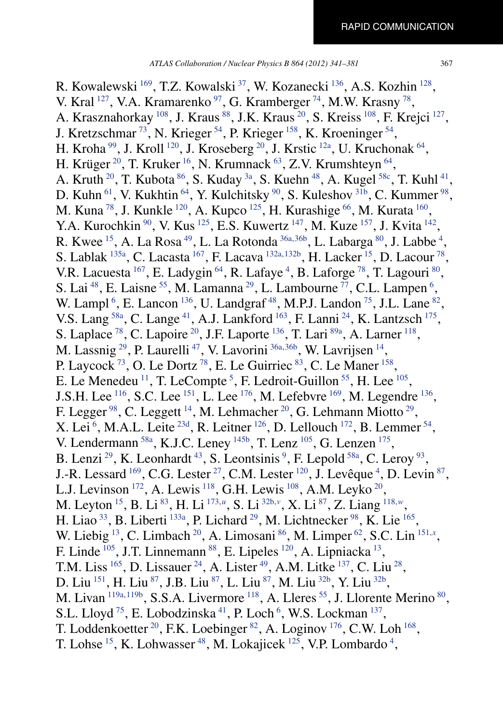R. Kowalewski <sup>169</sup>, T.Z. Kowalski <sup>37</sup>, W. Kozanecki <sup>136</sup>, A.S. Kozhin <sup>128</sup>, V. Kral <sup>127</sup>, V.A. Kramarenko<sup>[97](#page-37-0)</sup>, G. Kramberger<sup>74</sup>, M.W. Krasny<sup>78</sup>, A. Krasznahorkay<sup>108</sup>, J. Kraus <sup>88</sup>, J.K. Kraus<sup>20</sup>, S. Kreiss<sup>108</sup>, F. Krejci <sup>127</sup>, J. Kretzschmar<sup>73</sup>, N. Krieger<sup>54</sup>, P. Krieger<sup>158</sup>, K. Kroeninger<sup>54</sup>, H. Kroha  $99$ , J. Kroll  $120$  $120$ , J. Kroseberg  $20$ , J. Krstic  $12a$ , U. Kruchonak  $64$ , H. Krüger<sup>20</sup>, T. Kruker<sup>16</sup>, N. Krumnack<sup>63</sup>, Z.V. Krumshteyn<sup>64</sup>, A. Kruth <sup>20</sup>, T. Kubota  $^{86}$ , S. Kuday  $^{3a}$ , S. Kuehn  $^{48}$ , A. Kugel  $^{58c}$ , T. Kuhl  $^{41}$ , D. Kuhn  $^{61}$ , V. Kukhtin  $^{64}$ , Y. Kulchitsky  $^{90}$ , S. Kuleshov  $^{31b}$ , C. Kummer  $^{98}$ , M. Kuna  $^{78}$  $^{78}$  $^{78}$ , J. Kunkle  $^{120}$ , A. Kupco  $^{125}$ , H. Kurashige  $^{66}$ , M. Kurata  $^{160}$ , Y.A. Kurochkin  $90$ , V. Kus  $125$ , E.S. Kuwertz  $147$ , M. Kuze  $157$ , J. Kvita  $142$ , R. Kwee  $^{15}$ , A. La Rosa  $^{49}$  $^{49}$  $^{49}$ , L. La Rotonda  $^{36a,36b},$  $^{36a,36b},$  $^{36a,36b},$  $^{36a,36b},$  $^{36a,36b},$  L. Labarga  $^{80},$  J. Labbe  $^4,$ S. Lablak [135a,](#page-38-0) C. Lacasta [167,](#page-39-0) F. Lacava [132a](#page-38-0)*,*[132b,](#page-38-0) H. Lacker [15,](#page-35-0) D. Lacour [78,](#page-37-0) V.R. Lacuesta  $^{167}$ , E. Ladygin  $^{64}$  $^{64}$  $^{64}$ , R. Lafaye  $^4$  $^4$ , B. Laforge  $^{78}$ , T. Lagouri  $^{80}$ , S. Lai<sup>48</sup>, E. Laisne <sup>55</sup>, M. Lamanna <sup>29</sup>, L. Lambourne <sup>77</sup>, C.L. Lampen <sup>[6](#page-35-0)</sup>, W. Lampl<sup>[6](#page-35-0)</sup>, E. Lancon <sup>[136](#page-38-0)</sup>, U. Landgraf<sup>48</sup>, M.P.J. Landon <sup>75</sup>, J.L. Lane <sup>82</sup>, V.S. Lang <sup>58a</sup>, C. Lange <sup>41</sup>, A.J. Lankford <sup>163</sup>, F. Lanni <sup>24</sup>, K. Lantzsch <sup>175</sup>, S. Laplace <sup>78</sup>, C. Lapoire <sup>20</sup>, J.F. Laporte <sup>[136](#page-38-0)</sup>, T. Lari <sup>89a</sup>, A. Larner <sup>118</sup>, M. Lassnig [29,](#page-36-0) P. Laurelli [47](#page-36-0), V. Lavorini [36a](#page-36-0)*,*[36b,](#page-36-0) W. Lavrijsen [14,](#page-35-0) P. Laycock <sup>[73](#page-37-0)</sup>, O. Le Dortz <sup>78</sup>, E. Le Guirriec  $83$ , C. Le Maner  $158$ , E. Le Menedeu  $^{11}$ , T. LeCompte<sup>[5](#page-35-0)</sup>, F. Ledroit-Guillon  $^{55}$  $^{55}$  $^{55}$ , H. Lee  $^{105}$ , J.S.H. Lee  $^{116}$ , S.C. Lee  $^{151}$ , L. Lee  $^{176}$ , M. Lefebvre  $^{169}$ , M. Legendre  $^{136}$ , F. Legger  $^{98}$ , C. Leggett  $^{14}$ , M. Lehmacher  $^{20}$ , G. Lehmann Miotto  $^{29}$ , X. Lei<sup>[6](#page-35-0)</sup>, M.A.L. Leite<sup>23d</sup>, R. Leitner<sup>126</sup>, D. Lellouch<sup>172</sup>, B. Lemmer<sup>54</sup>, V. Lendermann<sup>58a</sup>, K.J.C. Leney<sup>145b</sup>, T. Lenz <sup>105</sup>, G. Lenzen<sup>175</sup>, B. Lenzi <sup>2[9](#page-35-0)</sup>, K. Leonhardt <sup>43</sup>, S. Leontsinis <sup>9</sup>, F. Lepold <sup>58a</sup>, C. Leroy <sup>93</sup>, J.-R. Lessard  $^{169}$ , C.G. Lester  $^{27}$ , C.M. Lester  $^{120}$  $^{120}$  $^{120}$ , J. Levêque  $^4$  $^4$ , D. Levin  $^{87}$ , L.J. Levinson<sup>172</sup>, A. Lewis<sup>118</sup>, G.H. Lewis<sup>108</sup>, A.M. Leyko<sup>20</sup>, M. Leyton [15,](#page-35-0) B. Li [83,](#page-37-0) H. Li [173](#page-39-0)*,[u](#page-39-0)* , S. Li [32b](#page-36-0)*,[v](#page-36-0)* , X. Li [87,](#page-37-0) Z. Liang [118](#page-38-0)*,[w](#page-38-0)*, H. Liao <sup>33</sup>, B. Liberti <sup>133a</sup>, P. Lichard <sup>29</sup>, M. Lichtnecker <sup>98</sup>, K. Lie <sup>165</sup>, W. Liebig <sup>13</sup>, C. Limbach <sup>20</sup>, A. Limosani <sup>[86](#page-37-0)</sup>, M. Limper <sup>62</sup>, S.C. Lin <sup>[151](#page-38-0),*[x](#page-38-0)*</sup>, F. Linde <sup>[105](#page-37-0)</sup>, J.T. Linnemann<sup>[88](#page-37-0)</sup>, E. Lipeles <sup>120</sup>, A. Lipniacka<sup>13</sup>, T.M. Liss [165,](#page-39-0) D. Lissauer [24,](#page-36-0) A. Lister [49,](#page-36-0) A.M. Litke [137,](#page-38-0) C. Liu [28,](#page-36-0) D. Liu <sup>[151](#page-38-0)</sup>, H. Liu <sup>87</sup>, J.B. Liu <sup>87</sup>, L. Liu <sup>87</sup>, M. Liu <sup>32b</sup>, Y. Liu <sup>32b</sup>, M. Livan <sup>[119a](#page-38-0), 119b</sup>, S.S.A. Livermore <sup>[118](#page-38-0)</sup>, A. Lleres <sup>55</sup>, J. Llorente Merino <sup>80</sup>, S.L. Lloyd<sup>75</sup>, E. Lobodzinska<sup>41</sup>, P. Loch<sup>[6](#page-35-0)</sup>, W.S. Lockman<sup>137</sup>, T. Loddenkoetter <sup>[20](#page-36-0)</sup>, F.K. Loebinger <sup>82</sup>, A. Loginov <sup>176</sup>, C.W. Loh <sup>168</sup>, T. Lohse  $^{15}$ , K. Lohwasser  $^{48}$  $^{48}$  $^{48}$ , M. Lokajicek  $^{125}$ , V.P. Lombardo  $^4$ ,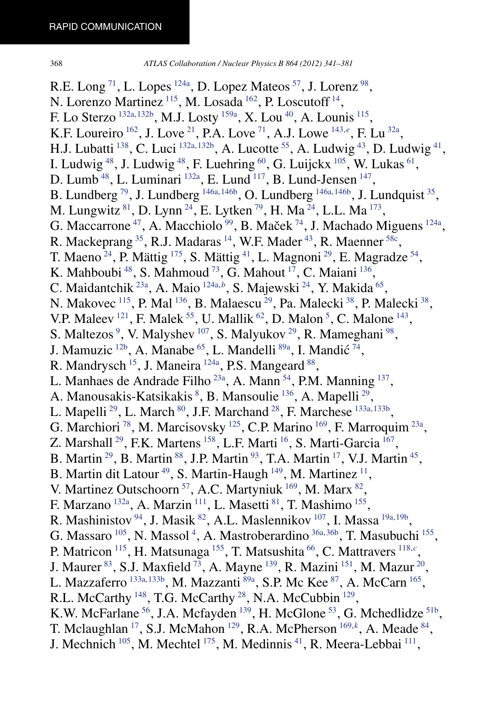R.E. Long<sup>71</sup>, L. Lopes <sup>[124a](#page-38-0)</sup>, D. Lopez Mateos  $^{57}$ , J. Lorenz <sup>98</sup>, N. Lorenzo Martinez <sup>115</sup>, M. Losada <sup>162</sup>, P. Loscutoff <sup>14</sup>, F. Lo Sterzo [132a](#page-38-0)*,*[132b](#page-38-0), M.J. Losty [159a,](#page-38-0) X. Lou [40,](#page-36-0) A. Lounis [115,](#page-38-0) K.F. Loureiro <sup>162</sup>, J. Love <sup>21</sup>, P.A. Love <sup>71</sup>, A.J. Lowe <sup>[143](#page-38-0),*[e](#page-38-0)*</sup>, F. Lu <sup>32a</sup>, H.J. Lubatti [138,](#page-38-0) C. Luci [132a](#page-38-0)*,*[132b,](#page-38-0) A. Lucotte [55](#page-36-0), A. Ludwig [43,](#page-36-0) D. Ludwig [41,](#page-36-0) I. Ludwig  $^{48}$ , J. Ludwig  $^{48}$ , F. Luehring  $^{60}$ , G. Luijckx  $^{105}$ , W. Lukas  $^{61}$ , D. Lumb<sup>48</sup>, L. Luminari<sup>132a</sup>, E. Lund<sup>117</sup>, B. Lund-Jensen<sup>147</sup>, B. Lundberg [79,](#page-37-0) J. Lundberg [146a](#page-38-0)*,*[146b,](#page-38-0) O. Lundberg [146a](#page-38-0)*,*[146b,](#page-38-0) J. Lundquist [35,](#page-36-0) M. Lungwitz  $81$ , D. Lynn  $24$ , E. Lytken  $79$ , H. Ma  $24$ , L.L. Ma  $173$ , G. Maccarrone<sup>47</sup>, A. Macchiolo<sup>99</sup>, B. Maček<sup>74</sup>, J. Machado Miguens<sup>124a</sup>, R. Mackeprang <sup>35</sup>, R.J. Madaras <sup>14</sup>, W.F. Mader <sup>43</sup>, R. Maenner <sup>58c</sup>, T. Maeno  $^{24}$  $^{24}$  $^{24}$ , P. Mättig  $^{175}$  $^{175}$  $^{175}$ , S. Mättig  $^{41}$ , L. Magnoni  $^{29}$  $^{29}$  $^{29}$ , E. Magradze  $^{54}$ , K. Mahboubi  $^{48}$ , S. Mahmoud  $^{73}$ , G. Mahout  $^{17}$ , C. Maiani  $^{136}$ , C. Maidantchik<sup>23a</sup>, A. Maio<sup>[124a](#page-38-0),[b](#page-38-0)</sup>, S. Majewski<sup>24</sup>, Y. Makida<sup>65</sup>, N. Makovec <sup>115</sup>, P. Mal <sup>136</sup>, B. Malaescu<sup>29</sup>, Pa. Malecki<sup>38</sup>, P. Malecki<sup>38</sup>, V.P. Maleev  $^{121}$ , F. Malek  $^{55}$  $^{55}$  $^{55}$ , U. Mallik  $^{62}$  $^{62}$  $^{62}$ , D. Malon  $^5$ , C. Malone  $^{143}$ , S. Maltezos <sup>[9](#page-35-0)</sup>, V. Malyshev <sup>[107](#page-37-0)</sup>, S. Malyukov <sup>29</sup>, R. Mameghani <sup>[98](#page-37-0)</sup>, J. Mamuzic <sup>[12b](#page-35-0)</sup>, A. Manabe<sup>65</sup>, L. Mandelli <sup>89a</sup>, I. Mandić<sup>74</sup>, R. Mandrysch<sup>[15](#page-35-0)</sup>, J. Maneira<sup>124a</sup>, P.S. Mangeard <sup>[88](#page-37-0)</sup>, L. Manhaes de Andrade Filho <sup>23a</sup>, A. Mann <sup>54</sup>, P.M. Manning <sup>137</sup>, A. Manousakis-Katsikakis<sup>[8](#page-35-0)</sup>, B. Mansoulie <sup>136</sup>, A. Mapelli<sup>29</sup>, L. Mapelli [29,](#page-36-0) L. March [80,](#page-37-0) J.F. Marchand [28,](#page-36-0) F. Marchese [133a](#page-38-0)*,*[133b,](#page-38-0) G. Marchiori [78,](#page-37-0) M. Marcisovsky [125](#page-38-0), C.P. Marino [169,](#page-39-0) F. Marroquim [23a](#page-36-0), Z. Marshall<sup>[29](#page-36-0)</sup>, F.K. Martens<sup>[158](#page-38-0)</sup>, L.F. Marti<sup>16</sup>, S. Marti-Garcia<sup>167</sup>, B. Martin <sup>[29](#page-36-0)</sup>, B. Martin <sup>88</sup>, J.P. Martin <sup>93</sup>, T.A. Martin <sup>17</sup>, V.J. Martin <sup>45</sup>, B. Martin dit Latour<sup>49</sup>, S. Martin-Haugh<sup>149</sup>, M. Martinez<sup>11</sup>, V. Martinez Outschoorn<sup>57</sup>, A.C. Martyniuk <sup>169</sup>, M. Marx <sup>82</sup>, F. Marzano [132a,](#page-38-0) A. Marzin [111,](#page-37-0) L. Masetti [81,](#page-37-0) T. Mashimo [155,](#page-38-0) R. Mashinistov [94,](#page-37-0) J. Masik [82,](#page-37-0) A.L. Maslennikov [107,](#page-37-0) I. Massa [19a](#page-36-0)*,*[19b,](#page-36-0) G. Massaro <sup>105</sup>, N. Massol<sup>[4](#page-35-0)</sup>, A. Mastroberardino <sup>[36a](#page-36-0), 36b</sup>, T. Masubuchi <sup>155</sup>, P. Matricon <sup>115</sup>, H. Matsunaga <sup>155</sup>, T. Matsushita <sup>66</sup>, C. Mattravers <sup>[118](#page-38-0),*[c](#page-38-0)*</sup>, J. Maurer <sup>83</sup>, S.J. Maxfield <sup>73</sup>, A. Mayne <sup>139</sup>, R. Mazini <sup>151</sup>, M. Mazur <sup>20</sup>, L. Mazzaferro <sup>[133a](#page-38-0), 133b</sup>, M. Mazzanti <sup>89a</sup>, S.P. Mc Kee <sup>87</sup>, A. McCarn <sup>165</sup>, R.L. McCarthy <sup>148</sup>, T.G. McCarthy <sup>28</sup>, N.A. McCubbin <sup>129</sup>, K.W. McFarlane <sup>56</sup>, J.A. Mcfayden<sup>139</sup>, H. McGlone <sup>53</sup>, G. Mchedlidze <sup>51b</sup>, T. Mclaughlan [17,](#page-35-0) S.J. McMahon [129,](#page-38-0) R.A. McPherson [169](#page-39-0)*,[k](#page-39-0)* , A. Meade [84,](#page-37-0)

J. Mechnich [105,](#page-37-0) M. Mechtel [175,](#page-39-0) M. Medinnis [41,](#page-36-0) R. Meera-Lebbai [111,](#page-37-0)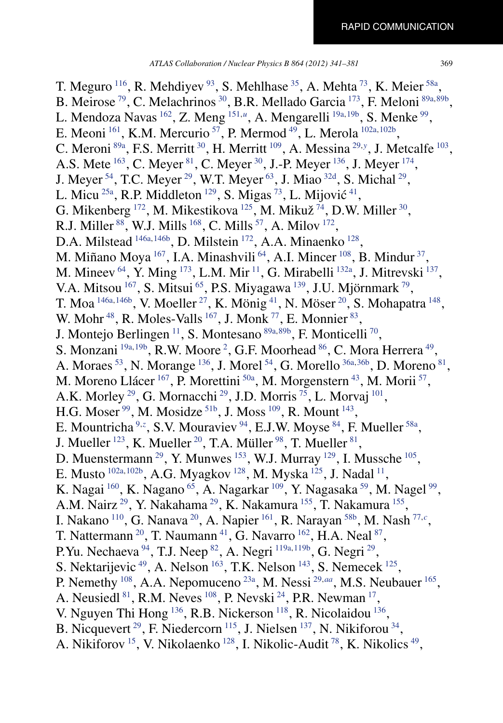T. Meguro<sup>116</sup>, R. Mehdiyev<sup>[93](#page-37-0)</sup>, S. Mehlhase<sup>35</sup>, A. Mehta<sup>73</sup>, K. Meier<sup>58a</sup>, B. Meirose [79,](#page-37-0) C. Melachrinos [30,](#page-36-0) B.R. Mellado Garcia [173,](#page-39-0) F. Meloni [89a](#page-37-0)*,*[89b,](#page-37-0) L. Mendoza Navas [162,](#page-39-0) Z. Meng [151](#page-38-0)*,[u](#page-38-0)* , A. Mengarelli [19a](#page-36-0)*,*[19b,](#page-36-0) S. Menke [99,](#page-37-0) E. Meoni [161,](#page-38-0) K.M. Mercurio [57,](#page-36-0) P. Mermod [49,](#page-36-0) L. Merola [102a](#page-37-0)*,*[102b,](#page-37-0) C. Meroni <sup>89a</sup>, F.S. Merritt <sup>30</sup>, H. Merritt <sup>109</sup>, A. Messina <sup>[29](#page-36-0),*[y](#page-36-0)*</sup>, J. Metcalfe <sup>103</sup>, A.S. Mete <sup>[163](#page-39-0)</sup>, C. Meyer <sup>[81](#page-37-0)</sup>, C. Meyer <sup>30</sup>, J.-P. Meyer <sup>136</sup>, J. Meyer <sup>174</sup>, J. Meyer [54,](#page-36-0) T.C. Meyer [29,](#page-36-0) W.T. Meyer [63,](#page-37-0) J. Miao [32d,](#page-36-0) S. Michal [29,](#page-36-0) L. Micu  $^{25a}$ , R.P. Middleton  $^{129}$ , S. Migas  $^{73}$ , L. Mijović<sup>41</sup>, G. Mikenberg  $^{172}$ , M. Mikestikova  $^{125}$ , M. Mikuž  $^{74}$ , D.W. Miller  $^{30}$ , R.J. Miller [88,](#page-37-0) W.J. Mills [168,](#page-39-0) C. Mills [57,](#page-36-0) A. Milov [172,](#page-39-0) D.A. Milstead <sup>[146a](#page-38-0), [146b](#page-38-0)</sup>, D. Milstein <sup>172</sup>, A.A. Minaenko <sup>128</sup>, M. Miñano Moya<sup>167</sup>, I.A. Minashvili<sup>64</sup>, A.I. Mincer<sup>108</sup>, B. Mindur<sup>37</sup>, M. Mineev  $^{64}$ , Y. Ming  $^{173}$ , L.M. Mir<sup>11</sup>, G. Mirabelli  $^{132}$ , J. Mitrevski  $^{137}$ , V.A. Mitsou [167,](#page-39-0) S. Mitsui [65,](#page-37-0) P.S. Miyagawa [139,](#page-38-0) J.U. Mjörnmark [79](#page-37-0), T. Moa <sup>[146a](#page-38-0), 146b</sup>, V. Moeller<sup>27</sup>, K. Mönig<sup>41</sup>, N. Möser<sup>20</sup>, S. Mohapatra<sup>148</sup>, W. Mohr<sup>48</sup>, R. Moles-Valls<sup>167</sup>, J. Monk<sup>77</sup>, E. Monnier  $83$ , J. Montejo Berlingen [11,](#page-35-0) S. Montesano [89a](#page-37-0)*,*[89b,](#page-37-0) F. Monticelli [70,](#page-37-0) S. Monzani <sup>[19a](#page-36-0), [19b](#page-36-0)</sup>, R.W. Moore <sup>[2](#page-35-0)</sup>, G.F. Moorhead <sup>[86](#page-37-0)</sup>, C. Mora Herrera <sup>49</sup>, A. Moraes <sup>53</sup>, N. Morange <sup>136</sup>, J. Morel <sup>54</sup>, G. Morello <sup>[36a](#page-36-0), 36b</sup>, D. Moreno <sup>81</sup>, M. Moreno Llácer<sup>167</sup>, P. Morettini <sup>50a</sup>, M. Morgenstern<sup>43</sup>, M. Morii <sup>57</sup>, A.K. Morley <sup>29</sup>, G. Mornacchi <sup>29</sup>, J.D. Morris <sup>75</sup>, L. Morvaj <sup>101</sup>, H.G. Moser  $99$ , M. Mosidze  $51b$ , J. Moss  $109$ , R. Mount  $143$ , E. Mountricha <sup>[9](#page-35-0),*[z](#page-35-0)*</sup>, S.V. Mouraviev <sup>94</sup>, E.J.W. Moyse <sup>84</sup>, F. Mueller <sup>58a</sup>, J. Mueller  $^{123}$ , K. Mueller  $^{20}$ , T.A. Müller  $^{98}$ , T. Mueller  $^{81}$ , D. Muenstermann<sup>29</sup>, Y. Munwes <sup>153</sup>, W.J. Murray <sup>129</sup>, I. Mussche <sup>105</sup>, E. Musto [102a](#page-37-0)*,*[102b,](#page-37-0) A.G. Myagkov [128,](#page-38-0) M. Myska [125,](#page-38-0) J. Nadal [11](#page-35-0), K. Nagai  $^{160}$ , K. Nagano  $^{65}$ , A. Nagarkar  $^{109}$ , Y. Nagasaka  $^{59}$ , M. Nagel  $^{99}$ , A.M. Nairz [29,](#page-36-0) Y. Nakahama [29,](#page-36-0) K. Nakamura [155,](#page-38-0) T. Nakamura [155](#page-38-0), I. Nakano <sup>110</sup>, G. Nanava <sup>20</sup>, A. Napier <sup>161</sup>, R. Narayan <sup>58b</sup>, M. Nash <sup>[77](#page-37-0),*[c](#page-37-0)*</sup>, T. Nattermann<sup>20</sup>, T. Naumann<sup>41</sup>, G. Navarro<sup>162</sup>, H.A. Neal<sup>87</sup>, P.Yu. Nechaeva [94,](#page-37-0) T.J. Neep [82,](#page-37-0) A. Negri [119a](#page-38-0)*,*[119b,](#page-38-0) G. Negri [29,](#page-36-0) S. Nektarijevic <sup>49</sup>, A. Nelson <sup>163</sup>, T.K. Nelson <sup>143</sup>, S. Nemecek <sup>125</sup>, P. Nemethy [108,](#page-37-0) A.A. Nepomuceno [23a,](#page-36-0) M. Nessi [29](#page-36-0)*,[aa](#page-36-0)*, M.S. Neubauer [165,](#page-39-0) A. Neusiedl  $81$ , R.M. Neves  $108$ , P. Nevski  $24$ , P.R. Newman  $17$ , V. Nguyen Thi Hong [136,](#page-38-0) R.B. Nickerson [118,](#page-38-0) R. Nicolaidou [136,](#page-38-0) B. Nicquevert<sup>29</sup>, F. Niedercorn<sup>115</sup>, J. Nielsen<sup>137</sup>, N. Nikiforou<sup>[34](#page-36-0)</sup>, A. Nikiforov<sup>15</sup>, V. Nikolaenko <sup>128</sup>, I. Nikolic-Audit<sup>78</sup>, K. Nikolics<sup>[49](#page-36-0)</sup>,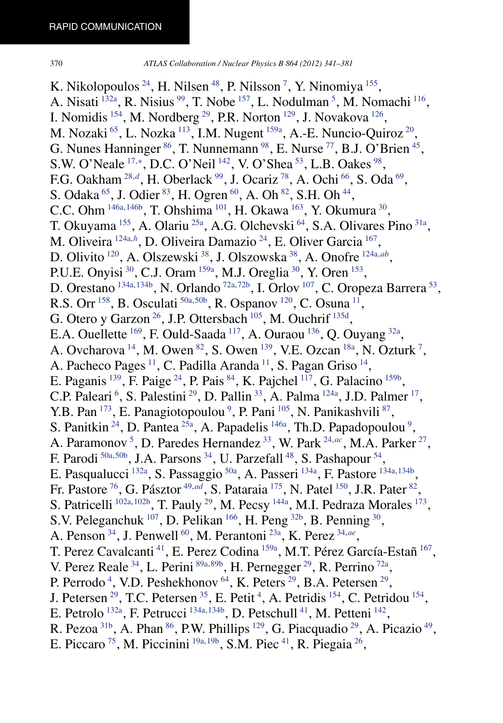K. Nikolopoulos  $^{24}$ , H. Nilsen  $^{48}$ , P. Nilsson  $^7$  $^7$ , Y. Ninomiya  $^{155}$ , A. Nisati  $^{132a}$ , R. Nisius  $^{99}$ , T. Nobe  $^{157}$  $^{157}$  $^{157}$ , L. Nodulman <sup>5</sup>, M. Nomachi  $^{116}$ , I. Nomidis [154](#page-38-0), M. Nordberg [29,](#page-36-0) P.R. Norton [129,](#page-38-0) J. Novakova [126,](#page-38-0) M. Nozaki<sup>[65](#page-37-0)</sup>, L. Nozka<sup>113</sup>, I.M. Nugent<sup>[159a](#page-38-0)</sup>, A.-E. Nuncio-Quiroz<sup>[20](#page-36-0)</sup>, G. Nunes Hanninger <sup>86</sup>, T. Nunnemann <sup>98</sup>, E. Nurse <sup>77</sup>, B.J. O'Brien <sup>45</sup>, S.W. O'Neale <sup>[17](#page-35-0),[∗](#page-35-0)</sup>, D.C. O'Neil <sup>142</sup>, V. O'Shea <sup>53</sup>, L.B. Oakes <sup>98</sup>, F.G. Oakham <sup>[28](#page-36-0),*[d](#page-36-0)*</sup>, H. Oberlack <sup>99</sup>, J. Ocariz <sup>78</sup>, A. Ochi <sup>66</sup>, S. Oda <sup>69</sup>, S. Odaka<sup>65</sup>, J. Odier<sup>83</sup>, H. Ogren<sup>60</sup>, A. Oh<sup>82</sup>, S.H. Oh<sup>44</sup>, C.C. Ohm [146a](#page-38-0)*,*[146b,](#page-38-0) T. Ohshima [101,](#page-37-0) H. Okawa [163,](#page-39-0) Y. Okumura [30,](#page-36-0) T. Okuyama [155,](#page-38-0) A. Olariu [25a,](#page-36-0) A.G. Olchevski [64](#page-37-0), S.A. Olivares Pino [31a,](#page-36-0) M. Oliveira [124a](#page-38-0)*,[h](#page-38-0)* , D. Oliveira Damazio [24,](#page-36-0) E. Oliver Garcia [167,](#page-39-0) D. Olivito [120,](#page-38-0) A. Olszewski [38,](#page-36-0) J. Olszowska [38,](#page-36-0) A. Onofre [124a](#page-38-0)*,[ab](#page-38-0)*, P.U.E. Onyisi<sup>30</sup>, C.J. Oram <sup>159a</sup>, M.J. Oreglia<sup>30</sup>, Y. Oren <sup>153</sup>, D. Orestano [134a](#page-38-0)*,*[134b,](#page-38-0) N. Orlando [72a](#page-37-0)*,*[72b](#page-37-0), I. Orlov [107,](#page-37-0) C. Oropeza Barrera [53,](#page-36-0) R.S. Orr [158,](#page-38-0) B. Osculati [50a](#page-36-0)*,*[50b,](#page-36-0) R. Ospanov [120,](#page-38-0) C. Osuna [11,](#page-35-0) G. Otero y Garzon<sup>[26](#page-36-0)</sup>, J.P. Ottersbach<sup>105</sup>, M. Ouchrif<sup>135d</sup>, E.A. Ouellette [169](#page-39-0), F. Ould-Saada [117,](#page-38-0) A. Ouraou [136,](#page-38-0) Q. Ouyang [32a,](#page-36-0) A. Ovcharova  $^{14}$ , M. Owen  $^{82}$  $^{82}$  $^{82}$ , S. Owen  $^{139}$ , V.E. Ozcan  $^{18a}$  $^{18a}$  $^{18a}$ , N. Ozturk <sup>[7](#page-35-0)</sup>, A. Pacheco Pages<sup>11</sup>, C. Padilla Aranda<sup>11</sup>, S. Pagan Griso<sup>14</sup>, E. Paganis  $^{139}$  $^{139}$  $^{139}$ , F. Paige  $^{24}$ , P. Pais  $^{84}$ , K. Pajchel  $^{117}$ , G. Palacino  $^{159b}$  $^{159b}$  $^{159b}$ , C.P. Paleari<sup>[6](#page-35-0)</sup>, S. Palestini<sup>29</sup>, D. Pallin<sup>[33](#page-36-0)</sup>, A. Palma<sup>124a</sup>, J.D. Palmer<sup>17</sup>, Y.B. Pan <sup>173</sup>, E. Panagiotopoulou<sup>[9](#page-35-0)</sup>, P. Pani <sup>105</sup>, N. Panikashvili <sup>87</sup>, S. Panitkin <sup>24</sup>, D. Pantea <sup>25a</sup>, A. Papadelis <sup>146a</sup>, Th.D. Papadopoulou<sup>[9](#page-35-0)</sup>, A. Paramonov [5](#page-35-0) , D. Paredes Hernandez [33,](#page-36-0) W. Park [24](#page-36-0)*,[ac](#page-36-0)*, M.A. Parker [27,](#page-36-0) F. Parodi [50a](#page-36-0)*,*[50b](#page-36-0), J.A. Parsons [34,](#page-36-0) U. Parzefall [48,](#page-36-0) S. Pashapour [54,](#page-36-0) E. Pasqualucci [132a,](#page-38-0) S. Passaggio [50a,](#page-36-0) A. Passeri [134a,](#page-38-0) F. Pastore [134a](#page-38-0)*,*[134b,](#page-38-0) Fr. Pastore [76,](#page-37-0) G. Pásztor [49](#page-36-0)*,[ad](#page-36-0)*, S. Pataraia [175,](#page-39-0) N. Patel [150,](#page-38-0) J.R. Pater [82,](#page-37-0) S. Patricelli <sup>[102a](#page-37-0), [102b](#page-37-0)</sup>, T. Pauly <sup>[29](#page-36-0)</sup>, M. Pecsy <sup>[144a](#page-38-0)</sup>, M.I. Pedraza Morales <sup>173</sup>, S.V. Peleganchuk [107,](#page-37-0) D. Pelikan [166,](#page-39-0) H. Peng [32b,](#page-36-0) B. Penning [30](#page-36-0), A. Penson [34,](#page-36-0) J. Penwell [60,](#page-37-0) M. Perantoni [23a,](#page-36-0) K. Perez [34](#page-36-0)*,[ae](#page-36-0)*, T. Perez Cavalcanti [41,](#page-36-0) E. Perez Codina [159a,](#page-38-0) M.T. Pérez García-Estañ [167,](#page-39-0) V. Perez Reale [34,](#page-36-0) L. Perini [89a](#page-37-0)*,*[89b](#page-37-0), H. Pernegger [29,](#page-36-0) R. Perrino [72a,](#page-37-0) P. Perrodo<sup>[4](#page-35-0)</sup>, V.D. Peshekhonov<sup>64</sup>, K. Peters<sup>29</sup>, B.A. Petersen<sup>29</sup>, J. Petersen<sup>[29](#page-36-0)</sup>, T.C. Petersen<sup>35</sup>, E. Petit<sup>[4](#page-35-0)</sup>, A. Petridis<sup>154</sup>, C. Petridou<sup>154</sup>, E. Petrolo [132a,](#page-38-0) F. Petrucci [134a](#page-38-0)*,*[134b,](#page-38-0) D. Petschull [41](#page-36-0), M. Petteni [142,](#page-38-0) R. Pezoa <sup>31b</sup>, A. Phan <sup>86</sup>, P.W. Phillips <sup>[129](#page-38-0)</sup>, G. Piacquadio <sup>29</sup>, A. Picazio <sup>[49](#page-36-0)</sup>, E. Piccaro [75,](#page-37-0) M. Piccinini [19a](#page-36-0)*,*[19b,](#page-36-0) S.M. Piec [41,](#page-36-0) R. Piegaia [26,](#page-36-0)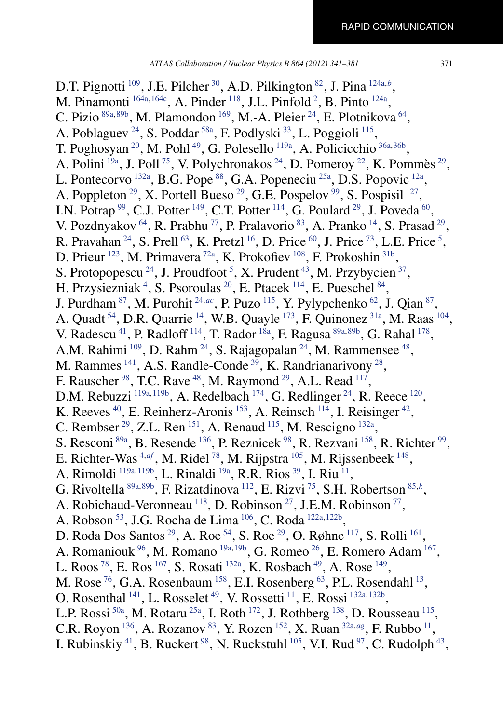D.T. Pignotti <sup>109</sup>, J.E. Pilcher <sup>30</sup>, A.D. Pilkington <sup>82</sup>, J. Pina <sup>[124a](#page-38-0),*[b](#page-38-0)*</sup>, M. Pinamonti <sup>[164a](#page-39-0), [164c](#page-39-0)</sup>, A. Pinder <sup>[118](#page-38-0)</sup>, J.L. Pinfold <sup>[2](#page-35-0)</sup>, B. Pinto <sup>124a</sup>, C. Pizio <sup>[89a](#page-37-0),[89b](#page-37-0)</sup>, M. Plamondon<sup>169</sup>, M.-A. Pleier<sup>24</sup>, E. Plotnikova<sup>64</sup>, A. Poblaguev <sup>24</sup>, S. Poddar <sup>58a</sup>, F. Podlyski <sup>33</sup>, L. Poggioli <sup>115</sup>, T. Poghosyan [20,](#page-36-0) M. Pohl [49,](#page-36-0) G. Polesello [119a,](#page-38-0) A. Policicchio [36a](#page-36-0)*,*[36b,](#page-36-0) A. Polini<sup>19a</sup>, J. Poll<sup>75</sup>, V. Polychronakos<sup>24</sup>, D. Pomeroy<sup>22</sup>, K. Pommès<sup>[29](#page-36-0)</sup>, L. Pontecorvo [132a,](#page-38-0) B.G. Pope [88,](#page-37-0) G.A. Popeneciu [25a,](#page-36-0) D.S. Popovic [12a,](#page-35-0) A. Poppleton <sup>29</sup>, X. Portell Bueso <sup>29</sup>, G.E. Pospelov <sup>99</sup>, S. Pospisil <sup>127</sup>, I.N. Potrap <sup>99</sup>, C.J. Potter <sup>[149](#page-38-0)</sup>, C.T. Potter <sup>114</sup>, G. Poulard <sup>29</sup>, J. Poveda <sup>60</sup>, V. Pozdnyakov <sup>64</sup>, R. Prabhu <sup>77</sup>, P. Pralavorio <sup>83</sup>, A. Pranko <sup>14</sup>, S. Prasad <sup>29</sup>, R. Pravahan  $^{24}$ , S. Prell  $^{63}$ , K. Pretzl  $^{16}$ , D. Price  $^{60}$ , J. Price  $^{73}$ , L.E. Price  $^5$  $^5$ , D. Prieur<sup>123</sup>, M. Primavera<sup>72a</sup>, K. Prokofiev<sup>108</sup>, F. Prokoshin<sup>31b</sup>, S. Protopopescu<sup>24</sup>, J. Proudfoot<sup>[5](#page-35-0)</sup>, X. Prudent<sup>43</sup>, M. Przybycien<sup>[37](#page-36-0)</sup>, H. Przysiezniak<sup>[4](#page-35-0)</sup>, S. Psoroulas<sup>20</sup>, E. Ptacek<sup>114</sup>, E. Pueschel<sup>84</sup>, J. Purdham [87,](#page-37-0) M. Purohit [24](#page-36-0)*,[ac](#page-36-0)*, P. Puzo [115,](#page-38-0) Y. Pylypchenko [62,](#page-37-0) J. Qian [87,](#page-37-0) A. Quadt <sup>54</sup>, D.R. Quarrie <sup>14</sup>, W.B. Quayle <sup>173</sup>, F. Quinonez <sup>31a</sup>, M. Raas <sup>104</sup>, V. Radescu [41,](#page-36-0) P. Radloff [114](#page-38-0), T. Rador [18a,](#page-36-0) F. Ragusa [89a](#page-37-0)*,*[89b,](#page-37-0) G. Rahal [178,](#page-39-0) A.M. Rahimi  $^{109}$ , D. Rahm  $^{24}$ , S. Rajagopalan  $^{24}$ , M. Rammensee  $^{48}$ , M. Rammes  $^{141}$ , A.S. Randle-Conde  $^{39}$ , K. Randrianarivony  $^{28}$ , F. Rauscher  $98$ , T.C. Rave  $48$ , M. Raymond  $29$ , A.L. Read  $117$ , D.M. Rebuzzi <sup>[119a](#page-38-0), [119b](#page-38-0)</sup>, A. Redelbach <sup>174</sup>, G. Redlinger <sup>[24](#page-36-0)</sup>, R. Reece <sup>[120](#page-38-0)</sup>, K. Reeves  $^{40}$ , E. Reinherz-Aronis  $^{153}$ , A. Reinsch  $^{114}$ , I. Reisinger  $^{42}$ , C. Rembser<sup>29</sup>, Z.L. Ren<sup>[151](#page-38-0)</sup>, A. Renaud<sup>115</sup>, M. Rescigno<sup>132a</sup>, S. Resconi <sup>89a</sup>, B. Resende <sup>136</sup>, P. Reznicek <sup>98</sup>, R. Rezvani <sup>158</sup>, R. Richter <sup>99</sup>, E. Richter-Was [4](#page-35-0)*,[af](#page-35-0)* , M. Ridel [78,](#page-37-0) M. Rijpstra [105,](#page-37-0) M. Rijssenbeek [148,](#page-38-0) A. Rimoldi [119a](#page-38-0)*,*[119b,](#page-38-0) L. Rinaldi [19a,](#page-36-0) R.R. Rios [39](#page-36-0), I. Riu [11,](#page-35-0) G. Rivoltella [89a](#page-37-0)*,*[89b,](#page-37-0) F. Rizatdinova [112,](#page-37-0) E. Rizvi [75,](#page-37-0) S.H. Robertson [85](#page-37-0)*,[k](#page-37-0)* , A. Robichaud-Veronneau <sup>118</sup>, D. Robinson <sup>27</sup>, J.E.M. Robinson <sup>77</sup>, A. Robson [53,](#page-36-0) J.G. Rocha de Lima [106,](#page-37-0) C. Roda [122a](#page-38-0)*,*[122b,](#page-38-0) D. Roda Dos Santos <sup>[29](#page-36-0)</sup>, A. Roe <sup>54</sup>, S. Roe <sup>29</sup>, O. Røhne <sup>[117](#page-38-0)</sup>, S. Rolli <sup>161</sup>, A. Romaniouk [96,](#page-37-0) M. Romano [19a](#page-36-0)*,*[19b,](#page-36-0) G. Romeo [26,](#page-36-0) E. Romero Adam [167,](#page-39-0) L. Roos [78,](#page-37-0) E. Ros [167](#page-39-0), S. Rosati [132a,](#page-38-0) K. Rosbach [49,](#page-36-0) A. Rose [149,](#page-38-0) M. Rose<sup>[76](#page-37-0)</sup>, G.A. Rosenbaum<sup>158</sup>, E.I. Rosenberg<sup>63</sup>, P.L. Rosendahl<sup>13</sup>, O. Rosenthal [141,](#page-38-0) L. Rosselet [49,](#page-36-0) V. Rossetti [11,](#page-35-0) E. Rossi [132a](#page-38-0)*,*[132b,](#page-38-0) L.P. Rossi <sup>50a</sup>, M. Rotaru <sup>[25a](#page-36-0)</sup>, I. Roth <sup>172</sup>, J. Rothberg <sup>[138](#page-38-0)</sup>, D. Rousseau <sup>115</sup>, C.R. Royon [136,](#page-38-0) A. Rozanov [83,](#page-37-0) Y. Rozen [152](#page-38-0), X. Ruan [32a](#page-36-0)*,[ag](#page-36-0)*, F. Rubbo [11,](#page-35-0) I. Rubinskiy<sup>41</sup>, B. Ruckert<sup>98</sup>, N. Ruckstuhl<sup>105</sup>, V.I. Rud<sup>97</sup>, C. Rudolph<sup>43</sup>,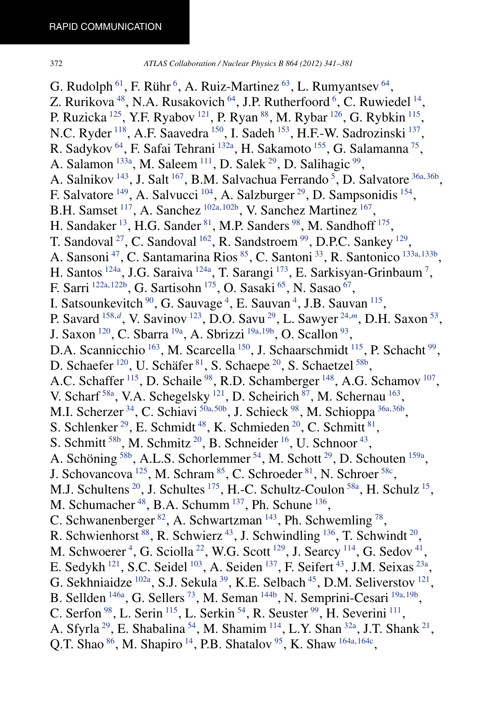*ATLAS Collaboration / Nuclear Physics B 864 (2012) 341–381*

G. Rudolph  $^{61}$  $^{61}$  $^{61}$ , F. Rühr  $^6$  $^6$ , A. Ruiz-Martinez  $^{63}$ , L. Rumyantsev  $^{64}$ , Z. Rurikova<sup>48</sup>, N.A. Rusakovich<sup>[6](#page-35-0)4</sup>, J.P. Rutherfoord<sup>6</sup>, C. Ruwiedel<sup>14</sup>, P. Ruzicka <sup>125</sup>, Y.F. Ryabov <sup>121</sup>, P. Ryan <sup>88</sup>, M. Rybar <sup>[126](#page-38-0)</sup>, G. Rybkin <sup>115</sup>, N.C. Ryder<sup>118</sup>, A.F. Saavedra<sup>150</sup>, I. Sadeh<sup>153</sup>, H.F.-W. Sadrozinski <sup>137</sup>, R. Sadykov [64,](#page-37-0) F. Safai Tehrani [132a,](#page-38-0) H. Sakamoto [155,](#page-38-0) G. Salamanna [75,](#page-37-0) A. Salamon  $^{133a}$ , M. Saleem  $^{111}$ , D. Salek  $^{29}$ , D. Salihagic  $^{99}$ , A. Salnikov [143,](#page-38-0) J. Salt [167,](#page-39-0) B.M. Salvachua Ferrando [5](#page-35-0) , D. Salvatore [36a](#page-36-0)*,*[36b](#page-36-0), F. Salvatore <sup>149</sup>, A. Salvucci<sup>104</sup>, A. Salzburger<sup>29</sup>, D. Sampsonidis <sup>154</sup>, B.H. Samset [117,](#page-38-0) A. Sanchez [102a](#page-37-0)*,*[102b,](#page-37-0) V. Sanchez Martinez [167,](#page-39-0) H. Sandaker<sup>13</sup>, H.G. Sander <sup>81</sup>, M.P. Sanders <sup>98</sup>, M. Sandhoff <sup>175</sup>, T. Sandoval  $^{27}$ , C. Sandoval  $^{162}$ , R. Sandstroem  $^{99}$ , D.P.C. Sankey  $^{129}$ , A. Sansoni [47,](#page-36-0) C. Santamarina Rios [85,](#page-37-0) C. Santoni [33,](#page-36-0) R. Santonico [133a](#page-38-0)*,*[133b,](#page-38-0) H. Santos  $^{124a}$ , J.G. Saraiva  $^{124a}$ , T. Sarangi  $^{173}$  $^{173}$  $^{173}$ , E. Sarkisyan-Grinbaum<sup>7</sup>, F. Sarri [122a](#page-38-0)*,*[122b,](#page-38-0) G. Sartisohn [175,](#page-39-0) O. Sasaki [65,](#page-37-0) N. Sasao [67,](#page-37-0) I. Satsounkevitch  $90$ , G. Sauvage  $4$ , E. Sauvan  $4$ , J.B. Sauvan  $^{115}$ , P. Savard [158](#page-38-0)*,[d](#page-38-0)*, V. Savinov [123,](#page-38-0) D.O. Savu [29,](#page-36-0) L. Sawyer [24](#page-36-0)*,[m](#page-36-0)*, D.H. Saxon [53,](#page-36-0) J. Saxon [120,](#page-38-0) C. Sbarra [19a,](#page-36-0) A. Sbrizzi [19a](#page-36-0)*,*[19b,](#page-36-0) O. Scallon [93,](#page-37-0) D.A. Scannicchio <sup>163</sup>, M. Scarcella <sup>[150](#page-38-0)</sup>, J. Schaarschmidt <sup>115</sup>, P. Schacht <sup>99</sup>, D. Schaefer<sup>120</sup>, U. Schäfer<sup>81</sup>, S. Schaepe<sup>20</sup>, S. Schaetzel<sup>58b</sup>, A.C. Schaffer<sup>115</sup>, D. Schaile<sup>98</sup>, R.D. Schamberger<sup>148</sup>, A.G. Schamov<sup>107</sup>, V. Scharf  $^{58a}$ , V.A. Schegelsky  $^{121}$ , D. Scheirich  $^{87}$ , M. Schernau  $^{163}$ , M.I. Scherzer [34,](#page-36-0) C. Schiavi [50a](#page-36-0)*,*[50b,](#page-36-0) J. Schieck [98,](#page-37-0) M. Schioppa [36a](#page-36-0)*,*[36b](#page-36-0), S. Schlenker <sup>29</sup>, E. Schmidt<sup>48</sup>, K. Schmieden <sup>20</sup>, C. Schmitt <sup>81</sup>, S. Schmitt <sup>58b</sup>, M. Schmitz <sup>20</sup>, B. Schneider <sup>16</sup>, U. Schnoor <sup>43</sup>, A. Schöning <sup>58b</sup>, A.L.S. Schorlemmer <sup>54</sup>, M. Schott <sup>29</sup>, D. Schouten <sup>159a</sup>, J. Schovancova [125,](#page-38-0) M. Schram [85](#page-37-0), C. Schroeder [81,](#page-37-0) N. Schroer [58c,](#page-36-0) M.J. Schultens <sup>20</sup>, J. Schultes <sup>175</sup>, H.-C. Schultz-Coulon <sup>58a</sup>, H. Schulz <sup>15</sup>, M. Schumacher<sup>48</sup>, B.A. Schumm<sup>137</sup>, Ph. Schune<sup>136</sup>, C. Schwanenberger  $82$ , A. Schwartzman  $143$ , Ph. Schwemling  $78$ , R. Schwienhorst <sup>88</sup>, R. Schwierz<sup>43</sup>, J. Schwindling <sup>136</sup>, T. Schwindt <sup>20</sup>, M. Schwoerer<sup>[4](#page-35-0)</sup>, G. Sciolla<sup>[22](#page-36-0)</sup>, W.G. Scott<sup>[129](#page-38-0)</sup>, J. Searcy<sup>114</sup>, G. Sedov<sup>41</sup>, E. Sedykh<sup>121</sup>, S.C. Seidel<sup>[103](#page-37-0)</sup>, A. Seiden<sup>137</sup>, F. Seifert<sup>43</sup>, J.M. Seixas<sup>23a</sup>, G. Sekhniaidze <sup>102a</sup>, S.J. Sekula <sup>39</sup>, K.E. Selbach <sup>[45](#page-36-0)</sup>, D.M. Seliverstov <sup>121</sup>, B. Sellden [146a,](#page-38-0) G. Sellers [73,](#page-37-0) M. Seman [144b](#page-38-0), N. Semprini-Cesari [19a](#page-36-0)*,*[19b,](#page-36-0) C. Serfon  $98$ , L. Serin  $115$ , L. Serkin  $54$ , R. Seuster  $99$ , H. Severini  $111$ , A. Sfyrla <sup>29</sup>, E. Shabalina <sup>54</sup>, M. Shamim <sup>114</sup>, L.Y. Shan <sup>32a</sup>, J.T. Shank <sup>21</sup>, Q.T. Shao [86,](#page-37-0) M. Shapiro [14,](#page-35-0) P.B. Shatalov [95,](#page-37-0) K. Shaw [164a](#page-39-0)*,*[164c](#page-39-0),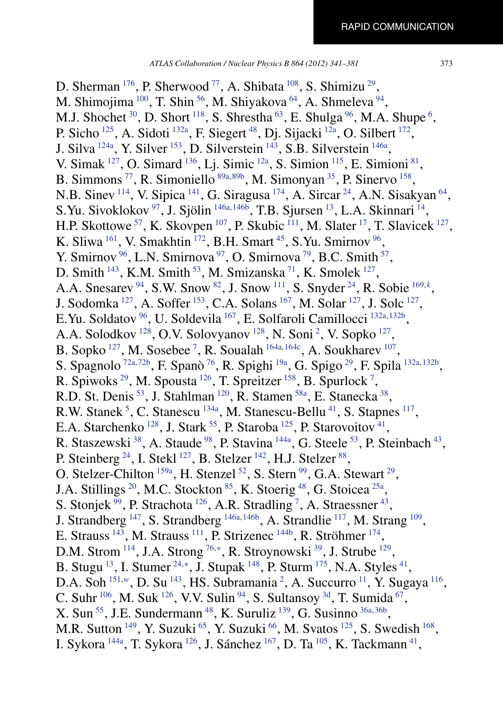D. Sherman  $^{176}$  $^{176}$  $^{176}$ , P. Sherwood  $^{77}$ , A. Shibata  $^{108}$ , S. Shimizu  $^{29}$ , M. Shimojima <sup>[100](#page-37-0)</sup>, T. Shin <sup>56</sup>, M. Shiyakova <sup>64</sup>, A. Shmeleva <sup>94</sup>, M.J. Shochet  $^{30}$ , D. Short  $^{118}$ , S. Shrestha  $^{63}$  $^{63}$  $^{63}$ , E. Shulga  $^{96}$ , M.A. Shupe  $^6$ , P. Sicho  $^{125}$ , A. Sidoti  $^{132a}$ , F. Siegert  $^{48}$ , Dj. Sijacki  $^{12a}$ , O. Silbert  $^{172}$ , J. Silva  $^{124a}$ , Y. Silver  $^{153}$ , D. Silverstein  $^{143}$  $^{143}$  $^{143}$ , S.B. Silverstein  $^{146a}$ , V. Simak  $^{127}$ , O. Simard  $^{136}$ , Lj. Simic  $^{12a}$  $^{12a}$  $^{12a}$ , S. Simion  $^{115}$ , E. Simioni  $^{81}$ , B. Simmons [77,](#page-37-0) R. Simoniello [89a](#page-37-0)*,*[89b,](#page-37-0) M. Simonyan [35,](#page-36-0) P. Sinervo [158,](#page-38-0) N.B. Sinev<sup>[114](#page-38-0)</sup>, V. Sipica<sup>141</sup>, G. Siragusa<sup>174</sup>, A. Sircar<sup>24</sup>, A.N. Sisakyan<sup>64</sup>, S.Yu. Sivoklokov [97,](#page-37-0) J. Sjölin [146a](#page-38-0)*,*[146b,](#page-38-0) T.B. Sjursen [13,](#page-35-0) L.A. Skinnari [14,](#page-35-0) H.P. Skottowe <sup>57</sup>, K. Skovpen <sup>107</sup>, P. Skubic <sup>111</sup>, M. Slater <sup>17</sup>, T. Slavicek <sup>127</sup>, K. Sliwa <sup>161</sup>, V. Smakhtin <sup>172</sup>, B.H. Smart <sup>45</sup>, S.Yu. Smirnov <sup>96</sup>, Y. Smirnov  $96$ , L.N. Smirnova  $97$ , O. Smirnova  $79$ , B.C. Smith  $57$ , D. Smith <sup>143</sup>, K.M. Smith <sup>53</sup>, M. Smizanska<sup>71</sup>, K. Smolek <sup>127</sup>, A.A. Snesarev <sup>[94](#page-37-0)</sup>, S.W. Snow <sup>82</sup>, J. Snow <sup>111</sup>, S. Snyder <sup>24</sup>, R. Sobie <sup>[169](#page-39-0),*[k](#page-39-0)*</sup>, J. Sodomka [127,](#page-38-0) A. Soffer [153,](#page-38-0) C.A. Solans [167,](#page-39-0) M. Solar [127,](#page-38-0) J. Solc [127,](#page-38-0) E.Yu. Soldatov [96](#page-37-0), U. Soldevila [167,](#page-39-0) E. Solfaroli Camillocci [132a](#page-38-0)*,*[132b,](#page-38-0) A.A. Solodkov <sup>1[2](#page-35-0)8</sup>, O.V. Solovyanov <sup>128</sup>, N. Soni<sup>2</sup>, V. Sopko <sup>127</sup>, B. Sopko [127,](#page-38-0) M. Sosebee [7](#page-35-0) , R. Soualah [164a](#page-39-0)*,*[164c,](#page-39-0) A. Soukharev [107](#page-37-0), S. Spagnolo [72a](#page-37-0)*,*[72b,](#page-37-0) F. Spanò [76,](#page-37-0) R. Spighi [19a](#page-36-0), G. Spigo [29,](#page-36-0) F. Spila [132a](#page-38-0)*,*[132b](#page-38-0), R. Spiwoks<sup>29</sup>, M. Spousta  $^{126}$  $^{126}$  $^{126}$ , T. Spreitzer  $^{158}$ , B. Spurlock<sup>[7](#page-35-0)</sup>, R.D. St. Denis<sup>53</sup>, J. Stahlman <sup>120</sup>, R. Stamen <sup>58a</sup>, E. Stanecka <sup>38</sup>, R.W. Stanek<sup>[5](#page-35-0)</sup>, C. Stanescu<sup>134a</sup>, M. Stanescu-Bellu<sup>41</sup>, S. Stapnes<sup>117</sup>, E.A. Starchenko  $^{128}$ , J. Stark  $^{55}$ , P. Staroba  $^{125}$ , P. Starovoitov  $^{41}$ , R. Staszewski<sup>38</sup>, A. Staude<sup>98</sup>, P. Stavina<sup>144a</sup>, G. Steele<sup>53</sup>, P. Steinbach<sup>43</sup>, P. Steinberg  $^{24}$ , I. Stekl  $^{127}$ , B. Stelzer  $^{142}$ , H.J. Stelzer  $^{88}$ , O. Stelzer-Chilton <sup>159a</sup>, H. Stenzel <sup>52</sup>, S. Stern <sup>[99](#page-37-0)</sup>, G.A. Stewart <sup>29</sup>, J.A. Stillings<sup>20</sup>, M.C. Stockton <sup>85</sup>, K. Stoerig<sup>48</sup>, G. Stoicea<sup>[25a](#page-36-0)</sup>, S. Stonjek<sup>99</sup>, P. Strachota<sup>126</sup>, A.R. Stradling<sup>[7](#page-35-0)</sup>, A. Straessner<sup>43</sup>, J. Strandberg [147,](#page-38-0) S. Strandberg [146a](#page-38-0)*,*[146b,](#page-38-0) A. Strandlie [117,](#page-38-0) M. Strang [109,](#page-37-0) E. Strauss<sup>143</sup>, M. Strauss<sup>111</sup>, P. Strizenec<sup>144b</sup>, R. Ströhmer<sup>174</sup>, D.M. Strom <sup>114</sup>, J.A. Strong <sup>[76](#page-37-0),[∗](#page-37-0)</sup>, R. Stroynowski<sup>39</sup>, J. Strube <sup>129</sup>, B. Stugu<sup>13</sup>, I. Stumer<sup>[24](#page-36-0),[∗](#page-36-0)</sup>, J. Stupak<sup>148</sup>, P. Sturm<sup>175</sup>, N.A. Styles<sup>41</sup>, D.A. Soh<sup>[151](#page-38-0),*[w](#page-38-0)*</sup>, D. Su<sup>143</sup>, HS. Subramania<sup>[2](#page-35-0)</sup>, A. Succurro<sup>11</sup>, Y. Sugaya<sup>[116](#page-38-0)</sup>, C. Suhr  $^{106}$ , M. Suk  $^{126}$ , V.V. Sulin  $^{94}$ , S. Sultansoy  $^{3d}$ , T. Sumida  $^{67}$ , X. Sun [55,](#page-36-0) J.E. Sundermann [48,](#page-36-0) K. Suruliz [139,](#page-38-0) G. Susinno [36a](#page-36-0)*,*[36b,](#page-36-0) M.R. Sutton  $^{149}$ , Y. Suzuki  $^{65}$ , Y. Suzuki  $^{66}$ , M. Svatos  $^{125}$ , S. Swedish  $^{168}$  $^{168}$  $^{168}$ , I. Sykora <sup>[144a](#page-38-0)</sup>, T. Sykora <sup>126</sup>, J. Sánchez <sup>167</sup>, D. Ta <sup>[105](#page-37-0)</sup>, K. Tackmann <sup>41</sup>,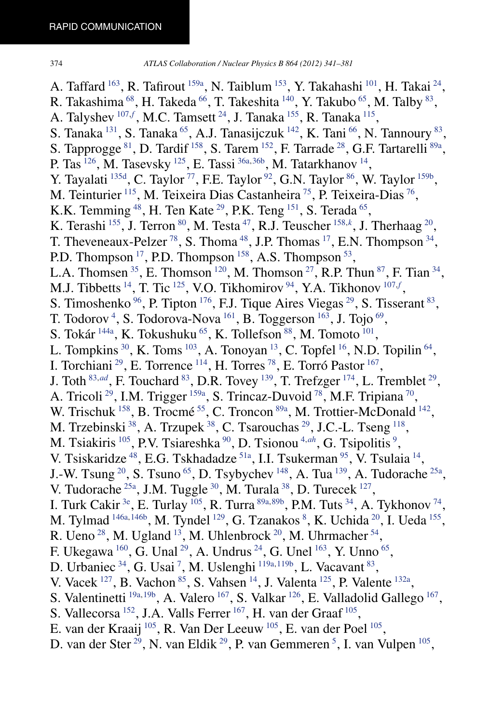A. Taffard <sup>163</sup>, R. Tafirout <sup>159a</sup>, N. Taiblum <sup>153</sup>, Y. Takahashi <sup>[101](#page-37-0)</sup>, H. Takai <sup>24</sup>, R. Takashima  $^{68}$ , H. Takeda  $^{66}$ , T. Takeshita  $^{140}$ , Y. Takubo  $^{65}$ , M. Talby  $^{83},$  $^{83},$  $^{83},$ A. Talyshev  $^{107f}$  $^{107f}$  $^{107f}$  $^{107f}$ , M.C. Tamsett <sup>24</sup>, J. Tanaka  $^{155}$ , R. Tanaka  $^{115}$ , S. Tanaka<sup>131</sup>, S. Tanaka<sup>65</sup>, A.J. Tanasijczuk <sup>142</sup>, K. Tani<sup>66</sup>, N. Tannoury<sup>83</sup>, S. Tapprogge  $81$ , D. Tardif  $158$ , S. Tarem  $152$ , F. Tarrade  $28$ , G.F. Tartarelli  $89a$ , P. Tas [126,](#page-38-0) M. Tasevsky [125,](#page-38-0) E. Tassi [36a](#page-36-0)*,*[36b,](#page-36-0) M. Tatarkhanov [14,](#page-35-0) Y. Tayalati  $^{135d}$ , C. Taylor  $^{77}$  $^{77}$  $^{77}$ , F.E. Taylor  $^{92}$ , G.N. Taylor  $^{86}$ , W. Taylor  $^{159b}$ , M. Teinturier [115,](#page-38-0) M. Teixeira Dias Castanheira [75,](#page-37-0) P. Teixeira-Dias [76,](#page-37-0) K.K. Temming <sup>48</sup>, H. Ten Kate <sup>29</sup>, P.K. Teng <sup>151</sup>, S. Terada <sup>65</sup>, K. Terashi [155,](#page-38-0) J. Terron [80,](#page-37-0) M. Testa [47,](#page-36-0) R.J. Teuscher [158](#page-38-0)*,[k](#page-38-0)* , J. Therhaag [20,](#page-36-0) T. Theveneaux-Pelzer<sup>78</sup>, S. Thoma<sup>48</sup>, J.P. Thomas<sup>17</sup>, E.N. Thompson<sup>34</sup>, P.D. Thompson  $^{17}$ , P.D. Thompson  $^{158}$ , A.S. Thompson  $^{53}$ , L.A. Thomsen <sup>35</sup>, E. Thomson <sup>120</sup>, M. Thomson <sup>27</sup>, R.P. Thun <sup>87</sup>, F. Tian <sup>34</sup>, M.J. Tibbetts <sup>14</sup>, T. Tic <sup>125</sup>, V.O. Tikhomirov <sup>94</sup>, Y.A. Tikhonov <sup>[107](#page-37-0)</sup>*[f](#page-37-0)*, S. Timoshenko <sup>96</sup>, P. Tipton <sup>176</sup>, F.J. Tique Aires Viegas <sup>29</sup>, S. Tisserant <sup>83</sup>, T. Todorov<sup>[4](#page-35-0)</sup>, S. Todorova-Nova <sup>[161](#page-38-0)</sup>, B. Toggerson <sup>163</sup>, J. Tojo <sup>[69](#page-37-0)</sup>, S. Tokár [144a,](#page-38-0) K. Tokushuku [65,](#page-37-0) K. Tollefson [88,](#page-37-0) M. Tomoto [101](#page-37-0), L. Tompkins  $^{30}$ , K. Toms  $^{103}$  $^{103}$  $^{103}$ , A. Tonoyan  $^{13}$ , C. Topfel  $^{16}$  $^{16}$  $^{16}$ , N.D. Topilin  $^{64}$ , I. Torchiani<sup>29</sup>, E. Torrence <sup>114</sup>, H. Torres <sup>[78](#page-37-0)</sup>, E. Torró Pastor <sup>167</sup>, J. Toth [83](#page-37-0)*,[ad](#page-37-0)*, F. Touchard [83,](#page-37-0) D.R. Tovey [139,](#page-38-0) T. Trefzger [174,](#page-39-0) L. Tremblet [29,](#page-36-0) A. Tricoli <sup>29</sup>, I.M. Trigger <sup>[159a](#page-38-0)</sup>, S. Trincaz-Duvoid <sup>[78](#page-37-0)</sup>, M.F. Tripiana <sup>70</sup>, W. Trischuk  $^{158}$ , B. Trocmé  $^{55}$ , C. Troncon  $^{89a}$ , M. Trottier-McDonald  $^{142}$ , M. Trzebinski <sup>38</sup>, A. Trzupek <sup>38</sup>, C. Tsarouchas <sup>29</sup>, J.C.-L. Tseng <sup>118</sup>, M. Tsiakiris [105,](#page-37-0) P.V. Tsiareshka [90,](#page-37-0) D. Tsionou [4](#page-35-0)*,[ah](#page-35-0)*, G. Tsipolitis [9](#page-35-0) , V. Tsiskaridze<sup>48</sup>, E.G. Tskhadadze<sup>51a</sup>, I.I. Tsukerman<sup>95</sup>, V. Tsulaia<sup>14</sup>, J.-W. Tsung <sup>20</sup>, S. Tsuno <sup>65</sup>, D. Tsybychev <sup>[148](#page-38-0)</sup>, A. Tua <sup>139</sup>, A. Tudorache <sup>25a</sup>, V. Tudorache <sup>25a</sup>, J.M. Tuggle <sup>30</sup>, M. Turala <sup>38</sup>, D. Turecek <sup>127</sup>, I. Turk Cakir [3e,](#page-35-0) E. Turlay [105,](#page-37-0) R. Turra [89a](#page-37-0)*,*[89b,](#page-37-0) P.M. Tuts [34,](#page-36-0) A. Tykhonov [74,](#page-37-0) M. Tylmad <sup>[146a](#page-38-0),146b</sup>, M. Tyndel <sup>129</sup>, G. Tzanakos <sup>[8](#page-35-0)</sup>, K. Uchida <sup>20</sup>, I. Ueda <sup>155</sup>, R. Ueno <sup>28</sup>, M. Ugland <sup>13</sup>, M. Uhlenbrock <sup>20</sup>, M. Uhrmacher <sup>54</sup>, F. Ukegawa [160,](#page-38-0) G. Unal [29,](#page-36-0) A. Undrus [24](#page-36-0), G. Unel [163,](#page-39-0) Y. Unno [65,](#page-37-0) D. Urbaniec [34,](#page-36-0) G. Usai [7](#page-35-0) , M. Uslenghi [119a](#page-38-0)*,*[119b,](#page-38-0) L. Vacavant [83,](#page-37-0) V. Vacek <sup>127</sup>, B. Vachon <sup>85</sup>, S. Vahsen <sup>[14](#page-35-0)</sup>, J. Valenta <sup>125</sup>, P. Valente <sup>132a</sup>, S. Valentinetti <sup>[19a](#page-36-0), 19b</sup>, A. Valero <sup>[167](#page-39-0)</sup>, S. Valkar <sup>126</sup>, E. Valladolid Gallego <sup>167</sup>, S. Vallecorsa <sup>152</sup>, J.A. Valls Ferrer <sup>167</sup>, H. van der Graaf <sup>105</sup>, E. van der Kraaij <sup>105</sup>, R. Van Der Leeuw <sup>105</sup>, E. van der Poel <sup>105</sup>, D. van der Ster<sup>29</sup>, N. van Eldik<sup>29</sup>, P. van Gemmeren<sup>[5](#page-35-0)</sup>, I. van Vulpen<sup>[105](#page-37-0)</sup>,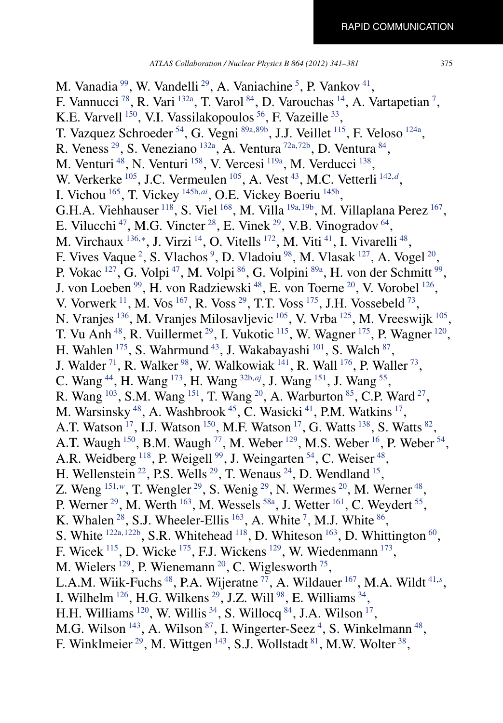M. Vanadia  $99$ , W. Vandelli  $29$ , A. Vaniachine  $5$ , P. Vankov  $41$ , F. Vannucci  $^{78}$  $^{78}$  $^{78}$ , R. Vari  $^{132a}$ , T. Varol  $^{84}$ , D. Varouchas  $^{14}$ , A. Vartapetian  $^7$  $^7$ , K.E. Varvell<sup>150</sup>, V.I. Vassilakopoulos <sup>56</sup>, F. Vazeille <sup>[33](#page-36-0)</sup>, T. Vazquez Schroeder [54,](#page-36-0) G. Vegni [89a](#page-37-0)*,*[89b,](#page-37-0) J.J. Veillet [115,](#page-38-0) F. Veloso [124a,](#page-38-0) R. Veness [29,](#page-36-0) S. Veneziano [132a,](#page-38-0) A. Ventura [72a](#page-37-0)*,*[72b,](#page-37-0) D. Ventura [84,](#page-37-0) M. Venturi<sup>48</sup>, N. Venturi<sup>158</sup>, V. Vercesi<sup>119a</sup>, M. Verducci<sup>138</sup>, W. Verkerke <sup>105</sup>, J.C. Vermeulen <sup>105</sup>, A. Vest<sup>43</sup>, M.C. Vetterli<sup>[142](#page-38-0),*[d](#page-38-0)*</sup>, I. Vichou [165,](#page-39-0) T. Vickey [145b](#page-38-0)*,[ai](#page-38-0)*, O.E. Vickey Boeriu [145b,](#page-38-0) G.H.A. Viehhauser [118,](#page-38-0) S. Viel [168,](#page-39-0) M. Villa [19a](#page-36-0)*,*[19b,](#page-36-0) M. Villaplana Perez [167,](#page-39-0) E. Vilucchi <sup>47</sup>, M.G. Vincter <sup>28</sup>, E. Vinek <sup>29</sup>, V.B. Vinogradov <sup>64</sup>, M. Virchaux <sup>[136](#page-38-0),[∗](#page-38-0)</sup>, J. Virzi<sup>[14](#page-35-0)</sup>, O. Vitells <sup>172</sup>, M. Viti<sup>41</sup>, I. Vivarelli<sup>48</sup>, F. Vives Vaque<sup>[2](#page-35-0)</sup>, S. Vlachos<sup>[9](#page-35-0)</sup>, D. Vladoiu<sup>98</sup>, M. Vlasak<sup>127</sup>, A. Vogel<sup>[20](#page-36-0)</sup>, P. Vokac <sup>127</sup>, G. Volpi <sup>47</sup>, M. Volpi <sup>86</sup>, G. Volpini <sup>89</sup>a, H. von der Schmitt<sup>99</sup>, J. von Loeben [99,](#page-37-0) H. von Radziewski [48,](#page-36-0) E. von Toerne [20,](#page-36-0) V. Vorobel [126,](#page-38-0) V. Vorwerk [11,](#page-35-0) M. Vos [167,](#page-39-0) R. Voss [29,](#page-36-0) T.T. Voss [175,](#page-39-0) J.H. Vossebeld [73,](#page-37-0) N. Vranjes [136,](#page-38-0) M. Vranjes Milosavljevic [105,](#page-37-0) V. Vrba [125](#page-38-0), M. Vreeswijk [105,](#page-37-0) T. Vu Anh<sup>[48](#page-36-0)</sup>, R. Vuillermet<sup>29</sup>, I. Vukotic <sup>115</sup>, W. Wagner <sup>[175](#page-39-0)</sup>, P. Wagner <sup>120</sup>, H. Wahlen <sup>175</sup>, S. Wahrmund <sup>43</sup>, J. Wakabayashi <sup>[101](#page-37-0)</sup>, S. Walch <sup>87</sup>, J. Walder<sup>71</sup>, R. Walker<sup>98</sup>, W. Walkowiak <sup>141</sup>, R. Wall <sup>176</sup>, P. Waller<sup>73</sup>, C. Wang [44,](#page-36-0) H. Wang [173,](#page-39-0) H. Wang [32b](#page-36-0)*,[aj](#page-36-0)*, J. Wang [151,](#page-38-0) J. Wang [55,](#page-36-0) R. Wang  $^{103}$ , S.M. Wang  $^{151}$ , T. Wang  $^{20}$ , A. Warburton  $^{85}$ , C.P. Ward  $^{27}$ , M. Warsinsky<sup>48</sup>, A. Washbrook<sup>45</sup>, C. Wasicki<sup>41</sup>, P.M. Watkins<sup>17</sup>, A.T. Watson<sup>17</sup>, I.J. Watson<sup>150</sup>, M.F. Watson<sup>17</sup>, G. Watts<sup>138</sup>, S. Watts<sup>82</sup>, A.T. Waugh <sup>150</sup>, B.M. Waugh <sup>77</sup>, M. Weber <sup>129</sup>, M.S. Weber <sup>[16](#page-35-0)</sup>, P. Weber <sup>[54](#page-36-0)</sup>, A.R. Weidberg  $^{118}$ , P. Weigell  $^{99}$ , J. Weingarten  $^{54}$ , C. Weiser  $^{48}$ , H. Wellenstein <sup>22</sup>, P.S. Wells <sup>[29](#page-36-0)</sup>, T. Wenaus <sup>24</sup>, D. Wendland <sup>15</sup>, Z. Weng <sup>[151](#page-38-0),*[w](#page-38-0)*</sup>, T. Wengler <sup>29</sup>, S. Wenig <sup>29</sup>, N. Wermes <sup>20</sup>, M. Werner <sup>48</sup>, P. Werner<sup>29</sup>, M. Werth <sup>163</sup>, M. Wessels <sup>[58a](#page-36-0)</sup>, J. Wetter <sup>[161](#page-38-0)</sup>, C. Weydert <sup>55</sup>, K. Whalen  $^{28}$ , S.J. Wheeler-Ellis  $^{163}$ , A. White  $^7$  $^7$ , M.J. White  $^{86}$ , S. White <sup>[122a](#page-38-0), 122b</sup>, S.R. Whitehead <sup>118</sup>, D. Whiteson <sup>163</sup>, D. Whittington <sup>[60](#page-37-0)</sup>, F. Wicek [115,](#page-38-0) D. Wicke [175,](#page-39-0) F.J. Wickens [129,](#page-38-0) W. Wiedenmann [173,](#page-39-0) M. Wielers  $^{129}$ , P. Wienemann  $^{20}$ , C. Wiglesworth  $^{75}$ , L.A.M. Wiik-Fuchs<sup>48</sup>, P.A. Wijeratne<sup>77</sup>, A. Wildauer<sup>[167](#page-39-0)</sup>, M.A. Wildt<sup>[41](#page-36-0),[s](#page-36-0)</sup>, I. Wilhelm  $^{126}$ , H.G. Wilkens  $^{29}$  $^{29}$  $^{29}$ , J.Z. Will  $^{98}$ , E. Williams  $^{34}$ , H.H. Williams  $120$ , W. Willis  $34$ , S. Willocq  $84$ , J.A. Wilson  $17$ , M.G. Wilson  $^{143}$  $^{143}$  $^{143}$ , A. Wilson  $^{87}$ , I. Wingerter-Seez  $^4$ , S. Winkelmann  $^{48}$ , F. Winklmeier<sup>29</sup>, M. Wittgen<sup>143</sup>, S.J. Wollstadt<sup>81</sup>, M.W. Wolter<sup>38</sup>,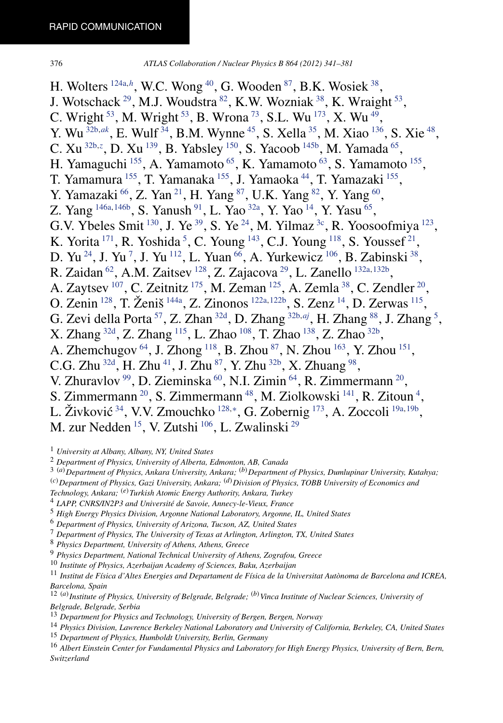<span id="page-35-0"></span>H. Wolters <sup>[124a](#page-38-0),[h](#page-38-0)</sup>, W.C. Wong <sup>40</sup>, G. Wooden <sup>87</sup>, B.K. Wosiek <sup>38</sup>, J. Wotschack <sup>29</sup>, M.J. Woudstra <sup>82</sup>, K.W. Wozniak <sup>38</sup>, K. Wraight <sup>53</sup>, C. Wright  $^{53}$ , M. Wright  $^{53}$ , B. Wrona  $^{73}$  $^{73}$  $^{73}$ , S.L. Wu  $^{173}$ , X. Wu  $^{49}$ , Y. Wu<sup>[32b](#page-36-0),*[ak](#page-36-0)*</sup>, E. Wulf<sup>34</sup>, B.M. Wynne<sup>45</sup>, S. Xella<sup>35</sup>, M. Xiao<sup>136</sup>, S. Xie<sup>48</sup>, C. Xu <sup>[32b](#page-36-0),*[z](#page-36-0)*</sup>, D. Xu <sup>139</sup>, B. Yabsley <sup>150</sup>, S. Yacoob <sup>145b</sup>, M. Yamada <sup>65</sup>, H. Yamaguchi [155,](#page-38-0) A. Yamamoto [65,](#page-37-0) K. Yamamoto [63,](#page-37-0) S. Yamamoto [155,](#page-38-0) T. Yamamura [155,](#page-38-0) T. Yamanaka [155](#page-38-0), J. Yamaoka [44,](#page-36-0) T. Yamazaki [155,](#page-38-0) Y. Yamazaki <sup>[66](#page-37-0)</sup>, Z. Yan <sup>21</sup>, H. Yang <sup>87</sup>, U.K. Yang <sup>82</sup>, Y. Yang <sup>60</sup>, Z. Yang <sup>[146a](#page-38-0), 146b</sup>, S. Yanush <sup>91</sup>, L. Yao <sup>32a</sup>, Y. Yao <sup>14</sup>, Y. Yasu <sup>65</sup>, G.V. Ybeles Smit<sup>[130](#page-38-0)</sup>, J. Ye<sup>39</sup>, S. Ye<sup>24</sup>, M. Yilmaz<sup>3c</sup>, R. Yoosoofmiya<sup>123</sup>, K. Yorita  $^{171}$ , R. Yoshida <sup>5</sup>, C. Young  $^{143}$ , C.J. Young  $^{118}$  $^{118}$  $^{118}$ , S. Youssef  $^{21}$  $^{21}$  $^{21}$ , D. Yu<sup>24</sup>, J. Yu<sup>7</sup>, J. Yu<sup>112</sup>, L. Yuan<sup>66</sup>, A. Yurkewicz<sup>106</sup>, B. Zabinski<sup>38</sup>, R. Zaidan [62,](#page-37-0) A.M. Zaitsev [128,](#page-38-0) Z. Zajacova [29](#page-36-0), L. Zanello [132a](#page-38-0)*,*[132b,](#page-38-0) A. Zaytsev  $^{107}$ , C. Zeitnitz  $^{175}$ , M. Zeman  $^{125}$  $^{125}$  $^{125}$ , A. Zemla  $^{38}$ , C. Zendler  $^{20}$ , O. Zenin [128,](#page-38-0) T. Ženiš [144a,](#page-38-0) Z. Zinonos [122a](#page-38-0)*,*[122b,](#page-38-0) S. Zenz 14, D. Zerwas [115,](#page-38-0) G. Zevi della Porta [57,](#page-36-0) Z. Zhan [32d,](#page-36-0) D. Zhang [32b](#page-36-0)*,[aj](#page-36-0)*, H. Zhang [88,](#page-37-0) J. Zhang <sup>5</sup> , X. Zhang [32d,](#page-36-0) Z. Zhang [115,](#page-38-0) L. Zhao [108,](#page-37-0) T. Zhao [138,](#page-38-0) Z. Zhao [32b,](#page-36-0) A. Zhemchugov  $^{64}$ , J. Zhong  $^{118}$ , B. Zhou  $^{87}$  $^{87}$  $^{87}$ , N. Zhou  $^{163}$ , Y. Zhou  $^{151}$ , C.G. Zhu  $^{32d}$ , H. Zhu  $^{41}$ , J. Zhu  $^{87}$ , Y. Zhu  $^{32b}$ , X. Zhuang  $^{98}$ , V. Zhuravlov<sup>99</sup>, D. Zieminska<sup>60</sup>, N.I. Zimin<sup>64</sup>, R. Zimmermann<sup>20</sup>, S. Zimmermann  $^{20}$ , S. Zimmermann  $^{48}$ , M. Ziolkowski  $^{141}$ , R. Zitoun  $^4$ , L. Živkovic´ [34,](#page-36-0) V.V. Zmouchko [128](#page-38-0)*,*[∗](#page-38-0), G. Zobernig [173,](#page-39-0) A. Zoccoli [19a](#page-36-0)*,*[19b,](#page-36-0) M. zur Nedden 15, V. Zutshi [106,](#page-37-0) L. Zwalinski [29](#page-36-0)

<sup>1</sup> *University at Albany, Albany, NY, United States*

*Technology, Ankara; (e)Turkish Atomic Energy Authority, Ankara, Turkey*

<sup>6</sup> *Department of Physics, University of Arizona, Tucson, AZ, United States*

<sup>7</sup> *Department of Physics, The University of Texas at Arlington, Arlington, TX, United States*

<sup>8</sup> *Physics Department, University of Athens, Athens, Greece*

<sup>9</sup> *Physics Department, National Technical University of Athens, Zografou, Greece*

<sup>10</sup> *Institute of Physics, Azerbaijan Academy of Sciences, Baku, Azerbaijan*

<sup>11</sup> *Institut de Física d'Altes Energies and Departament de Física de la Universitat Autònoma de Barcelona and ICREA, Barcelona, Spain*

<sup>12</sup> *(a)Institute of Physics, University of Belgrade, Belgrade; (b)Vinca Institute of Nuclear Sciences, University of Belgrade, Belgrade, Serbia*

<sup>13</sup> *Department for Physics and Technology, University of Bergen, Bergen, Norway*

<sup>14</sup> *Physics Division, Lawrence Berkeley National Laboratory and University of California, Berkeley, CA, United States*

<sup>15</sup> *Department of Physics, Humboldt University, Berlin, Germany*

<sup>16</sup> *Albert Einstein Center for Fundamental Physics and Laboratory for High Energy Physics, University of Bern, Bern, Switzerland*

<sup>2</sup> *Department of Physics, University of Alberta, Edmonton, AB, Canada*

<sup>3</sup> *(a)Department of Physics, Ankara University, Ankara; (b)Department of Physics, Dumlupinar University, Kutahya;*

*<sup>(</sup>c)Department of Physics, Gazi University, Ankara; (d)Division of Physics, TOBB University of Economics and*

<sup>4</sup> *LAPP, CNRS/IN2P3 and Université de Savoie, Annecy-le-Vieux, France*

<sup>5</sup> *High Energy Physics Division, Argonne National Laboratory, Argonne, IL, United States*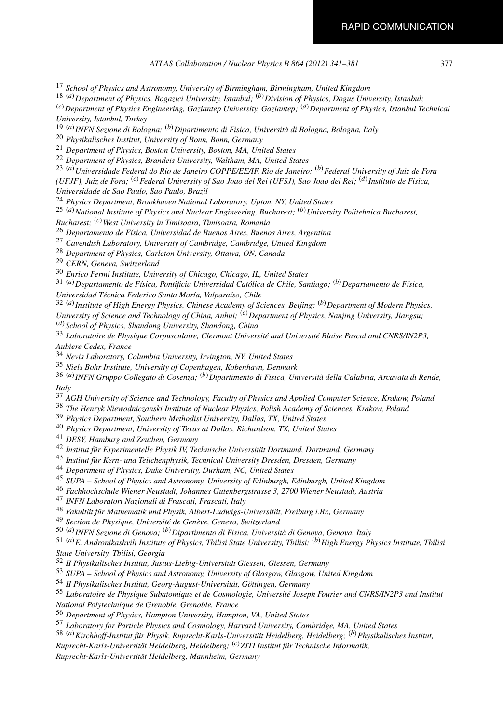<span id="page-36-0"></span>*School of Physics and Astronomy, University of Birmingham, Birmingham, United Kingdom*

*(a)Department of Physics, Bogazici University, Istanbul; (b)Division of Physics, Dogus University, Istanbul;*

- *(c)Department of Physics Engineering, Gaziantep University, Gaziantep; (d)Department of Physics, Istanbul Technical University, Istanbul, Turkey*
- *(a)INFN Sezione di Bologna; (b)Dipartimento di Fisica, Università di Bologna, Bologna, Italy*

*Physikalisches Institut, University of Bonn, Bonn, Germany*

*Department of Physics, Boston University, Boston, MA, United States*

*Department of Physics, Brandeis University, Waltham, MA, United States*

*(a)Universidade Federal do Rio de Janeiro COPPE/EE/IF, Rio de Janeiro; (b)Federal University of Juiz de Fora*

*(UFJF), Juiz de Fora; (c)Federal University of Sao Joao del Rei (UFSJ), Sao Joao del Rei; (d)Instituto de Fisica,*

*Universidade de Sao Paulo, Sao Paulo, Brazil*

*Physics Department, Brookhaven National Laboratory, Upton, NY, United States*

*(a)National Institute of Physics and Nuclear Engineering, Bucharest; (b)University Politehnica Bucharest,*

*Bucharest; (c)West University in Timisoara, Timisoara, Romania*

*Departamento de Física, Universidad de Buenos Aires, Buenos Aires, Argentina*

*Cavendish Laboratory, University of Cambridge, Cambridge, United Kingdom*

*Department of Physics, Carleton University, Ottawa, ON, Canada*

*CERN, Geneva, Switzerland*

*Enrico Fermi Institute, University of Chicago, Chicago, IL, United States*

 *(a)Departamento de Física, Pontificia Universidad Católica de Chile, Santiago; (b)Departamento de Física, Universidad Técnica Federico Santa María, Valparaíso, Chile*

 *(a)Institute of High Energy Physics, Chinese Academy of Sciences, Beijing; (b)Department of Modern Physics, University of Science and Technology of China, Anhui; (c)Department of Physics, Nanjing University, Jiangsu;*

*(d)School of Physics, Shandong University, Shandong, China*

 *Laboratoire de Physique Corpusculaire, Clermont Université and Université Blaise Pascal and CNRS/IN2P3, Aubiere Cedex, France*

*Nevis Laboratory, Columbia University, Irvington, NY, United States*

*Niels Bohr Institute, University of Copenhagen, Kobenhavn, Denmark*

 *(a)INFN Gruppo Collegato di Cosenza; (b)Dipartimento di Fisica, Università della Calabria, Arcavata di Rende, Italy*

*AGH University of Science and Technology, Faculty of Physics and Applied Computer Science, Krakow, Poland*

*The Henryk Niewodniczanski Institute of Nuclear Physics, Polish Academy of Sciences, Krakow, Poland*

*Physics Department, Southern Methodist University, Dallas, TX, United States*

*Physics Department, University of Texas at Dallas, Richardson, TX, United States*

*DESY, Hamburg and Zeuthen, Germany*

*Institut für Experimentelle Physik IV, Technische Universität Dortmund, Dortmund, Germany*

*Institut für Kern- und Teilchenphysik, Technical University Dresden, Dresden, Germany*

*Department of Physics, Duke University, Durham, NC, United States*

*SUPA – School of Physics and Astronomy, University of Edinburgh, Edinburgh, United Kingdom*

*Fachhochschule Wiener Neustadt, Johannes Gutenbergstrasse 3, 2700 Wiener Neustadt, Austria*

*INFN Laboratori Nazionali di Frascati, Frascati, Italy*

*Fakultät für Mathematik und Physik, Albert-Ludwigs-Universität, Freiburg i.Br., Germany*

*Section de Physique, Université de Genève, Geneva, Switzerland*

*(a)INFN Sezione di Genova; (b)Dipartimento di Fisica, Università di Genova, Genova, Italy*

 *(a)E. Andronikashvili Institute of Physics, Tbilisi State University, Tbilisi; (b)High Energy Physics Institute, Tbilisi State University, Tbilisi, Georgia*

*II Physikalisches Institut, Justus-Liebig-Universität Giessen, Giessen, Germany*

*SUPA – School of Physics and Astronomy, University of Glasgow, Glasgow, United Kingdom*

*II Physikalisches Institut, Georg-August-Universität, Göttingen, Germany*

*Laboratoire de Physique Subatomique et de Cosmologie, Université Joseph Fourier and CNRS/IN2P3 and Institut*

*National Polytechnique de Grenoble, Grenoble, France*

*Department of Physics, Hampton University, Hampton, VA, United States*

*Laboratory for Particle Physics and Cosmology, Harvard University, Cambridge, MA, United States*

*(a)Kirchhoff-Institut für Physik, Ruprecht-Karls-Universität Heidelberg, Heidelberg; (b)Physikalisches Institut,*

*Ruprecht-Karls-Universität Heidelberg, Heidelberg; (c)ZITI Institut für Technische Informatik,*

*Ruprecht-Karls-Universität Heidelberg, Mannheim, Germany*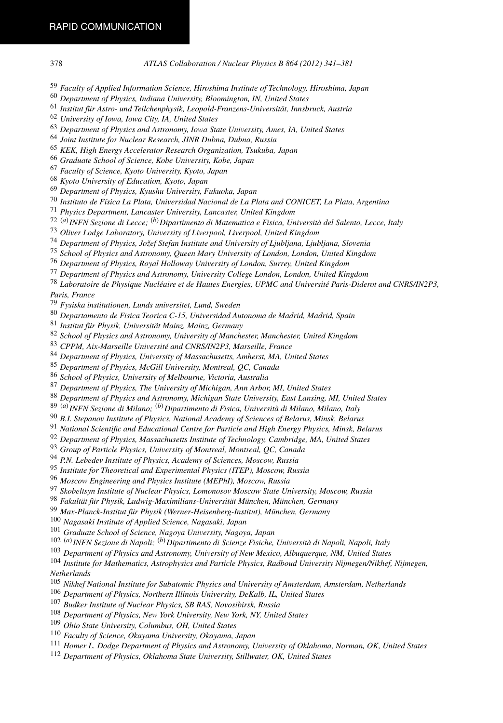#### *ATLAS Collaboration / Nuclear Physics B 864 (2012) 341–381*

- <span id="page-37-0"></span>*Faculty of Applied Information Science, Hiroshima Institute of Technology, Hiroshima, Japan*
- *Department of Physics, Indiana University, Bloomington, IN, United States*
- *Institut für Astro- und Teilchenphysik, Leopold-Franzens-Universität, Innsbruck, Austria*
- *University of Iowa, Iowa City, IA, United States*
- *Department of Physics and Astronomy, Iowa State University, Ames, IA, United States*
- *Joint Institute for Nuclear Research, JINR Dubna, Dubna, Russia*
- *KEK, High Energy Accelerator Research Organization, Tsukuba, Japan*
- *Graduate School of Science, Kobe University, Kobe, Japan*
- *Faculty of Science, Kyoto University, Kyoto, Japan*
- *Kyoto University of Education, Kyoto, Japan*
- *Department of Physics, Kyushu University, Fukuoka, Japan*
- *Instituto de Física La Plata, Universidad Nacional de La Plata and CONICET, La Plata, Argentina*
- *Physics Department, Lancaster University, Lancaster, United Kingdom*
- *(a)INFN Sezione di Lecce; (b)Dipartimento di Matematica e Fisica, Università del Salento, Lecce, Italy*
- *Oliver Lodge Laboratory, University of Liverpool, Liverpool, United Kingdom*
- *Department of Physics, Jožef Stefan Institute and University of Ljubljana, Ljubljana, Slovenia*
- *School of Physics and Astronomy, Queen Mary University of London, London, United Kingdom*
- *Department of Physics, Royal Holloway University of London, Surrey, United Kingdom*
- *Department of Physics and Astronomy, University College London, London, United Kingdom*
- *Laboratoire de Physique Nucléaire et de Hautes Energies, UPMC and Université Paris-Diderot and CNRS/IN2P3,*

*Paris, France*

- *Fysiska institutionen, Lunds universitet, Lund, Sweden*
- *Departamento de Fisica Teorica C-15, Universidad Autonoma de Madrid, Madrid, Spain*
- *Institut für Physik, Universität Mainz, Mainz, Germany*
- *School of Physics and Astronomy, University of Manchester, Manchester, United Kingdom*
- *CPPM, Aix-Marseille Université and CNRS/IN2P3, Marseille, France*
- *Department of Physics, University of Massachusetts, Amherst, MA, United States*
- *Department of Physics, McGill University, Montreal, QC, Canada*
- *School of Physics, University of Melbourne, Victoria, Australia*
- *Department of Physics, The University of Michigan, Ann Arbor, MI, United States*
- *Department of Physics and Astronomy, Michigan State University, East Lansing, MI, United States*
- *(a)INFN Sezione di Milano; (b)Dipartimento di Fisica, Università di Milano, Milano, Italy*
- *B.I. Stepanov Institute of Physics, National Academy of Sciences of Belarus, Minsk, Belarus*
- *National Scientific and Educational Centre for Particle and High Energy Physics, Minsk, Belarus*
- *Department of Physics, Massachusetts Institute of Technology, Cambridge, MA, United States*
- *Group of Particle Physics, University of Montreal, Montreal, QC, Canada*
- *P.N. Lebedev Institute of Physics, Academy of Sciences, Moscow, Russia*
- *Institute for Theoretical and Experimental Physics (ITEP), Moscow, Russia*
- *Moscow Engineering and Physics Institute (MEPhI), Moscow, Russia*
- *Skobeltsyn Institute of Nuclear Physics, Lomonosov Moscow State University, Moscow, Russia*
- *Fakultät für Physik, Ludwig-Maximilians-Universität München, München, Germany*
- *Max-Planck-Institut für Physik (Werner-Heisenberg-Institut), München, Germany*
- *Nagasaki Institute of Applied Science, Nagasaki, Japan*
- *Graduate School of Science, Nagoya University, Nagoya, Japan*
- *(a)INFN Sezione di Napoli; (b)Dipartimento di Scienze Fisiche, Università di Napoli, Napoli, Italy*
- *Department of Physics and Astronomy, University of New Mexico, Albuquerque, NM, United States*
- *Institute for Mathematics, Astrophysics and Particle Physics, Radboud University Nijmegen/Nikhef, Nijmegen, Netherlands*
- *Nikhef National Institute for Subatomic Physics and University of Amsterdam, Amsterdam, Netherlands*
- *Department of Physics, Northern Illinois University, DeKalb, IL, United States*
- *Budker Institute of Nuclear Physics, SB RAS, Novosibirsk, Russia*
- *Department of Physics, New York University, New York, NY, United States*
- *Ohio State University, Columbus, OH, United States*
- *Faculty of Science, Okayama University, Okayama, Japan*
- *Homer L. Dodge Department of Physics and Astronomy, University of Oklahoma, Norman, OK, United States*
- *Department of Physics, Oklahoma State University, Stillwater, OK, United States*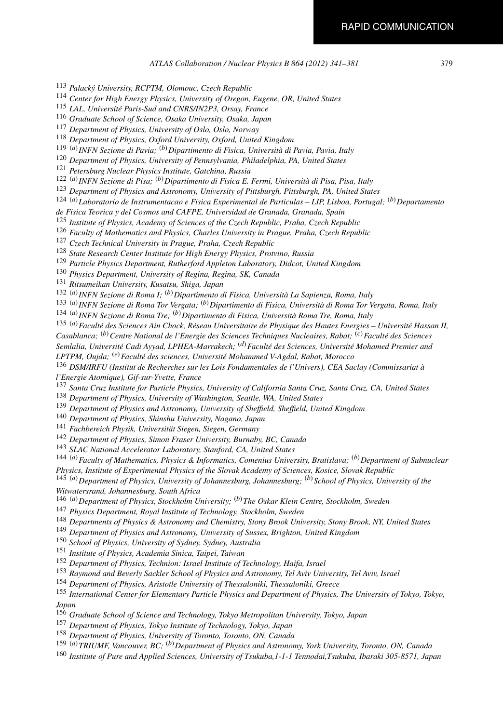<span id="page-38-0"></span>*Palacký University, RCPTM, Olomouc, Czech Republic*

*Center for High Energy Physics, University of Oregon, Eugene, OR, United States*

*LAL, Université Paris-Sud and CNRS/IN2P3, Orsay, France*

*Graduate School of Science, Osaka University, Osaka, Japan*

*Department of Physics, University of Oslo, Oslo, Norway*

*Department of Physics, Oxford University, Oxford, United Kingdom*

*(a)INFN Sezione di Pavia; (b)Dipartimento di Fisica, Università di Pavia, Pavia, Italy*

*Department of Physics, University of Pennsylvania, Philadelphia, PA, United States*

*Petersburg Nuclear Physics Institute, Gatchina, Russia*

*(a)INFN Sezione di Pisa; (b)Dipartimento di Fisica E. Fermi, Università di Pisa, Pisa, Italy*

*Department of Physics and Astronomy, University of Pittsburgh, Pittsburgh, PA, United States*

*(a)Laboratorio de Instrumentacao e Fisica Experimental de Particulas – LIP, Lisboa, Portugal; (b)Departamento*

*de Fisica Teorica y del Cosmos and CAFPE, Universidad de Granada, Granada, Spain*

*Institute of Physics, Academy of Sciences of the Czech Republic, Praha, Czech Republic*

*Faculty of Mathematics and Physics, Charles University in Prague, Praha, Czech Republic*

*Czech Technical University in Prague, Praha, Czech Republic*

*State Research Center Institute for High Energy Physics, Protvino, Russia*

*Particle Physics Department, Rutherford Appleton Laboratory, Didcot, United Kingdom*

*Physics Department, University of Regina, Regina, SK, Canada*

*Ritsumeikan University, Kusatsu, Shiga, Japan*

*(a)INFN Sezione di Roma I; (b)Dipartimento di Fisica, Università La Sapienza, Roma, Italy*

*(a)INFN Sezione di Roma Tor Vergata; (b)Dipartimento di Fisica, Università di Roma Tor Vergata, Roma, Italy*

*(a)INFN Sezione di Roma Tre; (b)Dipartimento di Fisica, Università Roma Tre, Roma, Italy*

*(a)Faculté des Sciences Ain Chock, Réseau Universitaire de Physique des Hautes Energies – Université Hassan II,*

*Casablanca; (b)Centre National de l'Energie des Sciences Techniques Nucleaires, Rabat; (c)Faculté des Sciences*

*Semlalia, Université Cadi Ayyad, LPHEA-Marrakech; (d)Faculté des Sciences, Université Mohamed Premier and*

*LPTPM, Oujda; (e)Faculté des sciences, Université Mohammed V-Agdal, Rabat, Morocco*

 *DSM/IRFU (Institut de Recherches sur les Lois Fondamentales de l'Univers), CEA Saclay (Commissariat à l'Energie Atomique), Gif-sur-Yvette, France*

*Santa Cruz Institute for Particle Physics, University of California Santa Cruz, Santa Cruz, CA, United States*

*Department of Physics, University of Washington, Seattle, WA, United States*

*Department of Physics and Astronomy, University of Sheffield, Sheffield, United Kingdom*

*Department of Physics, Shinshu University, Nagano, Japan*

*Fachbereich Physik, Universität Siegen, Siegen, Germany*

*Department of Physics, Simon Fraser University, Burnaby, BC, Canada*

*SLAC National Accelerator Laboratory, Stanford, CA, United States*

*(a)Faculty of Mathematics, Physics & Informatics, Comenius University, Bratislava; (b)Department of Subnuclear*

*Physics, Institute of Experimental Physics of the Slovak Academy of Sciences, Kosice, Slovak Republic*

 *(a)Department of Physics, University of Johannesburg, Johannesburg; (b)School of Physics, University of the Witwatersrand, Johannesburg, South Africa*

*(a)Department of Physics, Stockholm University; (b)The Oskar Klein Centre, Stockholm, Sweden*

*Physics Department, Royal Institute of Technology, Stockholm, Sweden*

*Departments of Physics & Astronomy and Chemistry, Stony Brook University, Stony Brook, NY, United States*

*Department of Physics and Astronomy, University of Sussex, Brighton, United Kingdom*

*School of Physics, University of Sydney, Sydney, Australia*

*Institute of Physics, Academia Sinica, Taipei, Taiwan*

*Department of Physics, Technion: Israel Institute of Technology, Haifa, Israel*

*Raymond and Beverly Sackler School of Physics and Astronomy, Tel Aviv University, Tel Aviv, Israel*

*Department of Physics, Aristotle University of Thessaloniki, Thessaloniki, Greece*

 *International Center for Elementary Particle Physics and Department of Physics, The University of Tokyo, Tokyo, Japan*

*Graduate School of Science and Technology, Tokyo Metropolitan University, Tokyo, Japan*

*Department of Physics, Tokyo Institute of Technology, Tokyo, Japan*

*Department of Physics, University of Toronto, Toronto, ON, Canada*

*(a)TRIUMF, Vancouver, BC; (b)Department of Physics and Astronomy, York University, Toronto, ON, Canada*

*Institute of Pure and Applied Sciences, University of Tsukuba,1-1-1 Tennodai,Tsukuba, Ibaraki 305-8571, Japan*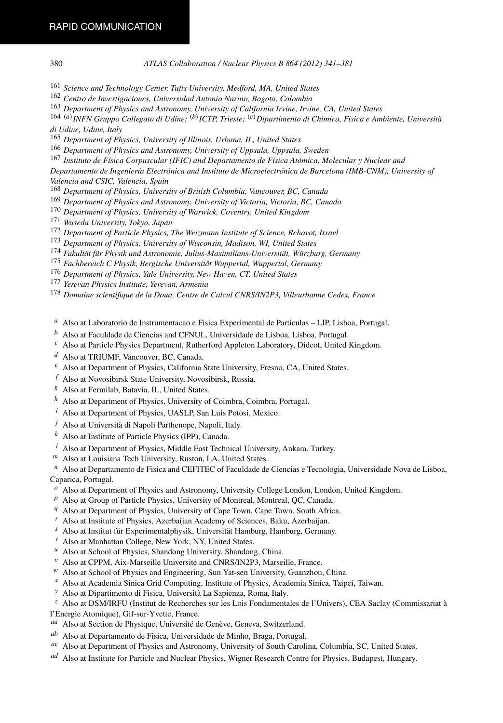- <sup>161</sup> *Science and Technology Center, Tufts University, Medford, MA, United States*
- <sup>162</sup> *Centro de Investigaciones, Universidad Antonio Narino, Bogota, Colombia*
- <sup>163</sup> *Department of Physics and Astronomy, University of California Irvine, Irvine, CA, United States*
- <sup>164</sup> *(a)INFN Gruppo Collegato di Udine; (b)ICTP, Trieste; (c)Dipartimento di Chimica, Fisica e Ambiente, Università di Udine, Udine, Italy*
- <sup>165</sup> *Department of Physics, University of Illinois, Urbana, IL, United States*
- <sup>166</sup> *Department of Physics and Astronomy, University of Uppsala, Uppsala, Sweden*
- <sup>167</sup> *Instituto de Física Corpuscular (IFIC) and Departamento de Física Atómica, Molecular y Nuclear and*
- *Departamento de Ingeniería Electrónica and Instituto de Microelectrónica de Barcelona (IMB-CNM), University of Valencia and CSIC, Valencia, Spain*
- <sup>168</sup> *Department of Physics, University of British Columbia, Vancouver, BC, Canada*
- <sup>169</sup> *Department of Physics and Astronomy, University of Victoria, Victoria, BC, Canada*
- <sup>170</sup> *Department of Physics, University of Warwick, Coventry, United Kingdom*
- <sup>171</sup> *Waseda University, Tokyo, Japan*
- <sup>172</sup> *Department of Particle Physics, The Weizmann Institute of Science, Rehovot, Israel*
- <sup>173</sup> *Department of Physics, University of Wisconsin, Madison, WI, United States*
- <sup>174</sup> *Fakultät für Physik und Astronomie, Julius-Maximilians-Universität, Würzburg, Germany*
- <sup>175</sup> *Fachbereich C Physik, Bergische Universität Wuppertal, Wuppertal, Germany*
- <sup>176</sup> *Department of Physics, Yale University, New Haven, CT, United States*
- <sup>177</sup> *Yerevan Physics Institute, Yerevan, Armenia*
- <sup>178</sup> *Domaine scientifique de la Doua, Centre de Calcul CNRS/IN2P3, Villeurbanne Cedex, France*
- *<sup>a</sup>* Also at Laboratorio de Instrumentacao e Fisica Experimental de Particulas LIP, Lisboa, Portugal.
- *<sup>b</sup>* Also at Faculdade de Ciencias and CFNUL, Universidade de Lisboa, Lisboa, Portugal. *<sup>c</sup>* Also at Particle Physics Department, Rutherford Appleton Laboratory, Didcot, United Kingdom.
- 
- 
- *d* Also at TRIUMF, Vancouver, BC, Canada.<br><sup>*e*</sup> Also at Department of Physics, California State University, Fresno, CA, United States.
- *<sup>f</sup>* Also at Novosibirsk State University, Novosibirsk, Russia. *<sup>g</sup>* Also at Fermilab, Batavia, IL, United States.
- 
- *<sup>h</sup>* Also at Department of Physics, University of Coimbra, Coimbra, Portugal.
- *<sup>i</sup>* Also at Department of Physics, UASLP, San Luis Potosi, Mexico.
- *<sup>j</sup>* Also at Università di Napoli Parthenope, Napoli, Italy.
- *<sup>k</sup>* Also at Institute of Particle Physics (IPP), Canada.
- 
- 

 $\frac{1}{n}$  Also at Department of Physics, Middle East Technical University, Ankara, Turkey.<br>
m Also at Louisiana Tech University, Ruston, LA, United States.<br>
m Also at Departamento de Fisica and CEFITEC of Faculdade de Cie Caparica, Portugal.

- $\sigma$  Also at Department of Physics and Astronomy, University College London, London, United Kingdom.<br>  $P$  Also at Group of Particle Physics, University of Montreal, Montreal, QC, Canada.<br>  $q$  Also at Department of Physics
- 
- 
- 
- 
- 
- 
- 
- 
- 
- 
- *t* Also at Manhattan College, New York, NY, United States.<br> *u* Also at School of Physics, Shandong University, Shandong, China.<br> *v* Also at CPPM, Aix-Marseille Université and CNRS/IN2P3, Marseille, France.<br> *w* Also at l'Energie Atomique), Gif-sur-Yvette, France.
- *aa* Also at Section de Physique, Université de Genève, Geneva, Switzerland.
- 
- *ab* Also at Departamento de Fisica, Universidade de Minho, Braga, Portugal. *ac* Also at Department of Physics and Astronomy, University of South Carolina, Columbia, SC, United States.
- *ad* Also at Institute for Particle and Nuclear Physics, Wigner Research Centre for Physics, Budapest, Hungary.

<span id="page-39-0"></span><sup>380</sup>